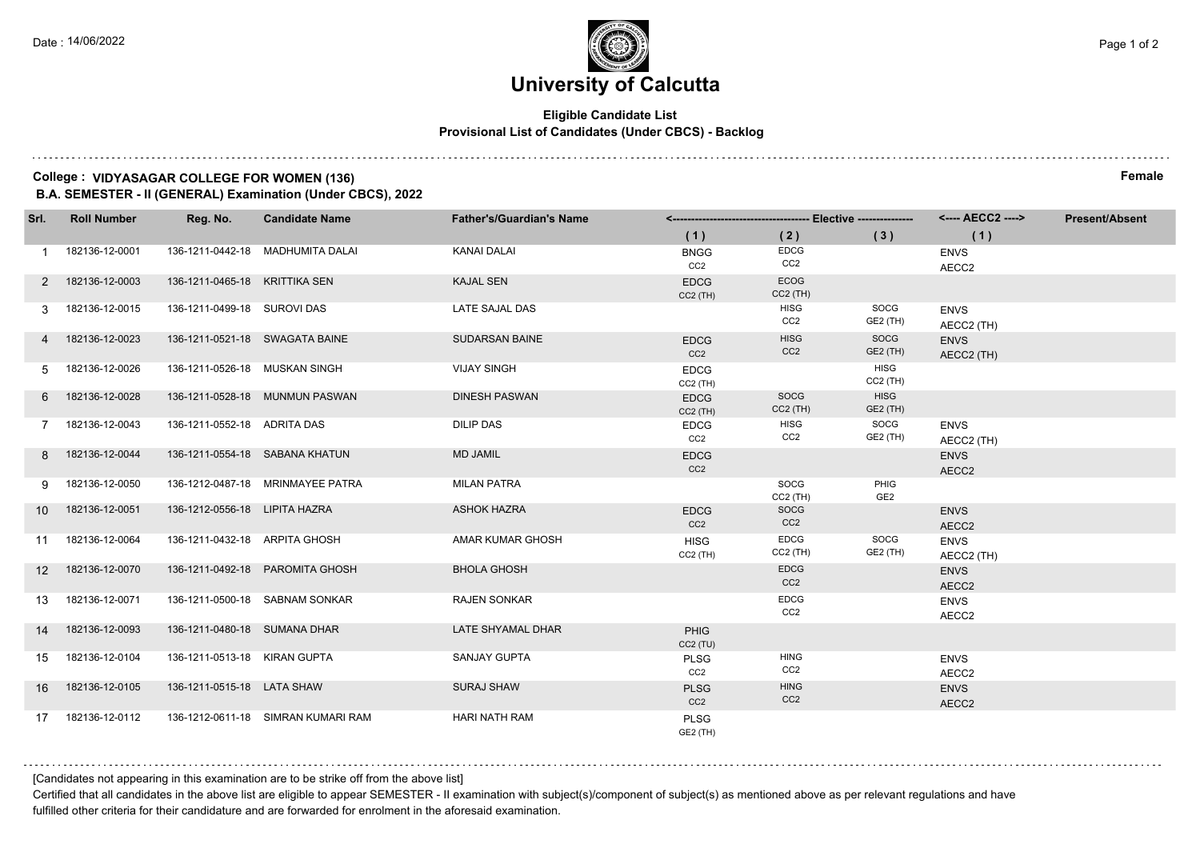### **Eligible Candidate List Provisional List of Candidates (Under CBCS) - Backlog**

## **College : VIDYASAGAR COLLEGE FOR WOMEN (136) Female**

**B.A. SEMESTER - II (GENERAL) Examination (Under CBCS), 2022**

| Srl.            | <b>Roll Number</b> | Reg. No.                       | <b>Candidate Name</b>              | <b>Father's/Guardian's Name</b> |                                |                                |                                |                           | <b>Present/Absent</b> |
|-----------------|--------------------|--------------------------------|------------------------------------|---------------------------------|--------------------------------|--------------------------------|--------------------------------|---------------------------|-----------------------|
|                 |                    |                                |                                    |                                 | (1)                            | (2)                            | (3)                            | (1)                       |                       |
| 1               | 182136-12-0001     |                                | 136-1211-0442-18 MADHUMITA DALAI   | <b>KANAI DALAI</b>              | <b>BNGG</b><br>CC2             | EDCG<br>CC2                    |                                | <b>ENVS</b><br>AECC2      |                       |
|                 | 2 182136-12-0003   | 136-1211-0465-18 KRITTIKA SEN  |                                    | <b>KAJAL SEN</b>                | <b>EDCG</b><br>$CC2$ (TH)      | <b>ECOG</b><br>$CC2$ (TH)      |                                |                           |                       |
| 3               | 182136-12-0015     | 136-1211-0499-18 SUROVI DAS    |                                    | LATE SAJAL DAS                  |                                | <b>HISG</b><br>CC <sub>2</sub> | SOCG<br>GE2 (TH)               | <b>ENVS</b><br>AECC2 (TH) |                       |
|                 | 4 182136-12-0023   | 136-1211-0521-18 SWAGATA BAINE |                                    | <b>SUDARSAN BAINE</b>           | <b>EDCG</b><br>CC <sub>2</sub> | <b>HISG</b><br>CC <sub>2</sub> | SOCG<br><b>GE2 (TH)</b>        | <b>ENVS</b><br>AECC2 (TH) |                       |
| 5               | 182136-12-0026     | 136-1211-0526-18 MUSKAN SINGH  |                                    | <b>VIJAY SINGH</b>              | <b>EDCG</b><br>$CC2$ (TH)      |                                | <b>HISG</b><br>$CC2$ (TH)      |                           |                       |
|                 | 6 182136-12-0028   |                                | 136-1211-0528-18 MUNMUN PASWAN     | <b>DINESH PASWAN</b>            | <b>EDCG</b><br>$CC2$ (TH)      | SOCG<br>$CC2$ (TH)             | <b>HISG</b><br><b>GE2 (TH)</b> |                           |                       |
|                 | 182136-12-0043     | 136-1211-0552-18 ADRITA DAS    |                                    | <b>DILIP DAS</b>                | <b>EDCG</b><br>CC2             | <b>HISG</b><br>CC2             | SOCG<br>GE2 (TH)               | <b>ENVS</b><br>AECC2 (TH) |                       |
| 8               | 182136-12-0044     |                                | 136-1211-0554-18 SABANA KHATUN     | <b>MD JAMIL</b>                 | <b>EDCG</b><br>CC <sub>2</sub> |                                |                                | <b>ENVS</b><br>AECC2      |                       |
| 9               | 182136-12-0050     |                                | 136-1212-0487-18 MRINMAYEE PATRA   | <b>MILAN PATRA</b>              |                                | SOCG<br>$CC2$ (TH)             | PHIG<br>GE <sub>2</sub>        |                           |                       |
| 10 <sup>1</sup> | 182136-12-0051     | 136-1212-0556-18 LIPITA HAZRA  |                                    | <b>ASHOK HAZRA</b>              | <b>EDCG</b><br>CC <sub>2</sub> | SOCG<br>CC2                    |                                | <b>ENVS</b><br>AECC2      |                       |
| 11              | 182136-12-0064     | 136-1211-0432-18 ARPITA GHOSH  |                                    | <b>AMAR KUMAR GHOSH</b>         | <b>HISG</b><br>$CC2$ (TH)      | <b>EDCG</b><br>$CC2$ (TH)      | SOCG<br>GE2 (TH)               | <b>ENVS</b><br>AECC2 (TH) |                       |
| 12 <sup>2</sup> | 182136-12-0070     |                                | 136-1211-0492-18 PAROMITA GHOSH    | <b>BHOLA GHOSH</b>              |                                | <b>EDCG</b><br>CC <sub>2</sub> |                                | <b>ENVS</b><br>AECC2      |                       |
| 13              | 182136-12-0071     |                                | 136-1211-0500-18 SABNAM SONKAR     | <b>RAJEN SONKAR</b>             |                                | <b>EDCG</b><br>CC <sub>2</sub> |                                | <b>ENVS</b><br>AECC2      |                       |
| 14              | 182136-12-0093     | 136-1211-0480-18 SUMANA DHAR   |                                    | LATE SHYAMAL DHAR               | <b>PHIG</b><br>CC2(TU)         |                                |                                |                           |                       |
| 15              | 182136-12-0104     | 136-1211-0513-18 KIRAN GUPTA   |                                    | <b>SANJAY GUPTA</b>             | <b>PLSG</b><br>CC <sub>2</sub> | <b>HING</b><br>CC <sub>2</sub> |                                | <b>ENVS</b><br>AECC2      |                       |
| 16              | 182136-12-0105     | 136-1211-0515-18 LATA SHAW     |                                    | <b>SURAJ SHAW</b>               | <b>PLSG</b><br>CC <sub>2</sub> | <b>HING</b><br>CC2             |                                | <b>ENVS</b><br>AECC2      |                       |
| 17              | 182136-12-0112     |                                | 136-1212-0611-18 SIMRAN KUMARI RAM | HARI NATH RAM                   | <b>PLSG</b><br>GE2 (TH)        |                                |                                |                           |                       |

[Candidates not appearing in this examination are to be strike off from the above list]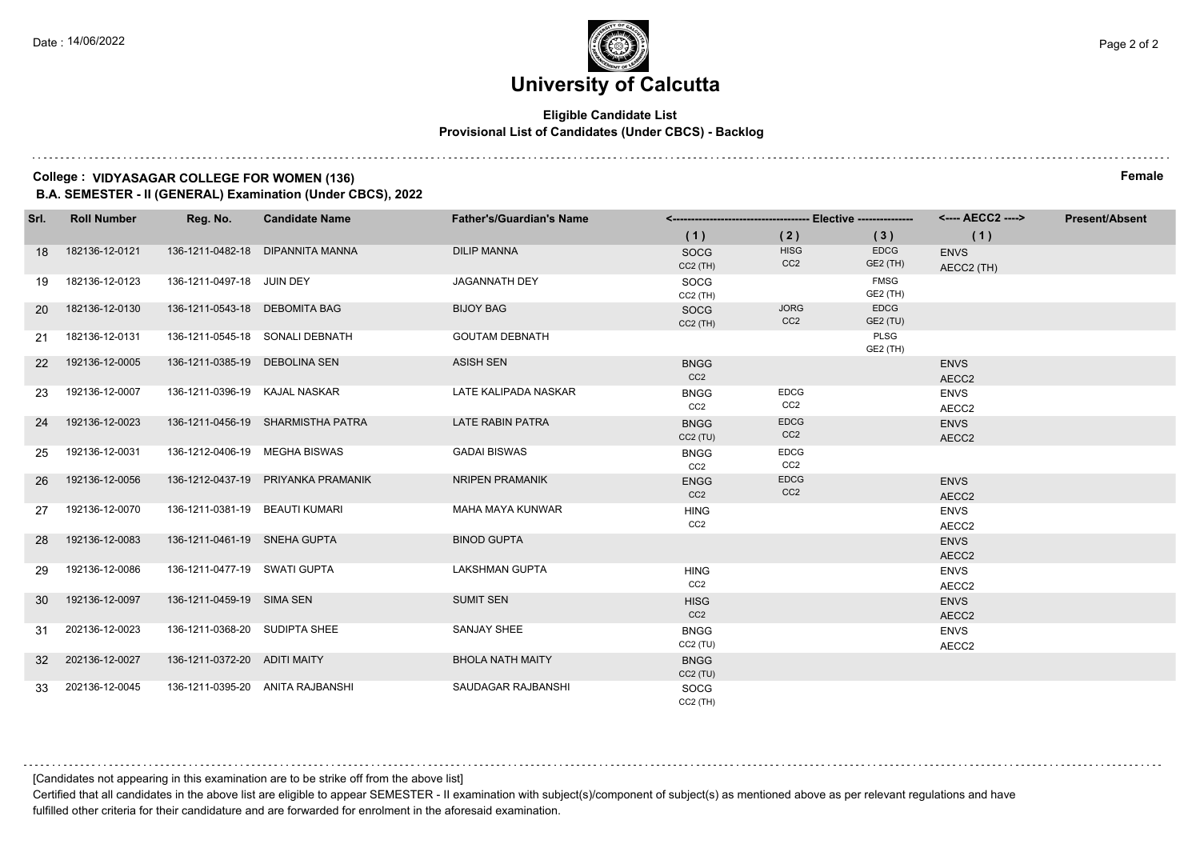### **Eligible Candidate List Provisional List of Candidates (Under CBCS) - Backlog**

## **College : VIDYASAGAR COLLEGE FOR WOMEN (136) Female**

**B.A. SEMESTER - II (GENERAL) Examination (Under CBCS), 2022**

| Srl.            | <b>Roll Number</b> | Reg. No.                       | <b>Candidate Name</b>              | <b>Father's/Guardian's Name</b> |                                |                                |                                | <---- AECC2 ---->         | <b>Present/Absent</b> |
|-----------------|--------------------|--------------------------------|------------------------------------|---------------------------------|--------------------------------|--------------------------------|--------------------------------|---------------------------|-----------------------|
|                 |                    |                                |                                    |                                 | (1)                            | (2)                            | (3)                            | (1)                       |                       |
| 18              | 182136-12-0121     |                                | 136-1211-0482-18 DIPANNITA MANNA   | <b>DILIP MANNA</b>              | <b>SOCG</b><br>$CC2$ (TH)      | <b>HISG</b><br>CC <sub>2</sub> | <b>EDCG</b><br><b>GE2 (TH)</b> | <b>ENVS</b><br>AECC2 (TH) |                       |
| 19              | 182136-12-0123     | 136-1211-0497-18 JUIN DEY      |                                    | <b>JAGANNATH DEY</b>            | SOCG<br>$CC2$ (TH)             |                                | <b>FMSG</b><br><b>GE2 (TH)</b> |                           |                       |
| <b>20</b>       | 182136-12-0130     | 136-1211-0543-18 DEBOMITA BAG  |                                    | <b>BIJOY BAG</b>                | SOCG<br>$CC2$ (TH)             | <b>JORG</b><br>CC <sub>2</sub> | <b>EDCG</b><br>GE2 (TU)        |                           |                       |
| 21              | 182136-12-0131     |                                | 136-1211-0545-18 SONALI DEBNATH    | <b>GOUTAM DEBNATH</b>           |                                |                                | <b>PLSG</b><br>GE2 (TH)        |                           |                       |
| <b>22</b>       | 192136-12-0005     | 136-1211-0385-19 DEBOLINA SEN  |                                    | <b>ASISH SEN</b>                | <b>BNGG</b><br>CC <sub>2</sub> |                                |                                | <b>ENVS</b><br>AECC2      |                       |
| 23              | 192136-12-0007     | 136-1211-0396-19 KAJAL NASKAR  |                                    | LATE KALIPADA NASKAR            | <b>BNGG</b><br>CC2             | <b>EDCG</b><br>CC2             |                                | <b>ENVS</b><br>AECC2      |                       |
| 24              | 192136-12-0023     |                                | 136-1211-0456-19 SHARMISTHA PATRA  | <b>LATE RABIN PATRA</b>         | <b>BNGG</b><br>CC2(TU)         | <b>EDCG</b><br>CC <sub>2</sub> |                                | <b>ENVS</b><br>AECC2      |                       |
| 25              | 192136-12-0031     | 136-1212-0406-19 MEGHA BISWAS  |                                    | <b>GADAI BISWAS</b>             | <b>BNGG</b><br>CC2             | <b>EDCG</b><br>CC <sub>2</sub> |                                |                           |                       |
| 26              | 192136-12-0056     |                                | 136-1212-0437-19 PRIYANKA PRAMANIK | NRIPEN PRAMANIK                 | <b>ENGG</b><br>CC <sub>2</sub> | <b>EDCG</b><br>CC <sub>2</sub> |                                | <b>ENVS</b><br>AECC2      |                       |
| 27              | 192136-12-0070     | 136-1211-0381-19 BEAUTI KUMARI |                                    | MAHA MAYA KUNWAR                | <b>HING</b><br>CC <sub>2</sub> |                                |                                | <b>ENVS</b><br>AECC2      |                       |
| 28              | 192136-12-0083     | 136-1211-0461-19 SNEHA GUPTA   |                                    | <b>BINOD GUPTA</b>              |                                |                                |                                | <b>ENVS</b><br>AECC2      |                       |
| 29              | 192136-12-0086     | 136-1211-0477-19 SWATI GUPTA   |                                    | <b>LAKSHMAN GUPTA</b>           | <b>HING</b><br>CC <sub>2</sub> |                                |                                | <b>ENVS</b><br>AECC2      |                       |
| 30              | 192136-12-0097     | 136-1211-0459-19 SIMA SEN      |                                    | <b>SUMIT SEN</b>                | <b>HISG</b><br>CC <sub>2</sub> |                                |                                | <b>ENVS</b><br>AECC2      |                       |
| 31              | 202136-12-0023     | 136-1211-0368-20 SUDIPTA SHEE  |                                    | <b>SANJAY SHEE</b>              | <b>BNGG</b><br>CC2(TU)         |                                |                                | <b>ENVS</b><br>AECC2      |                       |
| 32 <sup>2</sup> | 202136-12-0027     | 136-1211-0372-20 ADITI MAITY   |                                    | <b>BHOLA NATH MAITY</b>         | <b>BNGG</b><br>CC2(TU)         |                                |                                |                           |                       |
| 33              | 202136-12-0045     |                                | 136-1211-0395-20 ANITA RAJBANSHI   | SAUDAGAR RAJBANSHI              | SOCG<br>$CC2$ (TH)             |                                |                                |                           |                       |

[Candidates not appearing in this examination are to be strike off from the above list]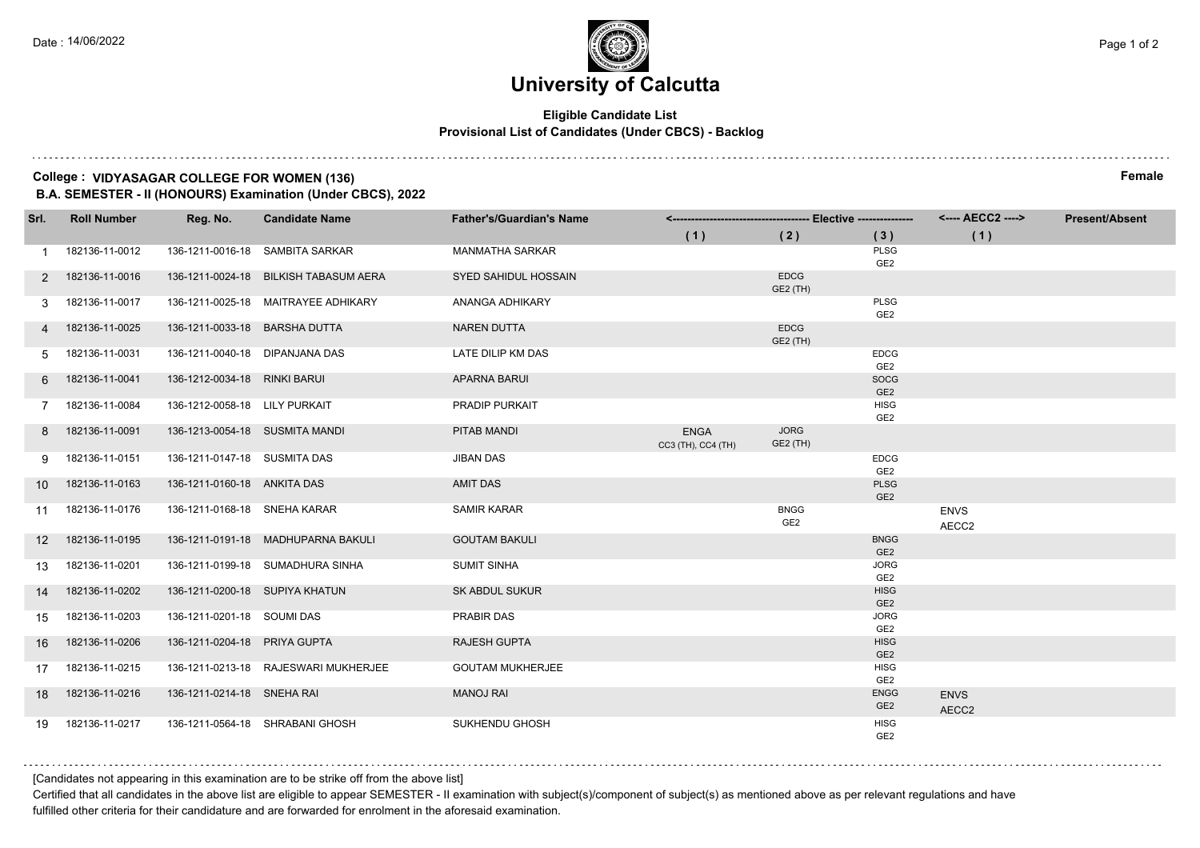### **Eligible Candidate List Provisional List of Candidates (Under CBCS) - Backlog**

## **College : VIDYASAGAR COLLEGE FOR WOMEN (136) Female**

**B.A. SEMESTER - II (HONOURS) Examination (Under CBCS), 2022**

| Srl.              | <b>Roll Number</b> | Reg. No.                       | <b>Candidate Name</b>                 | <b>Father's/Guardian's Name</b> |                                   |                                |                                |                      | <b>Present/Absent</b> |
|-------------------|--------------------|--------------------------------|---------------------------------------|---------------------------------|-----------------------------------|--------------------------------|--------------------------------|----------------------|-----------------------|
|                   |                    |                                |                                       |                                 | (1)                               | (2)                            | (3)                            | (1)                  |                       |
| 1                 | 182136-11-0012     |                                | 136-1211-0016-18 SAMBITA SARKAR       | <b>MANMATHA SARKAR</b>          |                                   |                                | PLSG<br>GE <sub>2</sub>        |                      |                       |
| 2                 | 182136-11-0016     |                                | 136-1211-0024-18 BILKISH TABASUM AERA | SYED SAHIDUL HOSSAIN            |                                   | <b>EDCG</b><br>GE2 (TH)        |                                |                      |                       |
| 3                 | 182136-11-0017     |                                | 136-1211-0025-18 MAITRAYEE ADHIKARY   | ANANGA ADHIKARY                 |                                   |                                | PLSG<br>GE <sub>2</sub>        |                      |                       |
|                   | 182136-11-0025     | 136-1211-0033-18 BARSHA DUTTA  |                                       | <b>NAREN DUTTA</b>              |                                   | <b>EDCG</b><br>GE2 (TH)        |                                |                      |                       |
| 5                 | 182136-11-0031     | 136-1211-0040-18 DIPANJANA DAS |                                       | LATE DILIP KM DAS               |                                   |                                | <b>EDCG</b><br>GE <sub>2</sub> |                      |                       |
| 6                 | 182136-11-0041     | 136-1212-0034-18 RINKI BARUI   |                                       | <b>APARNA BARUI</b>             |                                   |                                | SOCG<br>GE <sub>2</sub>        |                      |                       |
|                   | 182136-11-0084     | 136-1212-0058-18 LILY PURKAIT  |                                       | PRADIP PURKAIT                  |                                   |                                | <b>HISG</b><br>GE <sub>2</sub> |                      |                       |
| 8                 | 182136-11-0091     | 136-1213-0054-18 SUSMITA MANDI |                                       | PITAB MANDI                     | <b>ENGA</b><br>CC3 (TH), CC4 (TH) | <b>JORG</b><br>GE2 (TH)        |                                |                      |                       |
| 9                 | 182136-11-0151     | 136-1211-0147-18 SUSMITA DAS   |                                       | <b>JIBAN DAS</b>                |                                   |                                | <b>EDCG</b><br>GE2             |                      |                       |
| 10 <sup>°</sup>   | 182136-11-0163     | 136-1211-0160-18 ANKITA DAS    |                                       | <b>AMIT DAS</b>                 |                                   |                                | <b>PLSG</b><br>GE <sub>2</sub> |                      |                       |
| 11                | 182136-11-0176     | 136-1211-0168-18 SNEHA KARAR   |                                       | <b>SAMIR KARAR</b>              |                                   | <b>BNGG</b><br>GE <sub>2</sub> |                                | <b>ENVS</b><br>AECC2 |                       |
| $12 \overline{ }$ | 182136-11-0195     |                                | 136-1211-0191-18 MADHUPARNA BAKULI    | <b>GOUTAM BAKULI</b>            |                                   |                                | <b>BNGG</b><br>GE <sub>2</sub> |                      |                       |
| 13                | 182136-11-0201     |                                | 136-1211-0199-18 SUMADHURA SINHA      | <b>SUMIT SINHA</b>              |                                   |                                | <b>JORG</b><br>GE <sub>2</sub> |                      |                       |
| 14                | 182136-11-0202     | 136-1211-0200-18 SUPIYA KHATUN |                                       | <b>SK ABDUL SUKUR</b>           |                                   |                                | <b>HISG</b><br>GE <sub>2</sub> |                      |                       |
| 15                | 182136-11-0203     | 136-1211-0201-18 SOUMI DAS     |                                       | <b>PRABIR DAS</b>               |                                   |                                | <b>JORG</b><br>GE <sub>2</sub> |                      |                       |
| 16                | 182136-11-0206     | 136-1211-0204-18 PRIYA GUPTA   |                                       | <b>RAJESH GUPTA</b>             |                                   |                                | <b>HISG</b><br>GE <sub>2</sub> |                      |                       |
| 17                | 182136-11-0215     |                                | 136-1211-0213-18 RAJESWARI MUKHERJEE  | <b>GOUTAM MUKHERJEE</b>         |                                   |                                | <b>HISG</b><br>GE2             |                      |                       |
| 18                | 182136-11-0216     | 136-1211-0214-18 SNEHA RAI     |                                       | <b>MANOJ RAI</b>                |                                   |                                | <b>ENGG</b><br>GE <sub>2</sub> | <b>ENVS</b><br>AECC2 |                       |
| 19                | 182136-11-0217     |                                | 136-1211-0564-18 SHRABANI GHOSH       | SUKHENDU GHOSH                  |                                   |                                | <b>HISG</b><br>GE <sub>2</sub> |                      |                       |

[Candidates not appearing in this examination are to be strike off from the above list]

Certified that all candidates in the above list are eligible to appear SEMESTER - II examination with subject(s)/component of subject(s) as mentioned above as per relevant regulations and have fulfilled other criteria for their candidature and are forwarded for enrolment in the aforesaid examination.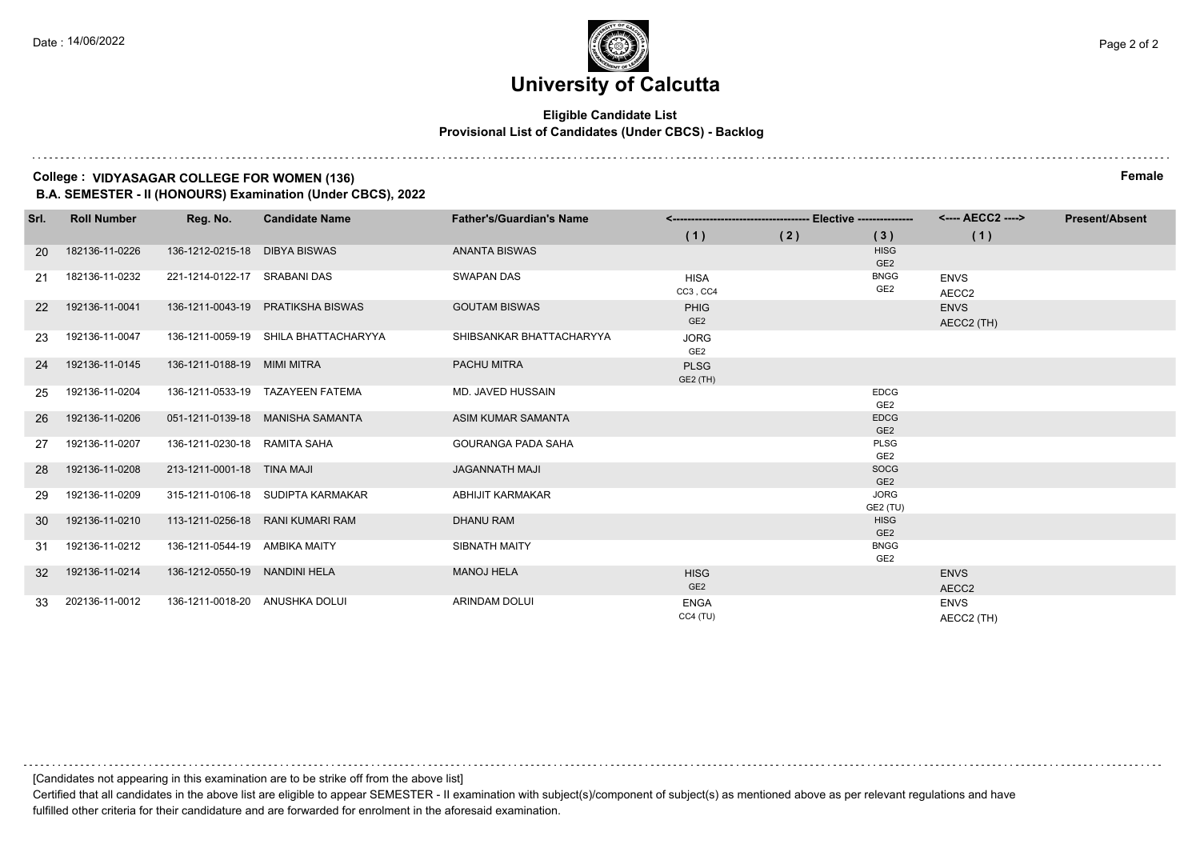### **Eligible Candidate List Provisional List of Candidates (Under CBCS) - Backlog**

## **College : VIDYASAGAR COLLEGE FOR WOMEN (136) Female**

**B.A. SEMESTER - II (HONOURS) Examination (Under CBCS), 2022**

| Srl.      | <b>Roll Number</b> | Reg. No.                       | <b>Candidate Name</b>                | <b>Father's/Guardian's Name</b> |                                |     |                                | <---- AECC2 ---->         | <b>Present/Absent</b> |
|-----------|--------------------|--------------------------------|--------------------------------------|---------------------------------|--------------------------------|-----|--------------------------------|---------------------------|-----------------------|
|           |                    |                                |                                      |                                 | (1)                            | (2) | (3)                            | (1)                       |                       |
| <b>20</b> | 182136-11-0226     | 136-1212-0215-18 DIBYA BISWAS  |                                      | <b>ANANTA BISWAS</b>            |                                |     | <b>HISG</b><br>GE <sub>2</sub> |                           |                       |
| -21       | 182136-11-0232     | 221-1214-0122-17 SRABANI DAS   |                                      | <b>SWAPAN DAS</b>               | <b>HISA</b><br>CC3, CC4        |     | <b>BNGG</b><br>GE <sub>2</sub> | <b>ENVS</b><br>AECC2      |                       |
| <b>22</b> | 192136-11-0041     |                                | 136-1211-0043-19 PRATIKSHA BISWAS    | <b>GOUTAM BISWAS</b>            | <b>PHIG</b><br>GE <sub>2</sub> |     |                                | <b>ENVS</b><br>AECC2 (TH) |                       |
| 23        | 192136-11-0047     |                                | 136-1211-0059-19 SHILA BHATTACHARYYA | SHIBSANKAR BHATTACHARYYA        | <b>JORG</b><br>GE <sub>2</sub> |     |                                |                           |                       |
| 24        | 192136-11-0145     | 136-1211-0188-19 MIMI MITRA    |                                      | <b>PACHU MITRA</b>              | <b>PLSG</b><br>GE2 (TH)        |     |                                |                           |                       |
| 25        | 192136-11-0204     |                                | 136-1211-0533-19 TAZAYEEN FATEMA     | MD. JAVED HUSSAIN               |                                |     | <b>EDCG</b><br>GE <sub>2</sub> |                           |                       |
| -26       | 192136-11-0206     |                                | 051-1211-0139-18 MANISHA SAMANTA     | ASIM KUMAR SAMANTA              |                                |     | <b>EDCG</b><br>GE <sub>2</sub> |                           |                       |
| 27        | 192136-11-0207     | 136-1211-0230-18 RAMITA SAHA   |                                      | <b>GOURANGA PADA SAHA</b>       |                                |     | <b>PLSG</b><br>GE <sub>2</sub> |                           |                       |
| 28        | 192136-11-0208     | 213-1211-0001-18 TINA MAJI     |                                      | <b>JAGANNATH MAJI</b>           |                                |     | <b>SOCG</b><br>GE <sub>2</sub> |                           |                       |
| 29        | 192136-11-0209     |                                | 315-1211-0106-18 SUDIPTA KARMAKAR    | <b>ABHIJIT KARMAKAR</b>         |                                |     | <b>JORG</b><br>GE2 (TU)        |                           |                       |
| 30        | 192136-11-0210     |                                | 113-1211-0256-18 RANI KUMARI RAM     | <b>DHANU RAM</b>                |                                |     | <b>HISG</b><br>GE <sub>2</sub> |                           |                       |
| 31        | 192136-11-0212     | 136-1211-0544-19 AMBIKA MAITY  |                                      | SIBNATH MAITY                   |                                |     | <b>BNGG</b><br>GE <sub>2</sub> |                           |                       |
| 32        | 192136-11-0214     | 136-1212-0550-19 NANDINI HELA  |                                      | <b>MANOJ HELA</b>               | <b>HISG</b><br>GE <sub>2</sub> |     |                                | <b>ENVS</b><br>AECC2      |                       |
| 33        | 202136-11-0012     | 136-1211-0018-20 ANUSHKA DOLUI |                                      | <b>ARINDAM DOLUI</b>            | <b>ENGA</b><br>CC4(TU)         |     |                                | <b>ENVS</b><br>AECC2 (TH) |                       |

[Candidates not appearing in this examination are to be strike off from the above list]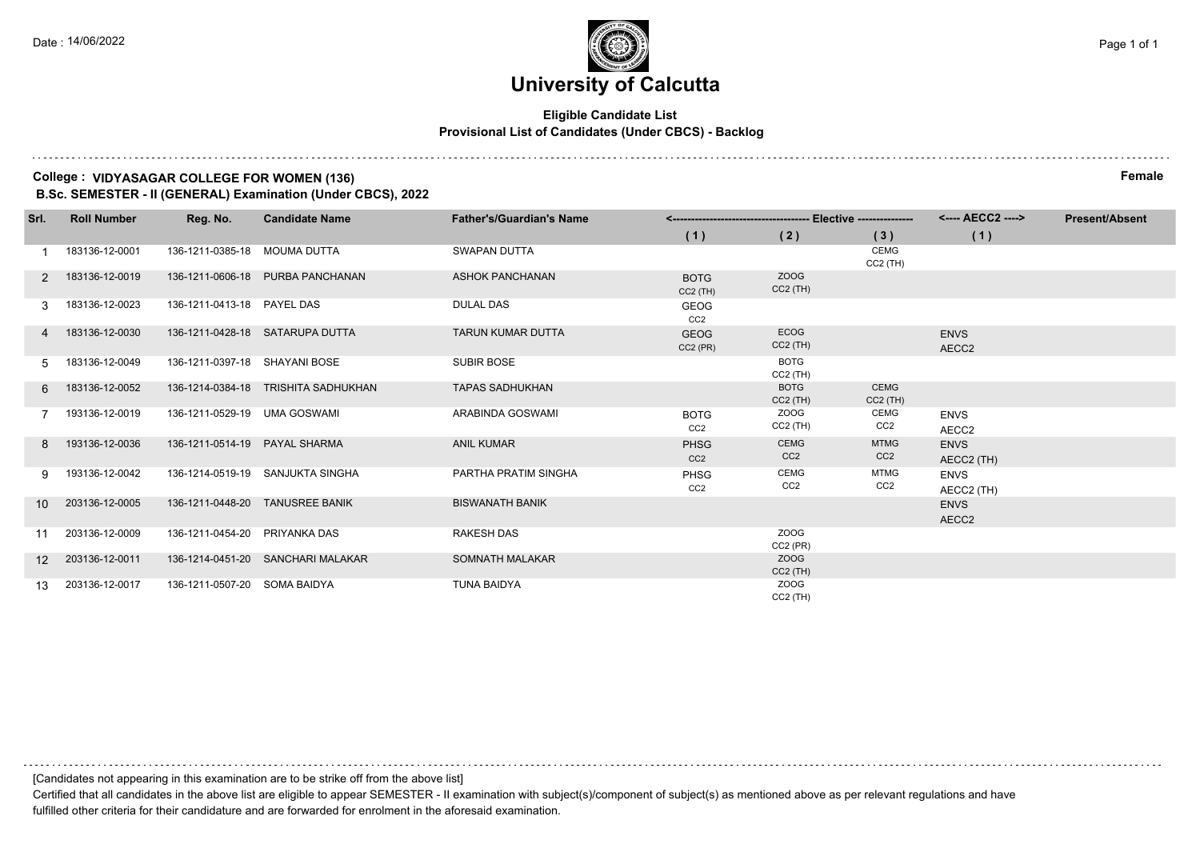### **Eligible Candidate List Provisional List of Candidates (Under CBCS) - Backlog**

## **College : VIDYASAGAR COLLEGE FOR WOMEN (136) Female**

**B.Sc. SEMESTER - II (GENERAL) Examination (Under CBCS), 2022**

| Srl.            | <b>Roll Number</b> | Reg. No.                      | <b>Candidate Name</b>               | <b>Father's/Guardian's Name</b> |                                |                                |                                | <---- AECC2 ---->         | <b>Present/Absent</b> |
|-----------------|--------------------|-------------------------------|-------------------------------------|---------------------------------|--------------------------------|--------------------------------|--------------------------------|---------------------------|-----------------------|
|                 |                    |                               |                                     |                                 | (1)                            | (2)                            | (3)                            | (1)                       |                       |
|                 | 183136-12-0001     | 136-1211-0385-18 MOUMA DUTTA  |                                     | SWAPAN DUTTA                    |                                |                                | <b>CEMG</b><br>$CC2$ (TH)      |                           |                       |
| 2               | 183136-12-0019     |                               | 136-1211-0606-18 PURBA PANCHANAN    | <b>ASHOK PANCHANAN</b>          | <b>BOTG</b><br>$CC2$ (TH)      | ZOOG<br>$CC2$ (TH)             |                                |                           |                       |
|                 | 183136-12-0023     | 136-1211-0413-18 PAYEL DAS    |                                     | <b>DULAL DAS</b>                | GEOG<br>CC <sub>2</sub>        |                                |                                |                           |                       |
|                 | 183136-12-0030     |                               | 136-1211-0428-18 SATARUPA DUTTA     | <b>TARUN KUMAR DUTTA</b>        | <b>GEOG</b><br>$CC2$ (PR)      | <b>ECOG</b><br>$CC2$ (TH)      |                                | <b>ENVS</b><br>AECC2      |                       |
| 5.              | 183136-12-0049     | 136-1211-0397-18 SHAYANI BOSE |                                     | <b>SUBIR BOSE</b>               |                                | <b>BOTG</b><br>$CC2$ (TH)      |                                |                           |                       |
| 6               | 183136-12-0052     |                               | 136-1214-0384-18 TRISHITA SADHUKHAN | <b>TAPAS SADHUKHAN</b>          |                                | <b>BOTG</b><br>$CC2$ (TH)      | <b>CEMG</b><br>$CC2$ (TH)      |                           |                       |
|                 | 193136-12-0019     | 136-1211-0529-19 UMA GOSWAMI  |                                     | ARABINDA GOSWAMI                | <b>BOTG</b><br>CC <sub>2</sub> | <b>ZOOG</b><br>$CC2$ (TH)      | <b>CEMG</b><br>CC <sub>2</sub> | <b>ENVS</b><br>AECC2      |                       |
| 8               | 193136-12-0036     | 136-1211-0514-19 PAYAL SHARMA |                                     | <b>ANIL KUMAR</b>               | <b>PHSG</b><br>CC <sub>2</sub> | <b>CEMG</b><br>CC <sub>2</sub> | <b>MTMG</b><br>CC <sub>2</sub> | <b>ENVS</b><br>AECC2 (TH) |                       |
| 9               | 193136-12-0042     |                               | 136-1214-0519-19 SANJUKTA SINGHA    | PARTHA PRATIM SINGHA            | <b>PHSG</b><br>CC <sub>2</sub> | CEMG<br>CC <sub>2</sub>        | <b>MTMG</b><br>CC <sub>2</sub> | <b>ENVS</b><br>AECC2 (TH) |                       |
| 10 <sup>1</sup> | 203136-12-0005     |                               | 136-1211-0448-20 TANUSREE BANIK     | <b>BISWANATH BANIK</b>          |                                |                                |                                | <b>ENVS</b><br>AECC2      |                       |
| 11              | 203136-12-0009     | 136-1211-0454-20 PRIYANKA DAS |                                     | <b>RAKESH DAS</b>               |                                | ZOOG<br>$CC2$ (PR)             |                                |                           |                       |
| 12 <sup>2</sup> | 203136-12-0011     |                               | 136-1214-0451-20 SANCHARI MALAKAR   | SOMNATH MALAKAR                 |                                | ZOOG<br>$CC2$ (TH)             |                                |                           |                       |
| 13              | 203136-12-0017     | 136-1211-0507-20 SOMA BAIDYA  |                                     | <b>TUNA BAIDYA</b>              |                                | ZOOG<br>$CC2$ (TH)             |                                |                           |                       |

[Candidates not appearing in this examination are to be strike off from the above list]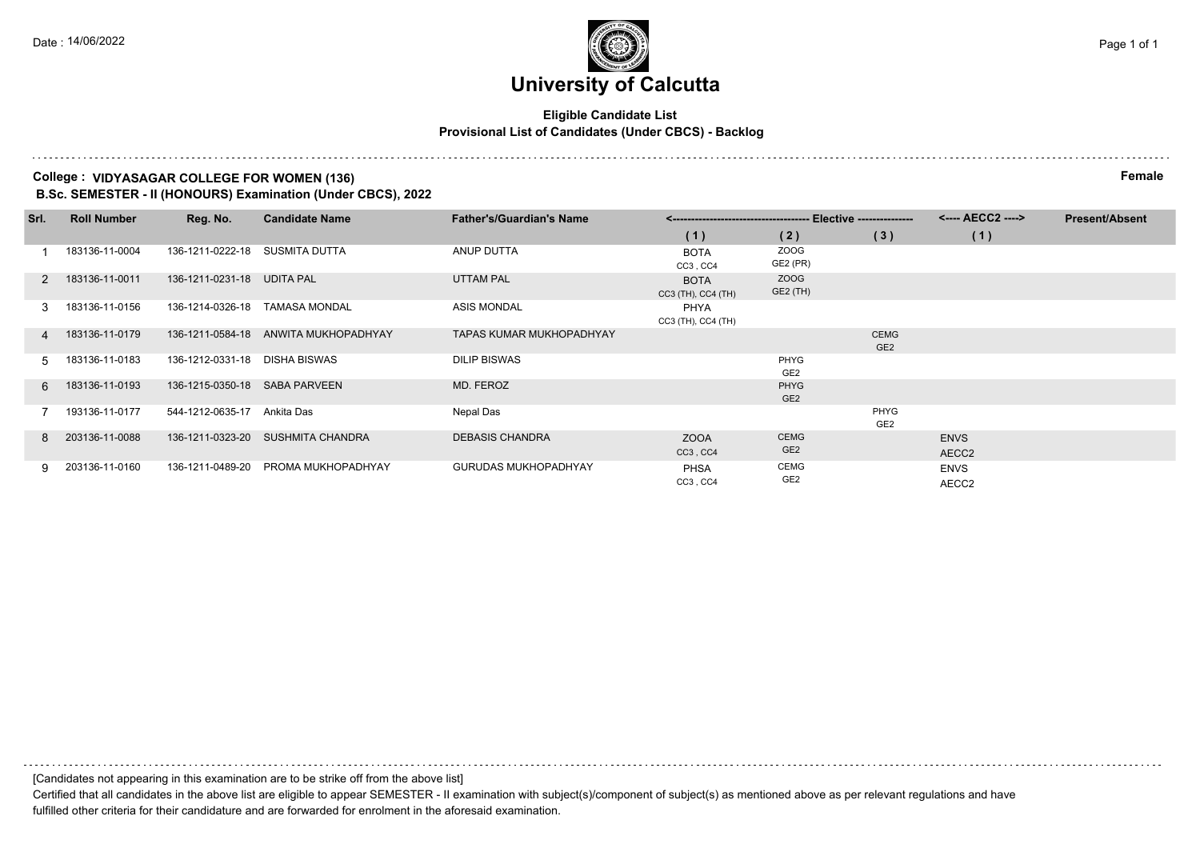### **Eligible Candidate List Provisional List of Candidates (Under CBCS) - Backlog**

#### **College : VIDYASAGAR COLLEGE FOR WOMEN (136) Female**

**B.Sc. SEMESTER - II (HONOURS) Examination (Under CBCS), 2022**

| Srl. | <b>Roll Number</b> | Reg. No.                      | <b>Candidate Name</b>                | <b>Father's/Guardian's Name</b> |                                   |                                |                                | <---- AECC2 ---->    | <b>Present/Absent</b> |
|------|--------------------|-------------------------------|--------------------------------------|---------------------------------|-----------------------------------|--------------------------------|--------------------------------|----------------------|-----------------------|
|      |                    |                               |                                      |                                 | (1)                               | (2)                            | (3)                            | (1)                  |                       |
|      | 183136-11-0004     | 136-1211-0222-18              | SUSMITA DUTTA                        | ANUP DUTTA                      | <b>BOTA</b><br>CC3, CC4           | ZOOG<br>GE2 (PR)               |                                |                      |                       |
| 2    | 183136-11-0011     | 136-1211-0231-18 UDITA PAL    |                                      | <b>UTTAM PAL</b>                | <b>BOTA</b><br>CC3 (TH), CC4 (TH) | ZOOG<br>GE2 (TH)               |                                |                      |                       |
| 3    | 183136-11-0156     | 136-1214-0326-18              | <b>TAMASA MONDAL</b>                 | <b>ASIS MONDAL</b>              | PHYA<br>CC3 (TH), CC4 (TH)        |                                |                                |                      |                       |
| 4    | 183136-11-0179     |                               | 136-1211-0584-18 ANWITA MUKHOPADHYAY | <b>TAPAS KUMAR MUKHOPADHYAY</b> |                                   |                                | <b>CEMG</b><br>GE <sub>2</sub> |                      |                       |
| 5    | 183136-11-0183     | 136-1212-0331-18 DISHA BISWAS |                                      | <b>DILIP BISWAS</b>             |                                   | PHYG<br>GE2                    |                                |                      |                       |
| 6.   | 183136-11-0193     | 136-1215-0350-18 SABA PARVEEN |                                      | MD. FEROZ                       |                                   | PHYG<br>GE <sub>2</sub>        |                                |                      |                       |
|      | 193136-11-0177     | 544-1212-0635-17              | Ankita Das                           | Nepal Das                       |                                   |                                | PHYG<br>GE <sub>2</sub>        |                      |                       |
| 8    | 203136-11-0088     |                               | 136-1211-0323-20 SUSHMITA CHANDRA    | <b>DEBASIS CHANDRA</b>          | <b>ZOOA</b><br>CC3, CC4           | <b>CEMG</b><br>GE <sub>2</sub> |                                | <b>ENVS</b><br>AECC2 |                       |
| 9.   | 203136-11-0160     | 136-1211-0489-20              | PROMA MUKHOPADHYAY                   | <b>GURUDAS MUKHOPADHYAY</b>     | <b>PHSA</b><br>CC3, CC4           | CEMG<br>GE <sub>2</sub>        |                                | <b>ENVS</b><br>AECC2 |                       |

[Candidates not appearing in this examination are to be strike off from the above list]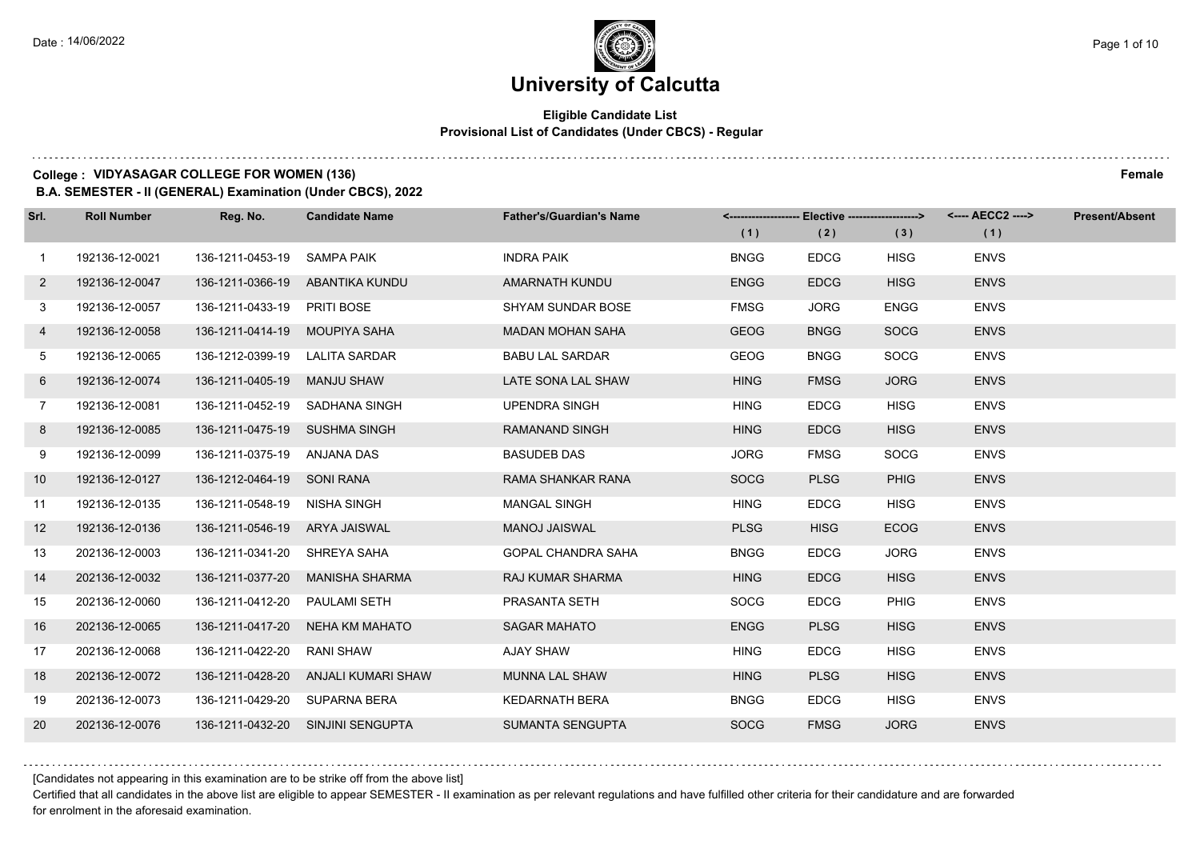## **Eligible Candidate List Provisional List of Candidates (Under CBCS) - Regular**

#### **College : VIDYASAGAR COLLEGE FOR WOMEN (136) Female**

**B.A. SEMESTER - II (GENERAL) Examination (Under CBCS), 2022**

| Srl.         | <b>Roll Number</b> | Reg. No.                       | <b>Candidate Name</b>               | <b>Father's/Guardian's Name</b> |             | <-------------------- Elective -------------------> |             |             | <b>Present/Absent</b> |
|--------------|--------------------|--------------------------------|-------------------------------------|---------------------------------|-------------|-----------------------------------------------------|-------------|-------------|-----------------------|
|              |                    |                                |                                     |                                 | (1)         | (2)                                                 | (3)         | (1)         |                       |
| $\mathbf{1}$ | 192136-12-0021     | 136-1211-0453-19               | SAMPA PAIK                          | <b>INDRA PAIK</b>               | <b>BNGG</b> | <b>EDCG</b>                                         | <b>HISG</b> | <b>ENVS</b> |                       |
| $2^{\circ}$  | 192136-12-0047     |                                | 136-1211-0366-19 ABANTIKA KUNDU     | AMARNATH KUNDU                  | <b>ENGG</b> | <b>EDCG</b>                                         | <b>HISG</b> | <b>ENVS</b> |                       |
| 3            | 192136-12-0057     | 136-1211-0433-19 PRITI BOSE    |                                     | SHYAM SUNDAR BOSE               | <b>FMSG</b> | <b>JORG</b>                                         | <b>ENGG</b> | <b>ENVS</b> |                       |
| 4            | 192136-12-0058     | 136-1211-0414-19 MOUPIYA SAHA  |                                     | <b>MADAN MOHAN SAHA</b>         | <b>GEOG</b> | <b>BNGG</b>                                         | <b>SOCG</b> | <b>ENVS</b> |                       |
| 5            | 192136-12-0065     | 136-1212-0399-19 LALITA SARDAR |                                     | <b>BABU LAL SARDAR</b>          | <b>GEOG</b> | <b>BNGG</b>                                         | SOCG        | <b>ENVS</b> |                       |
| 6            | 192136-12-0074     | 136-1211-0405-19 MANJU SHAW    |                                     | LATE SONA LAL SHAW              | <b>HING</b> | <b>FMSG</b>                                         | <b>JORG</b> | <b>ENVS</b> |                       |
| $7^{\circ}$  | 192136-12-0081     |                                | 136-1211-0452-19 SADHANA SINGH      | <b>UPENDRA SINGH</b>            | <b>HING</b> | <b>EDCG</b>                                         | <b>HISG</b> | <b>ENVS</b> |                       |
| 8            | 192136-12-0085     | 136-1211-0475-19 SUSHMA SINGH  |                                     | <b>RAMANAND SINGH</b>           | <b>HING</b> | <b>EDCG</b>                                         | <b>HISG</b> | <b>ENVS</b> |                       |
| 9            | 192136-12-0099     | 136-1211-0375-19 ANJANA DAS    |                                     | <b>BASUDEB DAS</b>              | <b>JORG</b> | <b>FMSG</b>                                         | <b>SOCG</b> | <b>ENVS</b> |                       |
| 10           | 192136-12-0127     | 136-1212-0464-19 SONI RANA     |                                     | RAMA SHANKAR RANA               | <b>SOCG</b> | <b>PLSG</b>                                         | <b>PHIG</b> | <b>ENVS</b> |                       |
| 11           | 192136-12-0135     | 136-1211-0548-19 NISHA SINGH   |                                     | <b>MANGAL SINGH</b>             | <b>HING</b> | <b>EDCG</b>                                         | <b>HISG</b> | <b>ENVS</b> |                       |
| 12           | 192136-12-0136     | 136-1211-0546-19 ARYA JAISWAL  |                                     | <b>MANOJ JAISWAL</b>            | <b>PLSG</b> | <b>HISG</b>                                         | <b>ECOG</b> | <b>ENVS</b> |                       |
| 13           | 202136-12-0003     | 136-1211-0341-20 SHREYA SAHA   |                                     | <b>GOPAL CHANDRA SAHA</b>       | <b>BNGG</b> | <b>EDCG</b>                                         | <b>JORG</b> | <b>ENVS</b> |                       |
| 14           | 202136-12-0032     |                                | 136-1211-0377-20 MANISHA SHARMA     | <b>RAJ KUMAR SHARMA</b>         | <b>HING</b> | <b>EDCG</b>                                         | <b>HISG</b> | <b>ENVS</b> |                       |
| 15           | 202136-12-0060     | 136-1211-0412-20               | PAULAMI SETH                        | PRASANTA SETH                   | <b>SOCG</b> | <b>EDCG</b>                                         | <b>PHIG</b> | <b>ENVS</b> |                       |
| 16           | 202136-12-0065     | 136-1211-0417-20               | NEHA KM MAHATO                      | <b>SAGAR MAHATO</b>             | <b>ENGG</b> | <b>PLSG</b>                                         | <b>HISG</b> | <b>ENVS</b> |                       |
| 17           | 202136-12-0068     | 136-1211-0422-20               | <b>RANI SHAW</b>                    | <b>AJAY SHAW</b>                | <b>HING</b> | <b>EDCG</b>                                         | <b>HISG</b> | <b>ENVS</b> |                       |
| 18           | 202136-12-0072     |                                | 136-1211-0428-20 ANJALI KUMARI SHAW | <b>MUNNA LAL SHAW</b>           | <b>HING</b> | <b>PLSG</b>                                         | <b>HISG</b> | <b>ENVS</b> |                       |
| 19           | 202136-12-0073     | 136-1211-0429-20 SUPARNA BERA  |                                     | <b>KEDARNATH BERA</b>           | <b>BNGG</b> | <b>EDCG</b>                                         | <b>HISG</b> | <b>ENVS</b> |                       |
| 20           | 202136-12-0076     |                                | 136-1211-0432-20 SINJINI SENGUPTA   | <b>SUMANTA SENGUPTA</b>         | <b>SOCG</b> | <b>FMSG</b>                                         | <b>JORG</b> | <b>ENVS</b> |                       |

[Candidates not appearing in this examination are to be strike off from the above list]

Certified that all candidates in the above list are eligible to appear SEMESTER - II examination as per relevant regulations and have fulfilled other criteria for their candidature and are forwarded for enrolment in the aforesaid examination.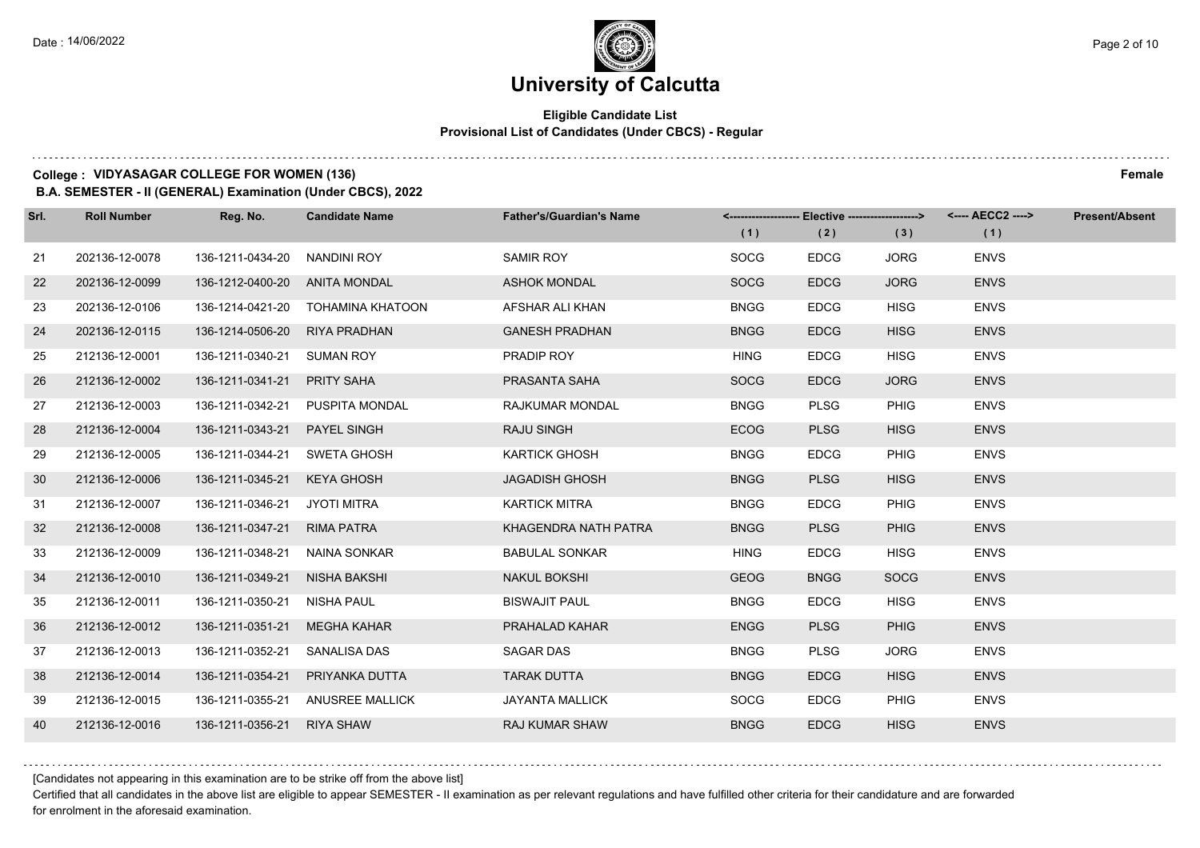## **Eligible Candidate List Provisional List of Candidates (Under CBCS) - Regular**

#### **College : VIDYASAGAR COLLEGE FOR WOMEN (136) Female**

**B.A. SEMESTER - II (GENERAL) Examination (Under CBCS), 2022**

| Srl. | <b>Roll Number</b> | Reg. No.                     | <b>Candidate Name</b>           | <b>Father's/Guardian's Name</b> | (1)         | <-------------------- Elective ------------------><br>(2) | (3)         | (1)         | <b>Present/Absent</b> |
|------|--------------------|------------------------------|---------------------------------|---------------------------------|-------------|-----------------------------------------------------------|-------------|-------------|-----------------------|
| 21   | 202136-12-0078     | 136-1211-0434-20             | NANDINI ROY                     | <b>SAMIR ROY</b>                | <b>SOCG</b> | <b>EDCG</b>                                               | <b>JORG</b> | <b>ENVS</b> |                       |
| 22   | 202136-12-0099     | 136-1212-0400-20             | ANITA MONDAL                    | <b>ASHOK MONDAL</b>             | <b>SOCG</b> | <b>EDCG</b>                                               | <b>JORG</b> | <b>ENVS</b> |                       |
| 23   | 202136-12-0106     | 136-1214-0421-20             | TOHAMINA KHATOON                | AFSHAR ALI KHAN                 | <b>BNGG</b> | <b>EDCG</b>                                               | <b>HISG</b> | <b>ENVS</b> |                       |
| 24   | 202136-12-0115     | 136-1214-0506-20             | RIYA PRADHAN                    | <b>GANESH PRADHAN</b>           | <b>BNGG</b> | <b>EDCG</b>                                               | <b>HISG</b> | <b>ENVS</b> |                       |
| 25   | 212136-12-0001     | 136-1211-0340-21             | SUMAN ROY                       | PRADIP ROY                      | <b>HING</b> | <b>EDCG</b>                                               | <b>HISG</b> | <b>ENVS</b> |                       |
| 26   | 212136-12-0002     | 136-1211-0341-21             | PRITY SAHA                      | PRASANTA SAHA                   | <b>SOCG</b> | <b>EDCG</b>                                               | <b>JORG</b> | <b>ENVS</b> |                       |
| 27   | 212136-12-0003     |                              | 136-1211-0342-21 PUSPITA MONDAL | <b>RAJKUMAR MONDAL</b>          | <b>BNGG</b> | <b>PLSG</b>                                               | <b>PHIG</b> | <b>ENVS</b> |                       |
| 28   | 212136-12-0004     | 136-1211-0343-21             | <b>PAYEL SINGH</b>              | <b>RAJU SINGH</b>               | <b>ECOG</b> | <b>PLSG</b>                                               | <b>HISG</b> | <b>ENVS</b> |                       |
| 29   | 212136-12-0005     | 136-1211-0344-21             | SWETA GHOSH                     | <b>KARTICK GHOSH</b>            | <b>BNGG</b> | <b>EDCG</b>                                               | <b>PHIG</b> | <b>ENVS</b> |                       |
| 30   | 212136-12-0006     | 136-1211-0345-21             | <b>KEYA GHOSH</b>               | <b>JAGADISH GHOSH</b>           | <b>BNGG</b> | <b>PLSG</b>                                               | <b>HISG</b> | <b>ENVS</b> |                       |
| 31   | 212136-12-0007     | 136-1211-0346-21 JYOTI MITRA |                                 | <b>KARTICK MITRA</b>            | <b>BNGG</b> | <b>EDCG</b>                                               | <b>PHIG</b> | <b>ENVS</b> |                       |
| 32   | 212136-12-0008     | 136-1211-0347-21             | <b>RIMA PATRA</b>               | KHAGENDRA NATH PATRA            | <b>BNGG</b> | <b>PLSG</b>                                               | <b>PHIG</b> | <b>ENVS</b> |                       |
| 33   | 212136-12-0009     | 136-1211-0348-21             | NAINA SONKAR                    | <b>BABULAL SONKAR</b>           | <b>HING</b> | <b>EDCG</b>                                               | <b>HISG</b> | <b>ENVS</b> |                       |
| 34   | 212136-12-0010     | 136-1211-0349-21             | <b>NISHA BAKSHI</b>             | <b>NAKUL BOKSHI</b>             | <b>GEOG</b> | <b>BNGG</b>                                               | <b>SOCG</b> | <b>ENVS</b> |                       |
| 35   | 212136-12-0011     | 136-1211-0350-21             | NISHA PAUL                      | <b>BISWAJIT PAUL</b>            | <b>BNGG</b> | <b>EDCG</b>                                               | <b>HISG</b> | <b>ENVS</b> |                       |
| 36   | 212136-12-0012     | 136-1211-0351-21             | MEGHA KAHAR                     | PRAHALAD KAHAR                  | <b>ENGG</b> | <b>PLSG</b>                                               | <b>PHIG</b> | <b>ENVS</b> |                       |
| 37   | 212136-12-0013     | 136-1211-0352-21             | SANALISA DAS                    | <b>SAGAR DAS</b>                | <b>BNGG</b> | <b>PLSG</b>                                               | <b>JORG</b> | <b>ENVS</b> |                       |
| 38   | 212136-12-0014     | 136-1211-0354-21             | PRIYANKA DUTTA                  | <b>TARAK DUTTA</b>              | <b>BNGG</b> | <b>EDCG</b>                                               | <b>HISG</b> | <b>ENVS</b> |                       |
| 39   | 212136-12-0015     | 136-1211-0355-21             | ANUSREE MALLICK                 | <b>JAYANTA MALLICK</b>          | <b>SOCG</b> | <b>EDCG</b>                                               | <b>PHIG</b> | <b>ENVS</b> |                       |
| 40   | 212136-12-0016     | 136-1211-0356-21             | <b>RIYA SHAW</b>                | <b>RAJ KUMAR SHAW</b>           | <b>BNGG</b> | <b>EDCG</b>                                               | <b>HISG</b> | <b>ENVS</b> |                       |

[Candidates not appearing in this examination are to be strike off from the above list]

Certified that all candidates in the above list are eligible to appear SEMESTER - II examination as per relevant regulations and have fulfilled other criteria for their candidature and are forwarded for enrolment in the aforesaid examination.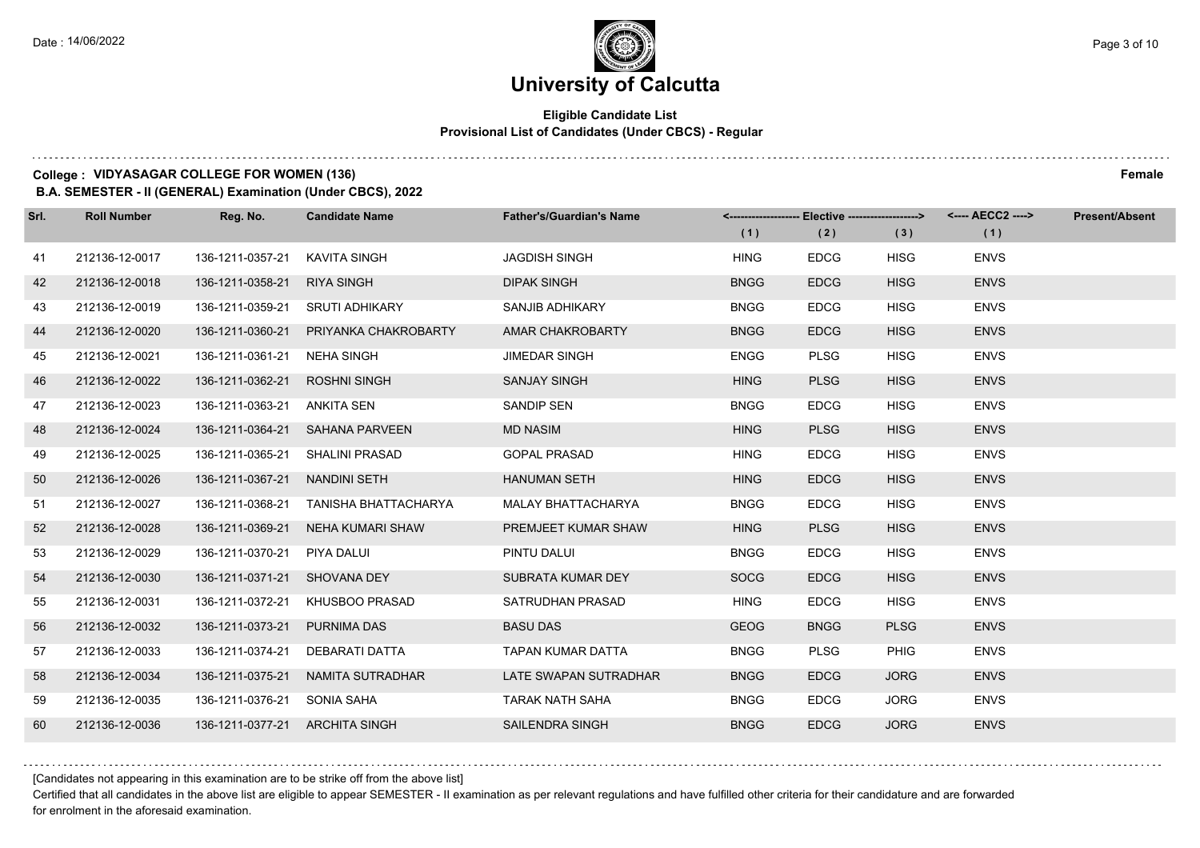## **Eligible Candidate List Provisional List of Candidates (Under CBCS) - Regular**

#### **College : VIDYASAGAR COLLEGE FOR WOMEN (136) Female**

**B.A. SEMESTER - II (GENERAL) Examination (Under CBCS), 2022**

| Srl. | <b>Roll Number</b> | Reg. No.                       | <b>Candidate Name</b>             | <b>Father's/Guardian's Name</b> | (1)         | <-------------------- Elective ------------------><br>(2) | (3)         | (1)         | <b>Present/Absent</b> |
|------|--------------------|--------------------------------|-----------------------------------|---------------------------------|-------------|-----------------------------------------------------------|-------------|-------------|-----------------------|
| 41   | 212136-12-0017     | 136-1211-0357-21               | KAVITA SINGH                      | <b>JAGDISH SINGH</b>            | <b>HING</b> | <b>EDCG</b>                                               | <b>HISG</b> | <b>ENVS</b> |                       |
| 42   | 212136-12-0018     | 136-1211-0358-21               | <b>RIYA SINGH</b>                 | <b>DIPAK SINGH</b>              | <b>BNGG</b> | <b>EDCG</b>                                               | <b>HISG</b> | <b>ENVS</b> |                       |
| 43   | 212136-12-0019     |                                | 136-1211-0359-21 SRUTI ADHIKARY   | SANJIB ADHIKARY                 | <b>BNGG</b> | <b>EDCG</b>                                               | <b>HISG</b> | <b>ENVS</b> |                       |
| 44   | 212136-12-0020     | 136-1211-0360-21               | PRIYANKA CHAKROBARTY              | AMAR CHAKROBARTY                | <b>BNGG</b> | <b>EDCG</b>                                               | <b>HISG</b> | <b>ENVS</b> |                       |
| 45   | 212136-12-0021     | 136-1211-0361-21               | NEHA SINGH                        | <b>JIMEDAR SINGH</b>            | <b>ENGG</b> | <b>PLSG</b>                                               | <b>HISG</b> | <b>ENVS</b> |                       |
| 46   | 212136-12-0022     | 136-1211-0362-21               | <b>ROSHNI SINGH</b>               | <b>SANJAY SINGH</b>             | <b>HING</b> | <b>PLSG</b>                                               | <b>HISG</b> | <b>ENVS</b> |                       |
| 47   | 212136-12-0023     | 136-1211-0363-21 ANKITA SEN    |                                   | <b>SANDIP SEN</b>               | <b>BNGG</b> | <b>EDCG</b>                                               | <b>HISG</b> | <b>ENVS</b> |                       |
| 48   | 212136-12-0024     |                                | 136-1211-0364-21 SAHANA PARVEEN   | <b>MD NASIM</b>                 | <b>HING</b> | <b>PLSG</b>                                               | <b>HISG</b> | <b>ENVS</b> |                       |
| 49   | 212136-12-0025     | 136-1211-0365-21               | SHALINI PRASAD                    | <b>GOPAL PRASAD</b>             | <b>HING</b> | <b>EDCG</b>                                               | <b>HISG</b> | <b>ENVS</b> |                       |
| 50   | 212136-12-0026     | 136-1211-0367-21               | NANDINI SETH                      | <b>HANUMAN SETH</b>             | <b>HING</b> | <b>EDCG</b>                                               | <b>HISG</b> | <b>ENVS</b> |                       |
| 51   | 212136-12-0027     | 136-1211-0368-21               | TANISHA BHATTACHARYA              | <b>MALAY BHATTACHARYA</b>       | <b>BNGG</b> | <b>EDCG</b>                                               | <b>HISG</b> | <b>ENVS</b> |                       |
| 52   | 212136-12-0028     |                                | 136-1211-0369-21 NEHA KUMARI SHAW | PREMJEET KUMAR SHAW             | <b>HING</b> | <b>PLSG</b>                                               | <b>HISG</b> | <b>ENVS</b> |                       |
| 53   | 212136-12-0029     | 136-1211-0370-21               | PIYA DALUI                        | PINTU DALUI                     | <b>BNGG</b> | <b>EDCG</b>                                               | <b>HISG</b> | <b>ENVS</b> |                       |
| 54   | 212136-12-0030     | 136-1211-0371-21 SHOVANA DEY   |                                   | SUBRATA KUMAR DEY               | <b>SOCG</b> | <b>EDCG</b>                                               | <b>HISG</b> | <b>ENVS</b> |                       |
| 55   | 212136-12-0031     | 136-1211-0372-21               | KHUSBOO PRASAD                    | SATRUDHAN PRASAD                | <b>HING</b> | <b>EDCG</b>                                               | <b>HISG</b> | <b>ENVS</b> |                       |
| 56   | 212136-12-0032     | 136-1211-0373-21               | <b>PURNIMA DAS</b>                | <b>BASU DAS</b>                 | <b>GEOG</b> | <b>BNGG</b>                                               | <b>PLSG</b> | <b>ENVS</b> |                       |
| 57   | 212136-12-0033     | 136-1211-0374-21               | DEBARATI DATTA                    | <b>TAPAN KUMAR DATTA</b>        | <b>BNGG</b> | <b>PLSG</b>                                               | <b>PHIG</b> | <b>ENVS</b> |                       |
| 58   | 212136-12-0034     | 136-1211-0375-21               | NAMITA SUTRADHAR                  | LATE SWAPAN SUTRADHAR           | <b>BNGG</b> | <b>EDCG</b>                                               | <b>JORG</b> | <b>ENVS</b> |                       |
| 59   | 212136-12-0035     | 136-1211-0376-21 SONIA SAHA    |                                   | TARAK NATH SAHA                 | <b>BNGG</b> | <b>EDCG</b>                                               | <b>JORG</b> | <b>ENVS</b> |                       |
| 60   | 212136-12-0036     | 136-1211-0377-21 ARCHITA SINGH |                                   | SAILENDRA SINGH                 | <b>BNGG</b> | <b>EDCG</b>                                               | <b>JORG</b> | <b>ENVS</b> |                       |

[Candidates not appearing in this examination are to be strike off from the above list]

Certified that all candidates in the above list are eligible to appear SEMESTER - II examination as per relevant regulations and have fulfilled other criteria for their candidature and are forwarded for enrolment in the aforesaid examination.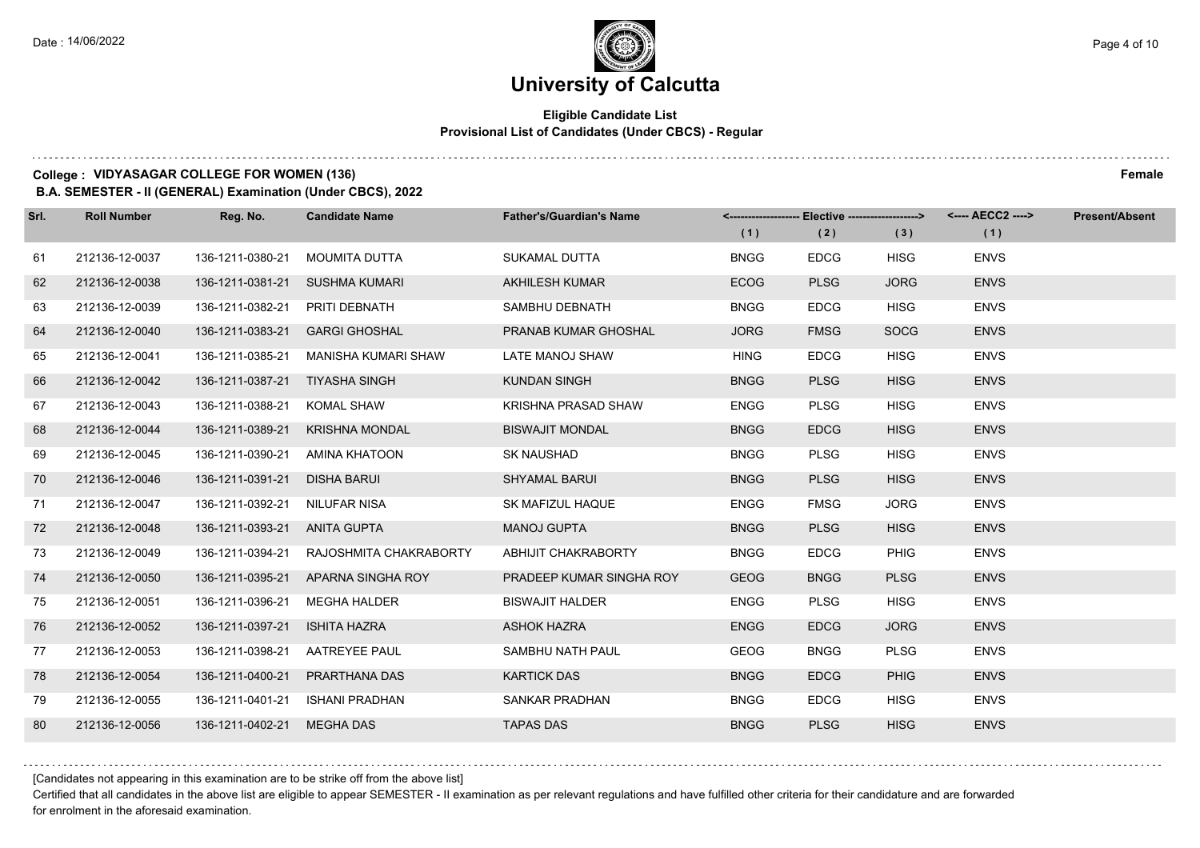## **Eligible Candidate List Provisional List of Candidates (Under CBCS) - Regular**

#### **College : VIDYASAGAR COLLEGE FOR WOMEN (136) Female**

**B.A. SEMESTER - II (GENERAL) Examination (Under CBCS), 2022**

| Srl. | <b>Roll Number</b> | Reg. No.         | <b>Candidate Name</b>      | <b>Father's/Guardian's Name</b> |             | <-------------------- Elective ------------------> |             | <---- AECC2 ----> | <b>Present/Absent</b> |
|------|--------------------|------------------|----------------------------|---------------------------------|-------------|----------------------------------------------------|-------------|-------------------|-----------------------|
|      |                    |                  |                            |                                 | (1)         | (2)                                                | (3)         | (1)               |                       |
| 61   | 212136-12-0037     | 136-1211-0380-21 | <b>MOUMITA DUTTA</b>       | SUKAMAL DUTTA                   | <b>BNGG</b> | <b>EDCG</b>                                        | <b>HISG</b> | <b>ENVS</b>       |                       |
| 62   | 212136-12-0038     | 136-1211-0381-21 | <b>SUSHMA KUMARI</b>       | <b>AKHILESH KUMAR</b>           | <b>ECOG</b> | <b>PLSG</b>                                        | <b>JORG</b> | <b>ENVS</b>       |                       |
| 63   | 212136-12-0039     | 136-1211-0382-21 | PRITI DEBNATH              | SAMBHU DEBNATH                  | <b>BNGG</b> | <b>EDCG</b>                                        | <b>HISG</b> | <b>ENVS</b>       |                       |
| 64   | 212136-12-0040     | 136-1211-0383-21 | <b>GARGI GHOSHAL</b>       | PRANAB KUMAR GHOSHAL            | <b>JORG</b> | <b>FMSG</b>                                        | <b>SOCG</b> | <b>ENVS</b>       |                       |
| 65   | 212136-12-0041     | 136-1211-0385-21 | <b>MANISHA KUMARI SHAW</b> | LATE MANOJ SHAW                 | <b>HING</b> | <b>EDCG</b>                                        | <b>HISG</b> | <b>ENVS</b>       |                       |
| 66   | 212136-12-0042     | 136-1211-0387-21 | <b>TIYASHA SINGH</b>       | <b>KUNDAN SINGH</b>             | <b>BNGG</b> | <b>PLSG</b>                                        | <b>HISG</b> | <b>ENVS</b>       |                       |
| 67   | 212136-12-0043     | 136-1211-0388-21 | <b>KOMAL SHAW</b>          | <b>KRISHNA PRASAD SHAW</b>      | <b>ENGG</b> | <b>PLSG</b>                                        | <b>HISG</b> | <b>ENVS</b>       |                       |
| 68   | 212136-12-0044     | 136-1211-0389-21 | <b>KRISHNA MONDAL</b>      | <b>BISWAJIT MONDAL</b>          | <b>BNGG</b> | <b>EDCG</b>                                        | <b>HISG</b> | <b>ENVS</b>       |                       |
| 69   | 212136-12-0045     | 136-1211-0390-21 | AMINA KHATOON              | <b>SK NAUSHAD</b>               | <b>BNGG</b> | <b>PLSG</b>                                        | <b>HISG</b> | <b>ENVS</b>       |                       |
| 70   | 212136-12-0046     | 136-1211-0391-21 | <b>DISHA BARUI</b>         | <b>SHYAMAL BARUI</b>            | <b>BNGG</b> | <b>PLSG</b>                                        | <b>HISG</b> | <b>ENVS</b>       |                       |
| 71   | 212136-12-0047     | 136-1211-0392-21 | <b>NILUFAR NISA</b>        | SK MAFIZUL HAQUE                | <b>ENGG</b> | <b>FMSG</b>                                        | <b>JORG</b> | <b>ENVS</b>       |                       |
| 72   | 212136-12-0048     | 136-1211-0393-21 | ANITA GUPTA                | <b>MANOJ GUPTA</b>              | <b>BNGG</b> | <b>PLSG</b>                                        | <b>HISG</b> | <b>ENVS</b>       |                       |
| 73   | 212136-12-0049     | 136-1211-0394-21 | RAJOSHMITA CHAKRABORTY     | <b>ABHIJIT CHAKRABORTY</b>      | <b>BNGG</b> | <b>EDCG</b>                                        | <b>PHIG</b> | <b>ENVS</b>       |                       |
| 74   | 212136-12-0050     | 136-1211-0395-21 | APARNA SINGHA ROY          | PRADEEP KUMAR SINGHA ROY        | <b>GEOG</b> | <b>BNGG</b>                                        | <b>PLSG</b> | <b>ENVS</b>       |                       |
| 75   | 212136-12-0051     | 136-1211-0396-21 | <b>MEGHA HALDER</b>        | <b>BISWAJIT HALDER</b>          | <b>ENGG</b> | <b>PLSG</b>                                        | <b>HISG</b> | <b>ENVS</b>       |                       |
| 76   | 212136-12-0052     | 136-1211-0397-21 | <b>ISHITA HAZRA</b>        | <b>ASHOK HAZRA</b>              | <b>ENGG</b> | <b>EDCG</b>                                        | <b>JORG</b> | <b>ENVS</b>       |                       |
| 77   | 212136-12-0053     | 136-1211-0398-21 | <b>AATREYEE PAUL</b>       | SAMBHU NATH PAUL                | <b>GEOG</b> | <b>BNGG</b>                                        | <b>PLSG</b> | <b>ENVS</b>       |                       |
| 78   | 212136-12-0054     | 136-1211-0400-21 | PRARTHANA DAS              | <b>KARTICK DAS</b>              | <b>BNGG</b> | <b>EDCG</b>                                        | <b>PHIG</b> | <b>ENVS</b>       |                       |
| 79   | 212136-12-0055     | 136-1211-0401-21 | <b>ISHANI PRADHAN</b>      | SANKAR PRADHAN                  | <b>BNGG</b> | <b>EDCG</b>                                        | <b>HISG</b> | <b>ENVS</b>       |                       |
| 80   | 212136-12-0056     | 136-1211-0402-21 | <b>MEGHA DAS</b>           | <b>TAPAS DAS</b>                | <b>BNGG</b> | <b>PLSG</b>                                        | <b>HISG</b> | <b>ENVS</b>       |                       |

[Candidates not appearing in this examination are to be strike off from the above list]

Certified that all candidates in the above list are eligible to appear SEMESTER - II examination as per relevant regulations and have fulfilled other criteria for their candidature and are forwarded for enrolment in the aforesaid examination.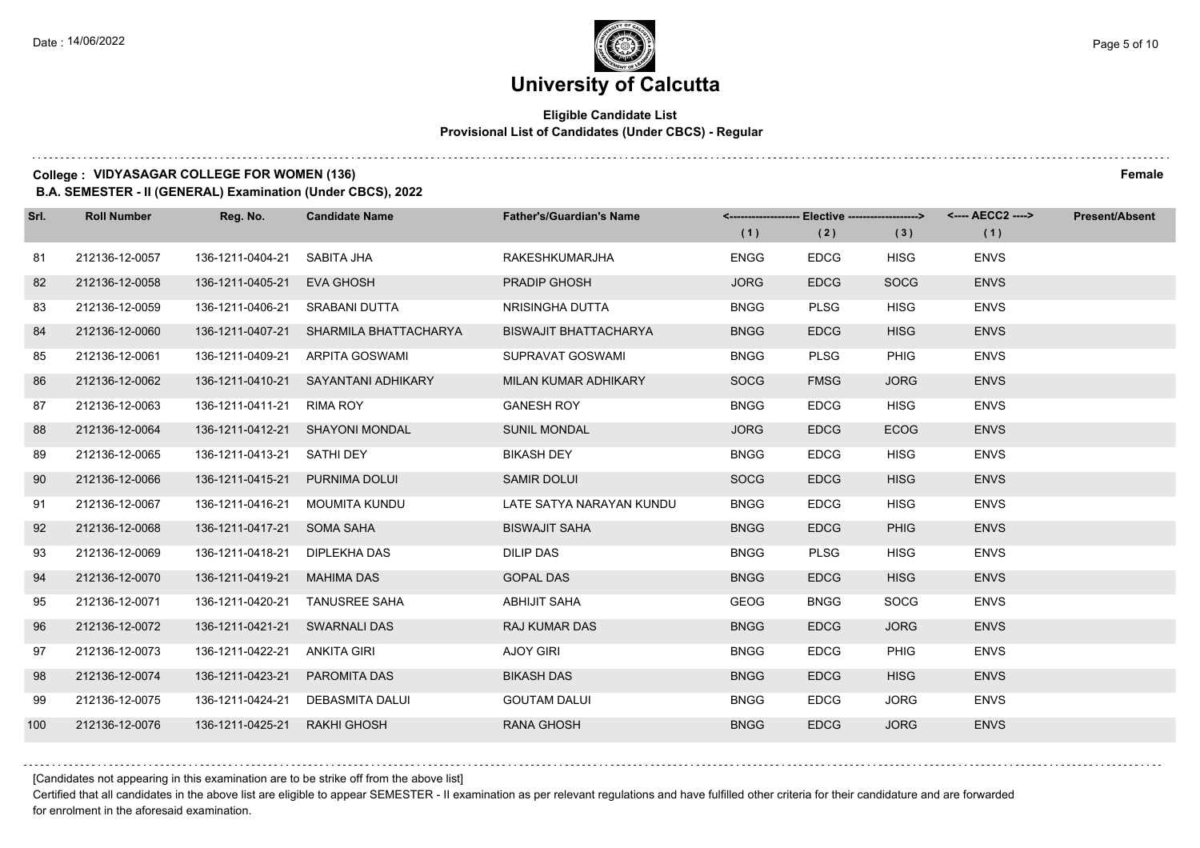## **Eligible Candidate List Provisional List of Candidates (Under CBCS) - Regular**

#### **College : VIDYASAGAR COLLEGE FOR WOMEN (136) Female**

**B.A. SEMESTER - II (GENERAL) Examination (Under CBCS), 2022**

| Srl. | <b>Roll Number</b> | Reg. No.                       | <b>Candidate Name</b>                  | <b>Father's/Guardian's Name</b> |             | <-------------------- Elective ------------------> |             | <---- AECC2 ----> | <b>Present/Absent</b> |
|------|--------------------|--------------------------------|----------------------------------------|---------------------------------|-------------|----------------------------------------------------|-------------|-------------------|-----------------------|
|      |                    |                                |                                        |                                 | (1)         | (2)                                                | (3)         | (1)               |                       |
| 81   | 212136-12-0057     | 136-1211-0404-21               | SABITA JHA                             | <b>RAKESHKUMARJHA</b>           | <b>ENGG</b> | <b>EDCG</b>                                        | <b>HISG</b> | <b>ENVS</b>       |                       |
| 82   | 212136-12-0058     | 136-1211-0405-21               | <b>EVA GHOSH</b>                       | PRADIP GHOSH                    | <b>JORG</b> | <b>EDCG</b>                                        | <b>SOCG</b> | <b>ENVS</b>       |                       |
| 83   | 212136-12-0059     | 136-1211-0406-21 SRABANI DUTTA |                                        | NRISINGHA DUTTA                 | <b>BNGG</b> | <b>PLSG</b>                                        | <b>HISG</b> | <b>ENVS</b>       |                       |
| 84   | 212136-12-0060     |                                | 136-1211-0407-21 SHARMILA BHATTACHARYA | <b>BISWAJIT BHATTACHARYA</b>    | <b>BNGG</b> | <b>EDCG</b>                                        | <b>HISG</b> | <b>ENVS</b>       |                       |
| 85   | 212136-12-0061     | 136-1211-0409-21               | ARPITA GOSWAMI                         | SUPRAVAT GOSWAMI                | <b>BNGG</b> | <b>PLSG</b>                                        | <b>PHIG</b> | <b>ENVS</b>       |                       |
| 86   | 212136-12-0062     | 136-1211-0410-21               | SAYANTANI ADHIKARY                     | MILAN KUMAR ADHIKARY            | <b>SOCG</b> | <b>FMSG</b>                                        | <b>JORG</b> | <b>ENVS</b>       |                       |
| 87   | 212136-12-0063     | 136-1211-0411-21 RIMA ROY      |                                        | <b>GANESH ROY</b>               | <b>BNGG</b> | <b>EDCG</b>                                        | <b>HISG</b> | <b>ENVS</b>       |                       |
| 88   | 212136-12-0064     |                                | 136-1211-0412-21 SHAYONI MONDAL        | <b>SUNIL MONDAL</b>             | <b>JORG</b> | <b>EDCG</b>                                        | <b>ECOG</b> | <b>ENVS</b>       |                       |
| 89   | 212136-12-0065     | 136-1211-0413-21               | SATHI DEY                              | <b>BIKASH DEY</b>               | <b>BNGG</b> | <b>EDCG</b>                                        | <b>HISG</b> | <b>ENVS</b>       |                       |
| 90   | 212136-12-0066     | 136-1211-0415-21               | <b>PURNIMA DOLUI</b>                   | <b>SAMIR DOLUI</b>              | <b>SOCG</b> | <b>EDCG</b>                                        | <b>HISG</b> | <b>ENVS</b>       |                       |
| 91   | 212136-12-0067     | 136-1211-0416-21               | MOUMITA KUNDU                          | LATE SATYA NARAYAN KUNDU        | <b>BNGG</b> | <b>EDCG</b>                                        | <b>HISG</b> | <b>ENVS</b>       |                       |
| 92   | 212136-12-0068     | 136-1211-0417-21 SOMA SAHA     |                                        | <b>BISWAJIT SAHA</b>            | <b>BNGG</b> | <b>EDCG</b>                                        | <b>PHIG</b> | <b>ENVS</b>       |                       |
| 93   | 212136-12-0069     | 136-1211-0418-21               | DIPLEKHA DAS                           | <b>DILIP DAS</b>                | <b>BNGG</b> | <b>PLSG</b>                                        | <b>HISG</b> | <b>ENVS</b>       |                       |
| 94   | 212136-12-0070     | 136-1211-0419-21               | <b>MAHIMA DAS</b>                      | <b>GOPAL DAS</b>                | <b>BNGG</b> | <b>EDCG</b>                                        | <b>HISG</b> | <b>ENVS</b>       |                       |
| 95   | 212136-12-0071     | 136-1211-0420-21               | <b>TANUSREE SAHA</b>                   | <b>ABHIJIT SAHA</b>             | <b>GEOG</b> | <b>BNGG</b>                                        | <b>SOCG</b> | <b>ENVS</b>       |                       |
| 96   | 212136-12-0072     | 136-1211-0421-21               | SWARNALI DAS                           | <b>RAJ KUMAR DAS</b>            | <b>BNGG</b> | <b>EDCG</b>                                        | <b>JORG</b> | <b>ENVS</b>       |                       |
| 97   | 212136-12-0073     | 136-1211-0422-21               | <b>ANKITA GIRI</b>                     | <b>AJOY GIRI</b>                | <b>BNGG</b> | <b>EDCG</b>                                        | <b>PHIG</b> | <b>ENVS</b>       |                       |
| 98   | 212136-12-0074     | 136-1211-0423-21               | PAROMITA DAS                           | <b>BIKASH DAS</b>               | <b>BNGG</b> | <b>EDCG</b>                                        | <b>HISG</b> | <b>ENVS</b>       |                       |
| 99   | 212136-12-0075     |                                | 136-1211-0424-21 DEBASMITA DALUI       | <b>GOUTAM DALUI</b>             | <b>BNGG</b> | <b>EDCG</b>                                        | <b>JORG</b> | <b>ENVS</b>       |                       |
| 100  | 212136-12-0076     | 136-1211-0425-21               | <b>RAKHI GHOSH</b>                     | <b>RANA GHOSH</b>               | <b>BNGG</b> | <b>EDCG</b>                                        | <b>JORG</b> | <b>ENVS</b>       |                       |

[Candidates not appearing in this examination are to be strike off from the above list]

Certified that all candidates in the above list are eligible to appear SEMESTER - II examination as per relevant regulations and have fulfilled other criteria for their candidature and are forwarded for enrolment in the aforesaid examination.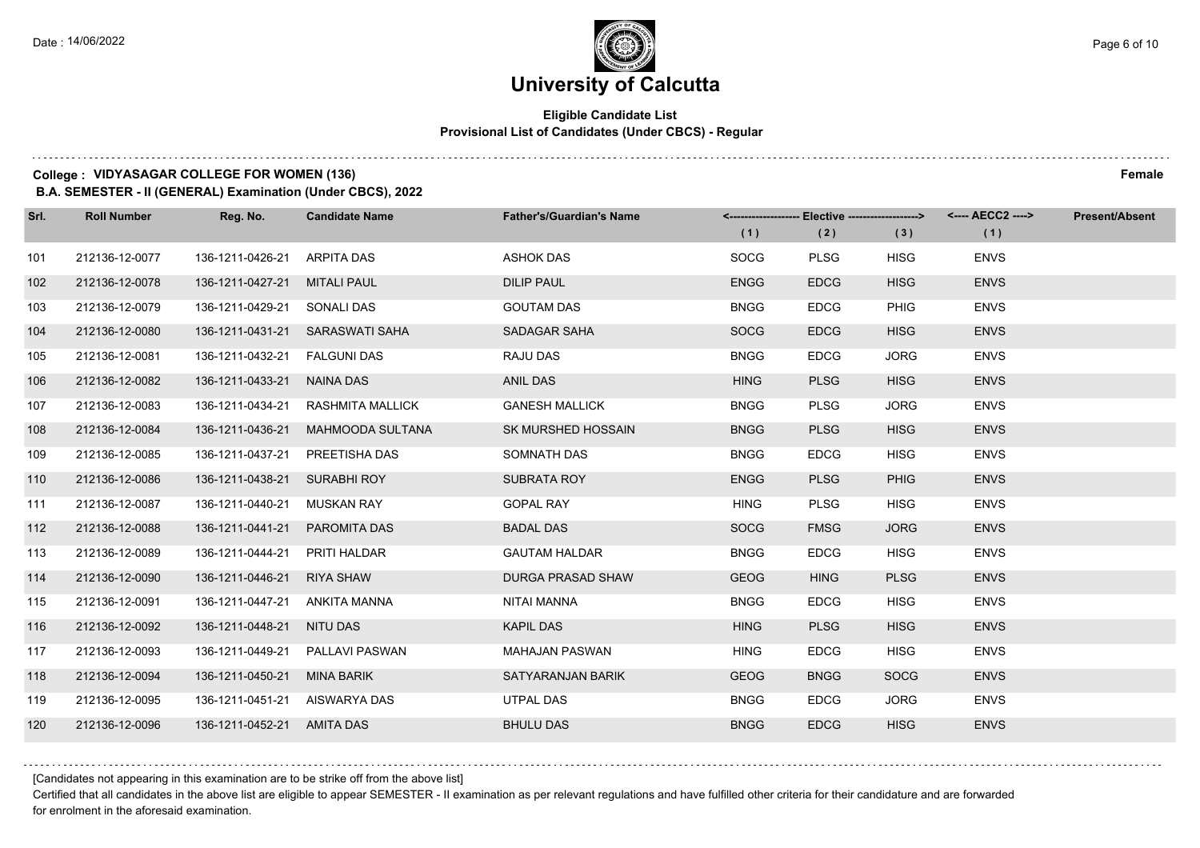## **Eligible Candidate List Provisional List of Candidates (Under CBCS) - Regular**

#### **College : VIDYASAGAR COLLEGE FOR WOMEN (136) Female**

**B.A. SEMESTER - II (GENERAL) Examination (Under CBCS), 2022**

| Srl. | <b>Roll Number</b> | Reg. No.                      | <b>Candidate Name</b>           | <b>Father's/Guardian's Name</b> |             | <-------------------- Elective ------------------> |             |             | <b>Present/Absent</b> |
|------|--------------------|-------------------------------|---------------------------------|---------------------------------|-------------|----------------------------------------------------|-------------|-------------|-----------------------|
|      |                    |                               |                                 |                                 | (1)         | (2)                                                | (3)         | (1)         |                       |
| 101  | 212136-12-0077     | 136-1211-0426-21              | ARPITA DAS                      | <b>ASHOK DAS</b>                | <b>SOCG</b> | <b>PLSG</b>                                        | <b>HISG</b> | <b>ENVS</b> |                       |
| 102  | 212136-12-0078     | 136-1211-0427-21              | <b>MITALI PAUL</b>              | <b>DILIP PAUL</b>               | <b>ENGG</b> | <b>EDCG</b>                                        | <b>HISG</b> | <b>ENVS</b> |                       |
| 103  | 212136-12-0079     | 136-1211-0429-21 SONALI DAS   |                                 | <b>GOUTAM DAS</b>               | <b>BNGG</b> | <b>EDCG</b>                                        | <b>PHIG</b> | <b>ENVS</b> |                       |
| 104  | 212136-12-0080     |                               | 136-1211-0431-21 SARASWATI SAHA | SADAGAR SAHA                    | <b>SOCG</b> | <b>EDCG</b>                                        | <b>HISG</b> | <b>ENVS</b> |                       |
| 105  | 212136-12-0081     | 136-1211-0432-21              | <b>FALGUNI DAS</b>              | RAJU DAS                        | <b>BNGG</b> | <b>EDCG</b>                                        | <b>JORG</b> | <b>ENVS</b> |                       |
| 106  | 212136-12-0082     | 136-1211-0433-21              | NAINA DAS                       | <b>ANIL DAS</b>                 | <b>HING</b> | <b>PLSG</b>                                        | <b>HISG</b> | <b>ENVS</b> |                       |
| 107  | 212136-12-0083     | 136-1211-0434-21              | RASHMITA MALLICK                | <b>GANESH MALLICK</b>           | <b>BNGG</b> | <b>PLSG</b>                                        | <b>JORG</b> | <b>ENVS</b> |                       |
| 108  | 212136-12-0084     | 136-1211-0436-21              | MAHMOODA SULTANA                | SK MURSHED HOSSAIN              | <b>BNGG</b> | <b>PLSG</b>                                        | <b>HISG</b> | <b>ENVS</b> |                       |
| 109  | 212136-12-0085     | 136-1211-0437-21              | PREETISHA DAS                   | SOMNATH DAS                     | <b>BNGG</b> | <b>EDCG</b>                                        | <b>HISG</b> | <b>ENVS</b> |                       |
| 110  | 212136-12-0086     | 136-1211-0438-21 SURABHI ROY  |                                 | <b>SUBRATA ROY</b>              | <b>ENGG</b> | <b>PLSG</b>                                        | <b>PHIG</b> | <b>ENVS</b> |                       |
| 111  | 212136-12-0087     | 136-1211-0440-21              | <b>MUSKAN RAY</b>               | <b>GOPAL RAY</b>                | <b>HING</b> | <b>PLSG</b>                                        | <b>HISG</b> | <b>ENVS</b> |                       |
| 112  | 212136-12-0088     | 136-1211-0441-21              | PAROMITA DAS                    | <b>BADAL DAS</b>                | <b>SOCG</b> | <b>FMSG</b>                                        | <b>JORG</b> | <b>ENVS</b> |                       |
| 113  | 212136-12-0089     | 136-1211-0444-21              | PRITI HALDAR                    | <b>GAUTAM HALDAR</b>            | <b>BNGG</b> | <b>EDCG</b>                                        | <b>HISG</b> | <b>ENVS</b> |                       |
| 114  | 212136-12-0090     | 136-1211-0446-21              | RIYA SHAW                       | <b>DURGA PRASAD SHAW</b>        | <b>GEOG</b> | <b>HING</b>                                        | <b>PLSG</b> | <b>ENVS</b> |                       |
| 115  | 212136-12-0091     | 136-1211-0447-21              | ANKITA MANNA                    | NITAI MANNA                     | <b>BNGG</b> | <b>EDCG</b>                                        | <b>HISG</b> | <b>ENVS</b> |                       |
| 116  | 212136-12-0092     | 136-1211-0448-21 NITU DAS     |                                 | <b>KAPIL DAS</b>                | <b>HING</b> | <b>PLSG</b>                                        | <b>HISG</b> | <b>ENVS</b> |                       |
| 117  | 212136-12-0093     | 136-1211-0449-21              | <b>PALLAVI PASWAN</b>           | <b>MAHAJAN PASWAN</b>           | <b>HING</b> | <b>EDCG</b>                                        | <b>HISG</b> | <b>ENVS</b> |                       |
| 118  | 212136-12-0094     | 136-1211-0450-21              | MINA BARIK                      | SATYARANJAN BARIK               | <b>GEOG</b> | <b>BNGG</b>                                        | <b>SOCG</b> | <b>ENVS</b> |                       |
| 119  | 212136-12-0095     | 136-1211-0451-21 AISWARYA DAS |                                 | UTPAL DAS                       | <b>BNGG</b> | <b>EDCG</b>                                        | <b>JORG</b> | <b>ENVS</b> |                       |
| 120  | 212136-12-0096     | 136-1211-0452-21 AMITA DAS    |                                 | <b>BHULU DAS</b>                | <b>BNGG</b> | <b>EDCG</b>                                        | <b>HISG</b> | <b>ENVS</b> |                       |

[Candidates not appearing in this examination are to be strike off from the above list]

Certified that all candidates in the above list are eligible to appear SEMESTER - II examination as per relevant regulations and have fulfilled other criteria for their candidature and are forwarded for enrolment in the aforesaid examination.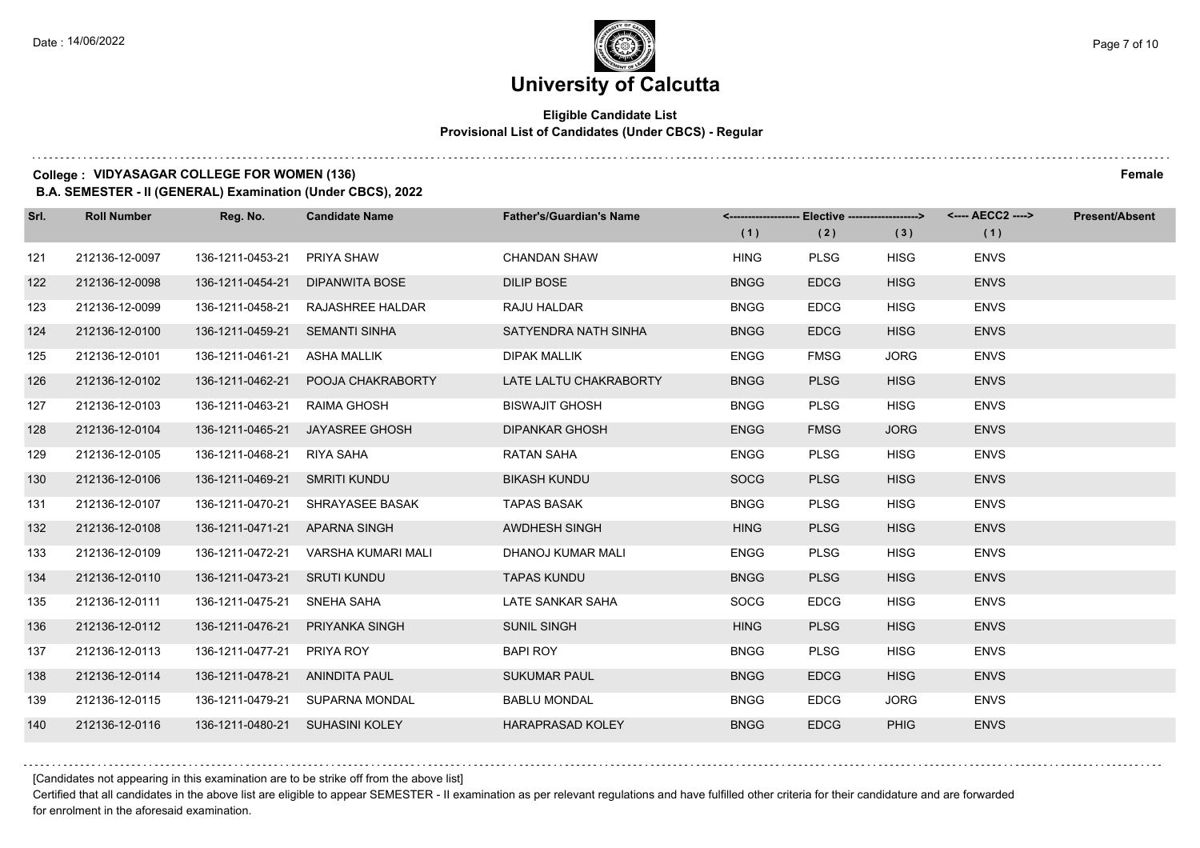## **Eligible Candidate List Provisional List of Candidates (Under CBCS) - Regular**

#### **College : VIDYASAGAR COLLEGE FOR WOMEN (136) Female**

**B.A. SEMESTER - II (GENERAL) Examination (Under CBCS), 2022**

| Srl. | <b>Roll Number</b> | Reg. No.                       | <b>Candidate Name</b>            | <b>Father's/Guardian's Name</b> | (1)         | <-------------------- Elective -------------------><br>(2) | (3)         | (1)         | <b>Present/Absent</b> |
|------|--------------------|--------------------------------|----------------------------------|---------------------------------|-------------|------------------------------------------------------------|-------------|-------------|-----------------------|
| 121  | 212136-12-0097     | 136-1211-0453-21               | <b>PRIYA SHAW</b>                | <b>CHANDAN SHAW</b>             | <b>HING</b> | <b>PLSG</b>                                                | <b>HISG</b> | <b>ENVS</b> |                       |
| 122  | 212136-12-0098     | 136-1211-0454-21               | <b>DIPANWITA BOSE</b>            | <b>DILIP BOSE</b>               | <b>BNGG</b> | <b>EDCG</b>                                                | <b>HISG</b> | <b>ENVS</b> |                       |
| 123  | 212136-12-0099     | 136-1211-0458-21               | <b>RAJASHREE HALDAR</b>          | RAJU HALDAR                     | <b>BNGG</b> | <b>EDCG</b>                                                | <b>HISG</b> | <b>ENVS</b> |                       |
| 124  | 212136-12-0100     | 136-1211-0459-21 SEMANTI SINHA |                                  | SATYENDRA NATH SINHA            | <b>BNGG</b> | <b>EDCG</b>                                                | <b>HISG</b> | <b>ENVS</b> |                       |
| 125  | 212136-12-0101     | 136-1211-0461-21               | ASHA MALLIK                      | <b>DIPAK MALLIK</b>             | <b>ENGG</b> | <b>FMSG</b>                                                | <b>JORG</b> | <b>ENVS</b> |                       |
| 126  | 212136-12-0102     | 136-1211-0462-21               | POOJA CHAKRABORTY                | LATE LALTU CHAKRABORTY          | <b>BNGG</b> | <b>PLSG</b>                                                | <b>HISG</b> | <b>ENVS</b> |                       |
| 127  | 212136-12-0103     | 136-1211-0463-21               | RAIMA GHOSH                      | <b>BISWAJIT GHOSH</b>           | <b>BNGG</b> | <b>PLSG</b>                                                | <b>HISG</b> | <b>ENVS</b> |                       |
| 128  | 212136-12-0104     |                                | 136-1211-0465-21 JAYASREE GHOSH  | DIPANKAR GHOSH                  | <b>ENGG</b> | <b>FMSG</b>                                                | <b>JORG</b> | <b>ENVS</b> |                       |
| 129  | 212136-12-0105     | 136-1211-0468-21               | RIYA SAHA                        | <b>RATAN SAHA</b>               | <b>ENGG</b> | <b>PLSG</b>                                                | <b>HISG</b> | <b>ENVS</b> |                       |
| 130  | 212136-12-0106     | 136-1211-0469-21 SMRITI KUNDU  |                                  | <b>BIKASH KUNDU</b>             | <b>SOCG</b> | <b>PLSG</b>                                                | <b>HISG</b> | <b>ENVS</b> |                       |
| 131  | 212136-12-0107     |                                | 136-1211-0470-21 SHRAYASEE BASAK | <b>TAPAS BASAK</b>              | <b>BNGG</b> | <b>PLSG</b>                                                | <b>HISG</b> | <b>ENVS</b> |                       |
| 132  | 212136-12-0108     | 136-1211-0471-21 APARNA SINGH  |                                  | <b>AWDHESH SINGH</b>            | <b>HING</b> | <b>PLSG</b>                                                | <b>HISG</b> | <b>ENVS</b> |                       |
| 133  | 212136-12-0109     | 136-1211-0472-21               | VARSHA KUMARI MALI               | DHANOJ KUMAR MALI               | <b>ENGG</b> | <b>PLSG</b>                                                | <b>HISG</b> | <b>ENVS</b> |                       |
| 134  | 212136-12-0110     | 136-1211-0473-21 SRUTI KUNDU   |                                  | <b>TAPAS KUNDU</b>              | <b>BNGG</b> | <b>PLSG</b>                                                | <b>HISG</b> | <b>ENVS</b> |                       |
| 135  | 212136-12-0111     | 136-1211-0475-21 SNEHA SAHA    |                                  | LATE SANKAR SAHA                | <b>SOCG</b> | <b>EDCG</b>                                                | <b>HISG</b> | <b>ENVS</b> |                       |
| 136  | 212136-12-0112     | 136-1211-0476-21               | PRIYANKA SINGH                   | <b>SUNIL SINGH</b>              | <b>HING</b> | <b>PLSG</b>                                                | <b>HISG</b> | <b>ENVS</b> |                       |
| 137  | 212136-12-0113     | 136-1211-0477-21               | PRIYA ROY                        | <b>BAPI ROY</b>                 | <b>BNGG</b> | <b>PLSG</b>                                                | <b>HISG</b> | <b>ENVS</b> |                       |
| 138  | 212136-12-0114     | 136-1211-0478-21 ANINDITA PAUL |                                  | <b>SUKUMAR PAUL</b>             | <b>BNGG</b> | <b>EDCG</b>                                                | <b>HISG</b> | <b>ENVS</b> |                       |
| 139  | 212136-12-0115     |                                | 136-1211-0479-21 SUPARNA MONDAL  | <b>BABLU MONDAL</b>             | <b>BNGG</b> | <b>EDCG</b>                                                | <b>JORG</b> | <b>ENVS</b> |                       |
| 140  | 212136-12-0116     |                                | 136-1211-0480-21 SUHASINI KOLEY  | <b>HARAPRASAD KOLEY</b>         | <b>BNGG</b> | <b>EDCG</b>                                                | <b>PHIG</b> | <b>ENVS</b> |                       |

[Candidates not appearing in this examination are to be strike off from the above list]

Certified that all candidates in the above list are eligible to appear SEMESTER - II examination as per relevant regulations and have fulfilled other criteria for their candidature and are forwarded for enrolment in the aforesaid examination.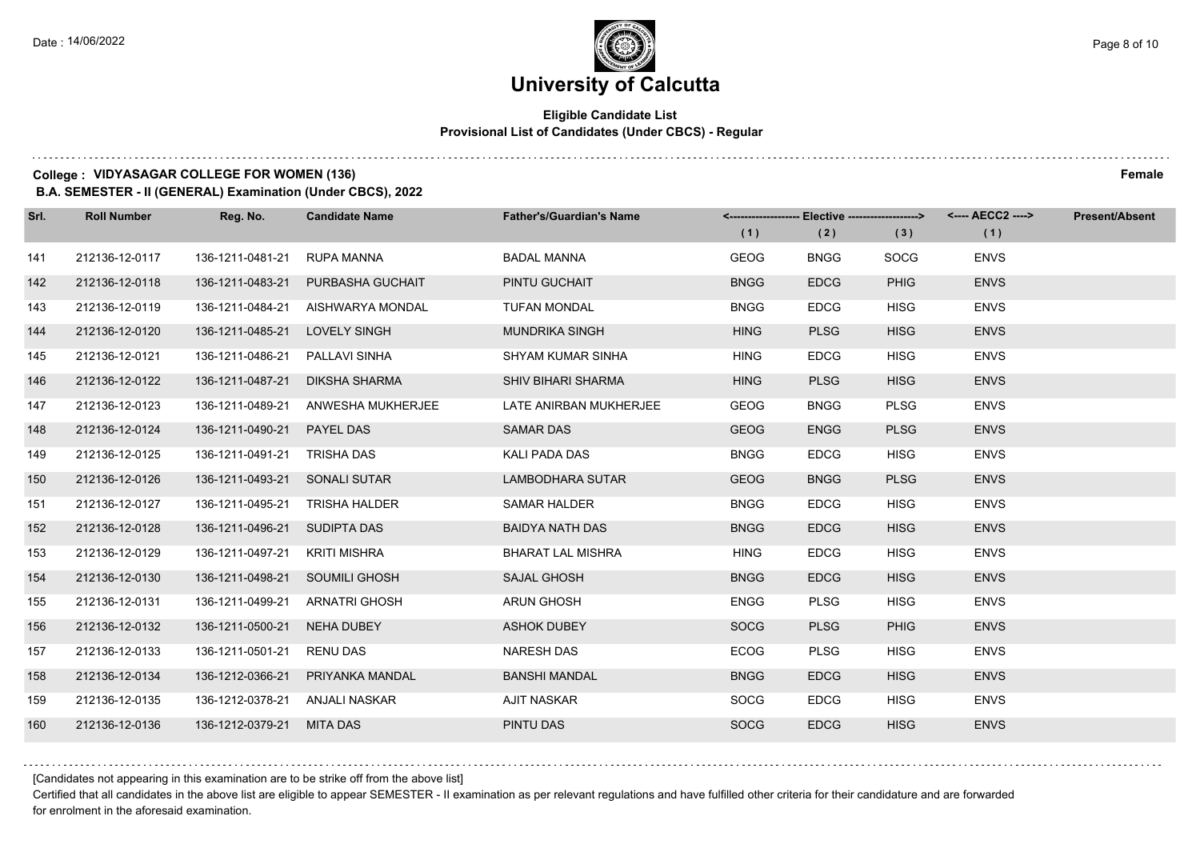## **Eligible Candidate List Provisional List of Candidates (Under CBCS) - Regular**

#### **College : VIDYASAGAR COLLEGE FOR WOMEN (136) Female**

**B.A. SEMESTER - II (GENERAL) Examination (Under CBCS), 2022**

| Srl. | <b>Roll Number</b> | Reg. No.                       | <b>Candidate Name</b>              | <b>Father's/Guardian's Name</b> | (1)         | (2)         | <-------------------- Elective -------------------> <---- AECC2 ----><br>(3) | (1)         | <b>Present/Absent</b> |
|------|--------------------|--------------------------------|------------------------------------|---------------------------------|-------------|-------------|------------------------------------------------------------------------------|-------------|-----------------------|
| 141  | 212136-12-0117     | 136-1211-0481-21               | RUPA MANNA                         | <b>BADAL MANNA</b>              | <b>GEOG</b> | <b>BNGG</b> | <b>SOCG</b>                                                                  | <b>ENVS</b> |                       |
| 142  | 212136-12-0118     | 136-1211-0483-21               | PURBASHA GUCHAIT                   | PINTU GUCHAIT                   | <b>BNGG</b> | <b>EDCG</b> | <b>PHIG</b>                                                                  | <b>ENVS</b> |                       |
| 143  | 212136-12-0119     | 136-1211-0484-21               | AISHWARYA MONDAL                   | <b>TUFAN MONDAL</b>             | <b>BNGG</b> | <b>EDCG</b> | <b>HISG</b>                                                                  | <b>ENVS</b> |                       |
| 144  | 212136-12-0120     | 136-1211-0485-21 LOVELY SINGH  |                                    | <b>MUNDRIKA SINGH</b>           | <b>HING</b> | <b>PLSG</b> | <b>HISG</b>                                                                  | <b>ENVS</b> |                       |
| 145  | 212136-12-0121     | 136-1211-0486-21               | PALLAVI SINHA                      | <b>SHYAM KUMAR SINHA</b>        | <b>HING</b> | <b>EDCG</b> | <b>HISG</b>                                                                  | <b>ENVS</b> |                       |
| 146  | 212136-12-0122     | 136-1211-0487-21               | <b>DIKSHA SHARMA</b>               | <b>SHIV BIHARI SHARMA</b>       | <b>HING</b> | <b>PLSG</b> | <b>HISG</b>                                                                  | <b>ENVS</b> |                       |
| 147  | 212136-12-0123     |                                | 136-1211-0489-21 ANWESHA MUKHERJEE | LATE ANIRBAN MUKHERJEE          | <b>GEOG</b> | <b>BNGG</b> | <b>PLSG</b>                                                                  | <b>ENVS</b> |                       |
| 148  | 212136-12-0124     | 136-1211-0490-21 PAYEL DAS     |                                    | <b>SAMAR DAS</b>                | <b>GEOG</b> | <b>ENGG</b> | <b>PLSG</b>                                                                  | <b>ENVS</b> |                       |
| 149  | 212136-12-0125     | 136-1211-0491-21               | TRISHA DAS                         | KALI PADA DAS                   | <b>BNGG</b> | <b>EDCG</b> | <b>HISG</b>                                                                  | <b>ENVS</b> |                       |
| 150  | 212136-12-0126     | 136-1211-0493-21 SONALI SUTAR  |                                    | LAMBODHARA SUTAR                | <b>GEOG</b> | <b>BNGG</b> | <b>PLSG</b>                                                                  | <b>ENVS</b> |                       |
| 151  | 212136-12-0127     | 136-1211-0495-21               | TRISHA HALDER                      | <b>SAMAR HALDER</b>             | <b>BNGG</b> | <b>EDCG</b> | <b>HISG</b>                                                                  | <b>ENVS</b> |                       |
| 152  | 212136-12-0128     | 136-1211-0496-21 SUDIPTA DAS   |                                    | <b>BAIDYA NATH DAS</b>          | <b>BNGG</b> | <b>EDCG</b> | <b>HISG</b>                                                                  | <b>ENVS</b> |                       |
| 153  | 212136-12-0129     | 136-1211-0497-21               | <b>KRITI MISHRA</b>                | <b>BHARAT LAL MISHRA</b>        | <b>HING</b> | <b>EDCG</b> | <b>HISG</b>                                                                  | <b>ENVS</b> |                       |
| 154  | 212136-12-0130     | 136-1211-0498-21 SOUMILI GHOSH |                                    | SAJAL GHOSH                     | <b>BNGG</b> | <b>EDCG</b> | <b>HISG</b>                                                                  | <b>ENVS</b> |                       |
| 155  | 212136-12-0131     | 136-1211-0499-21               | ARNATRI GHOSH                      | <b>ARUN GHOSH</b>               | ENGG        | <b>PLSG</b> | <b>HISG</b>                                                                  | <b>ENVS</b> |                       |
| 156  | 212136-12-0132     | 136-1211-0500-21               | NEHA DUBEY                         | <b>ASHOK DUBEY</b>              | <b>SOCG</b> | <b>PLSG</b> | <b>PHIG</b>                                                                  | <b>ENVS</b> |                       |
| 157  | 212136-12-0133     | 136-1211-0501-21               | <b>RENU DAS</b>                    | <b>NARESH DAS</b>               | <b>ECOG</b> | <b>PLSG</b> | <b>HISG</b>                                                                  | <b>ENVS</b> |                       |
| 158  | 212136-12-0134     | 136-1212-0366-21               | PRIYANKA MANDAL                    | <b>BANSHI MANDAL</b>            | <b>BNGG</b> | <b>EDCG</b> | <b>HISG</b>                                                                  | <b>ENVS</b> |                       |
| 159  | 212136-12-0135     | 136-1212-0378-21 ANJALI NASKAR |                                    | <b>AJIT NASKAR</b>              | <b>SOCG</b> | <b>EDCG</b> | <b>HISG</b>                                                                  | <b>ENVS</b> |                       |
| 160  | 212136-12-0136     | 136-1212-0379-21 MITA DAS      |                                    | PINTU DAS                       | <b>SOCG</b> | <b>EDCG</b> | <b>HISG</b>                                                                  | <b>ENVS</b> |                       |

[Candidates not appearing in this examination are to be strike off from the above list]

Certified that all candidates in the above list are eligible to appear SEMESTER - II examination as per relevant regulations and have fulfilled other criteria for their candidature and are forwarded for enrolment in the aforesaid examination.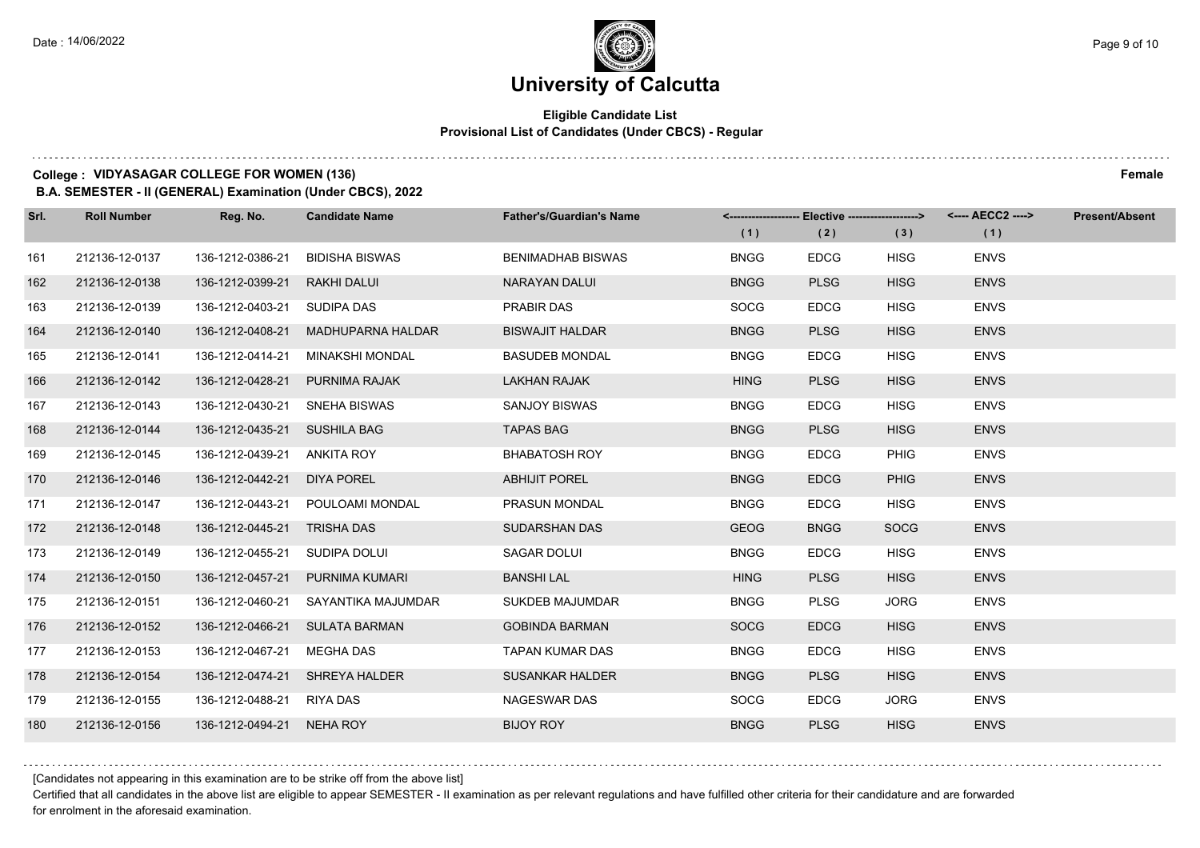## **Eligible Candidate List Provisional List of Candidates (Under CBCS) - Regular**

#### **College : VIDYASAGAR COLLEGE FOR WOMEN (136) Female**

**B.A. SEMESTER - II (GENERAL) Examination (Under CBCS), 2022**

| Srl. | <b>Roll Number</b> | Reg. No.                     | <b>Candidate Name</b>            | <b>Father's/Guardian's Name</b> | (1)         | <-------------------- Elective -------------------> <---- AECC2 ----><br>(2) | (3)         | (1)         | Present/Absent |
|------|--------------------|------------------------------|----------------------------------|---------------------------------|-------------|------------------------------------------------------------------------------|-------------|-------------|----------------|
| 161  | 212136-12-0137     | 136-1212-0386-21             | <b>BIDISHA BISWAS</b>            | <b>BENIMADHAB BISWAS</b>        | <b>BNGG</b> | <b>EDCG</b>                                                                  | <b>HISG</b> | <b>ENVS</b> |                |
| 162  | 212136-12-0138     | 136-1212-0399-21             | <b>RAKHI DALUI</b>               | <b>NARAYAN DALUI</b>            | <b>BNGG</b> | <b>PLSG</b>                                                                  | <b>HISG</b> | <b>ENVS</b> |                |
| 163  | 212136-12-0139     | 136-1212-0403-21 SUDIPA DAS  |                                  | <b>PRABIR DAS</b>               | <b>SOCG</b> | <b>EDCG</b>                                                                  | <b>HISG</b> | <b>ENVS</b> |                |
| 164  | 212136-12-0140     | 136-1212-0408-21             | <b>MADHUPARNA HALDAR</b>         | <b>BISWAJIT HALDAR</b>          | <b>BNGG</b> | <b>PLSG</b>                                                                  | <b>HISG</b> | <b>ENVS</b> |                |
| 165  | 212136-12-0141     | 136-1212-0414-21             | <b>MINAKSHI MONDAL</b>           | <b>BASUDEB MONDAL</b>           | <b>BNGG</b> | <b>EDCG</b>                                                                  | <b>HISG</b> | <b>ENVS</b> |                |
| 166  | 212136-12-0142     | 136-1212-0428-21             | PURNIMA RAJAK                    | <b>LAKHAN RAJAK</b>             | <b>HING</b> | <b>PLSG</b>                                                                  | <b>HISG</b> | <b>ENVS</b> |                |
| 167  | 212136-12-0143     | 136-1212-0430-21             | SNEHA BISWAS                     | <b>SANJOY BISWAS</b>            | <b>BNGG</b> | <b>EDCG</b>                                                                  | <b>HISG</b> | <b>ENVS</b> |                |
| 168  | 212136-12-0144     | 136-1212-0435-21 SUSHILA BAG |                                  | <b>TAPAS BAG</b>                | <b>BNGG</b> | <b>PLSG</b>                                                                  | <b>HISG</b> | <b>ENVS</b> |                |
| 169  | 212136-12-0145     | 136-1212-0439-21             | ANKITA ROY                       | <b>BHABATOSH ROY</b>            | <b>BNGG</b> | <b>EDCG</b>                                                                  | PHIG        | <b>ENVS</b> |                |
| 170  | 212136-12-0146     | 136-1212-0442-21             | <b>DIYA POREL</b>                | <b>ABHIJIT POREL</b>            | <b>BNGG</b> | <b>EDCG</b>                                                                  | <b>PHIG</b> | <b>ENVS</b> |                |
| 171  | 212136-12-0147     |                              | 136-1212-0443-21 POULOAMI MONDAL | <b>PRASUN MONDAL</b>            | <b>BNGG</b> | <b>EDCG</b>                                                                  | <b>HISG</b> | <b>ENVS</b> |                |
| 172  | 212136-12-0148     | 136-1212-0445-21 TRISHA DAS  |                                  | SUDARSHAN DAS                   | <b>GEOG</b> | <b>BNGG</b>                                                                  | <b>SOCG</b> | <b>ENVS</b> |                |
| 173  | 212136-12-0149     | 136-1212-0455-21             | SUDIPA DOLUI                     | SAGAR DOLUI                     | <b>BNGG</b> | <b>EDCG</b>                                                                  | <b>HISG</b> | <b>ENVS</b> |                |
| 174  | 212136-12-0150     | 136-1212-0457-21             | PURNIMA KUMARI                   | <b>BANSHI LAL</b>               | <b>HING</b> | <b>PLSG</b>                                                                  | <b>HISG</b> | <b>ENVS</b> |                |
| 175  | 212136-12-0151     | 136-1212-0460-21             | SAYANTIKA MAJUMDAR               | <b>SUKDEB MAJUMDAR</b>          | <b>BNGG</b> | <b>PLSG</b>                                                                  | <b>JORG</b> | <b>ENVS</b> |                |
| 176  | 212136-12-0152     |                              | 136-1212-0466-21 SULATA BARMAN   | <b>GOBINDA BARMAN</b>           | <b>SOCG</b> | <b>EDCG</b>                                                                  | <b>HISG</b> | <b>ENVS</b> |                |
| 177  | 212136-12-0153     | 136-1212-0467-21             | <b>MEGHA DAS</b>                 | <b>TAPAN KUMAR DAS</b>          | <b>BNGG</b> | <b>EDCG</b>                                                                  | <b>HISG</b> | <b>ENVS</b> |                |
| 178  | 212136-12-0154     | 136-1212-0474-21             | <b>SHREYA HALDER</b>             | <b>SUSANKAR HALDER</b>          | <b>BNGG</b> | <b>PLSG</b>                                                                  | <b>HISG</b> | <b>ENVS</b> |                |
| 179  | 212136-12-0155     | 136-1212-0488-21 RIYA DAS    |                                  | <b>NAGESWAR DAS</b>             | <b>SOCG</b> | <b>EDCG</b>                                                                  | <b>JORG</b> | <b>ENVS</b> |                |
| 180  | 212136-12-0156     | 136-1212-0494-21 NEHA ROY    |                                  | <b>BIJOY ROY</b>                | <b>BNGG</b> | <b>PLSG</b>                                                                  | <b>HISG</b> | <b>ENVS</b> |                |

#### [Candidates not appearing in this examination are to be strike off from the above list]

Certified that all candidates in the above list are eligible to appear SEMESTER - II examination as per relevant regulations and have fulfilled other criteria for their candidature and are forwarded for enrolment in the aforesaid examination.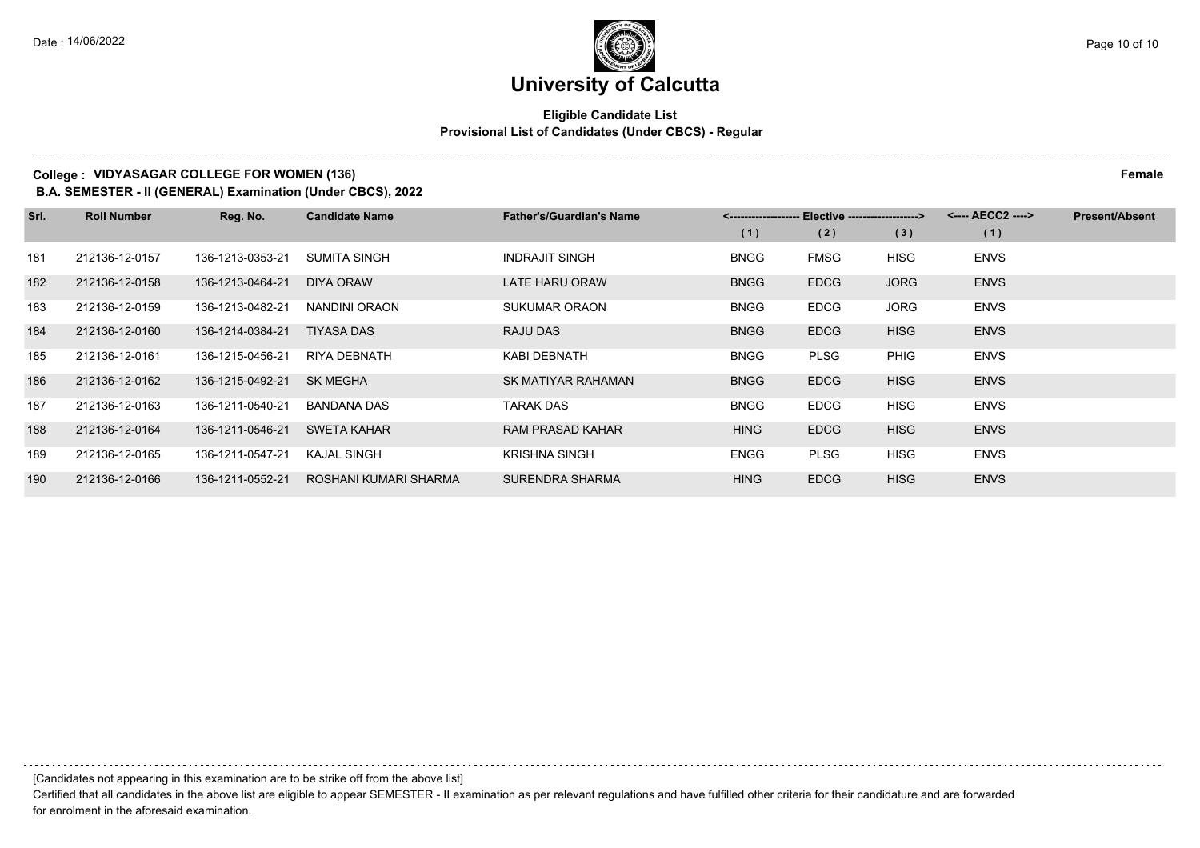## **Eligible Candidate List Provisional List of Candidates (Under CBCS) - Regular**

### **College : VIDYASAGAR COLLEGE FOR WOMEN (136) Female**

**B.A. SEMESTER - II (GENERAL) Examination (Under CBCS), 2022**

| Srl. | <b>Roll Number</b> | Reg. No.         | <b>Candidate Name</b> | <b>Father's/Guardian's Name</b> | <--------------------- | - Elective -------------------> |             | <---- AECC2 ----> | <b>Present/Absent</b> |
|------|--------------------|------------------|-----------------------|---------------------------------|------------------------|---------------------------------|-------------|-------------------|-----------------------|
|      |                    |                  |                       |                                 | (1)                    | (2)                             | (3)         | (1)               |                       |
| 181  | 212136-12-0157     | 136-1213-0353-21 | SUMITA SINGH          | <b>INDRAJIT SINGH</b>           | <b>BNGG</b>            | <b>FMSG</b>                     | <b>HISG</b> | <b>ENVS</b>       |                       |
| 182  | 212136-12-0158     | 136-1213-0464-21 | DIYA ORAW             | <b>LATE HARU ORAW</b>           | <b>BNGG</b>            | <b>EDCG</b>                     | <b>JORG</b> | <b>ENVS</b>       |                       |
| 183  | 212136-12-0159     | 136-1213-0482-21 | NANDINI ORAON         | SUKUMAR ORAON                   | <b>BNGG</b>            | <b>EDCG</b>                     | <b>JORG</b> | <b>ENVS</b>       |                       |
| 184  | 212136-12-0160     | 136-1214-0384-21 | <b>TIYASA DAS</b>     | <b>RAJU DAS</b>                 | <b>BNGG</b>            | <b>EDCG</b>                     | <b>HISG</b> | <b>ENVS</b>       |                       |
| 185  | 212136-12-0161     | 136-1215-0456-21 | RIYA DEBNATH          | KABI DEBNATH                    | <b>BNGG</b>            | <b>PLSG</b>                     | <b>PHIG</b> | <b>ENVS</b>       |                       |
| 186  | 212136-12-0162     | 136-1215-0492-21 | <b>SK MEGHA</b>       | SK MATIYAR RAHAMAN              | <b>BNGG</b>            | <b>EDCG</b>                     | <b>HISG</b> | <b>ENVS</b>       |                       |
| 187  | 212136-12-0163     | 136-1211-0540-21 | BANDANA DAS           | TARAK DAS                       | <b>BNGG</b>            | <b>EDCG</b>                     | <b>HISG</b> | <b>ENVS</b>       |                       |
| 188  | 212136-12-0164     | 136-1211-0546-21 | <b>SWETA KAHAR</b>    | <b>RAM PRASAD KAHAR</b>         | <b>HING</b>            | <b>EDCG</b>                     | <b>HISG</b> | <b>ENVS</b>       |                       |
| 189  | 212136-12-0165     | 136-1211-0547-21 | <b>KAJAL SINGH</b>    | <b>KRISHNA SINGH</b>            | <b>ENGG</b>            | <b>PLSG</b>                     | <b>HISG</b> | <b>ENVS</b>       |                       |
| 190  | 212136-12-0166     | 136-1211-0552-21 | ROSHANI KUMARI SHARMA | SURENDRA SHARMA                 | <b>HING</b>            | <b>EDCG</b>                     | <b>HISG</b> | <b>ENVS</b>       |                       |

[Candidates not appearing in this examination are to be strike off from the above list]

Certified that all candidates in the above list are eligible to appear SEMESTER - II examination as per relevant regulations and have fulfilled other criteria for their candidature and are forwarded for enrolment in the aforesaid examination.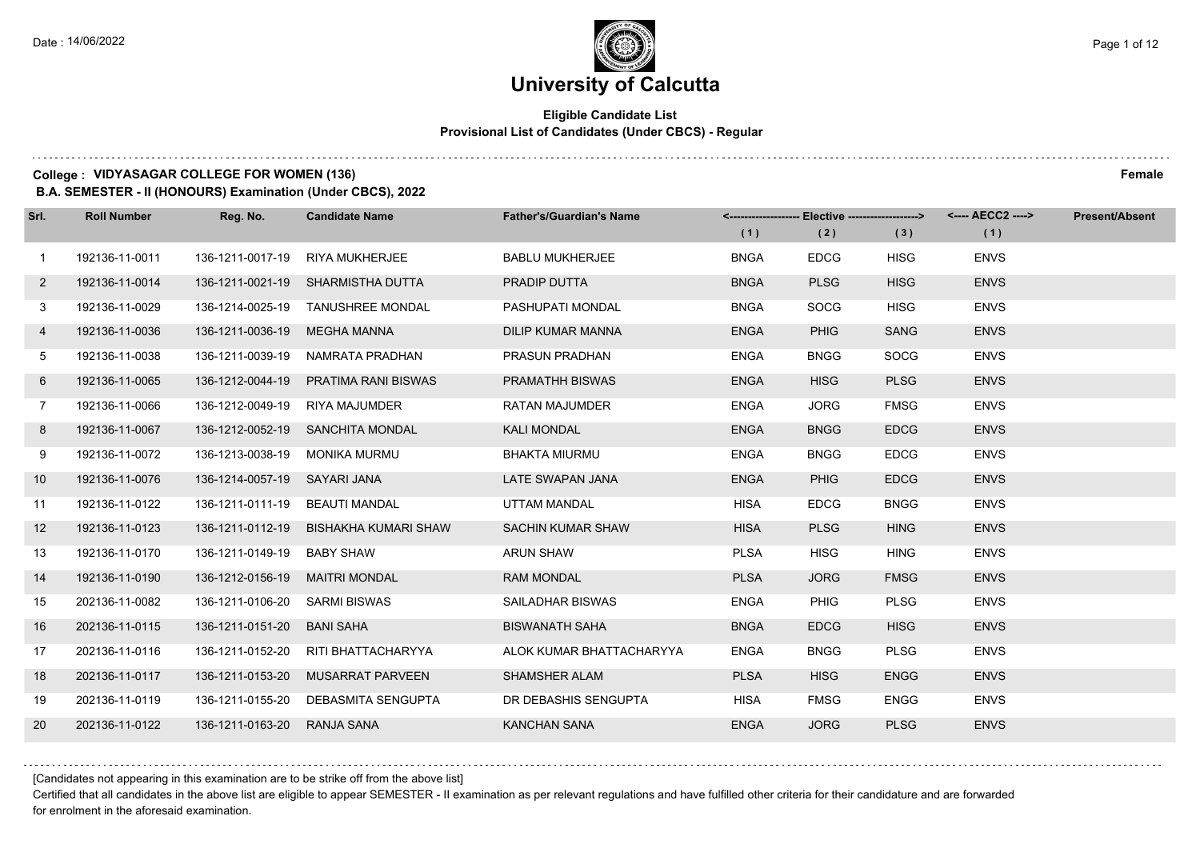## **Eligible Candidate List Provisional List of Candidates (Under CBCS) - Regular**

#### **College : VIDYASAGAR COLLEGE FOR WOMEN (136) Female**

**B.A. SEMESTER - II (HONOURS) Examination (Under CBCS), 2022**

| Srl.         | <b>Roll Number</b> | Reg. No.                       | <b>Candidate Name</b>             | <b>Father's/Guardian's Name</b> | (1)         | <-------------------- Elective -------------------><br>(2) | (3)         | (1)         | <b>Present/Absent</b> |
|--------------|--------------------|--------------------------------|-----------------------------------|---------------------------------|-------------|------------------------------------------------------------|-------------|-------------|-----------------------|
| $\mathbf{1}$ | 192136-11-0011     | 136-1211-0017-19               | <b>RIYA MUKHERJEE</b>             | <b>BABLU MUKHERJEE</b>          | <b>BNGA</b> | <b>EDCG</b>                                                | <b>HISG</b> | <b>ENVS</b> |                       |
| $2^{\circ}$  | 192136-11-0014     |                                | 136-1211-0021-19 SHARMISTHA DUTTA | PRADIP DUTTA                    | <b>BNGA</b> | <b>PLSG</b>                                                | <b>HISG</b> | <b>ENVS</b> |                       |
| 3            | 192136-11-0029     |                                | 136-1214-0025-19 TANUSHREE MONDAL | PASHUPATI MONDAL                | <b>BNGA</b> | <b>SOCG</b>                                                | <b>HISG</b> | <b>ENVS</b> |                       |
| 4            | 192136-11-0036     | 136-1211-0036-19               | <b>MEGHA MANNA</b>                | <b>DILIP KUMAR MANNA</b>        | <b>ENGA</b> | <b>PHIG</b>                                                | <b>SANG</b> | <b>ENVS</b> |                       |
| 5            | 192136-11-0038     | 136-1211-0039-19               | NAMRATA PRADHAN                   | <b>PRASUN PRADHAN</b>           | <b>ENGA</b> | <b>BNGG</b>                                                | <b>SOCG</b> | <b>ENVS</b> |                       |
| 6            | 192136-11-0065     | 136-1212-0044-19               | PRATIMA RANI BISWAS               | PRAMATHH BISWAS                 | <b>ENGA</b> | <b>HISG</b>                                                | <b>PLSG</b> | <b>ENVS</b> |                       |
| $7^{\circ}$  | 192136-11-0066     | 136-1212-0049-19               | RIYA MAJUMDER                     | RATAN MAJUMDER                  | <b>ENGA</b> | <b>JORG</b>                                                | <b>FMSG</b> | <b>ENVS</b> |                       |
| 8            | 192136-11-0067     |                                | 136-1212-0052-19 SANCHITA MONDAL  | <b>KALI MONDAL</b>              | <b>ENGA</b> | <b>BNGG</b>                                                | <b>EDCG</b> | <b>ENVS</b> |                       |
| 9            | 192136-11-0072     | 136-1213-0038-19               | MONIKA MURMU                      | <b>BHAKTA MIURMU</b>            | <b>ENGA</b> | <b>BNGG</b>                                                | <b>EDCG</b> | <b>ENVS</b> |                       |
| 10           | 192136-11-0076     | 136-1214-0057-19 SAYARI JANA   |                                   | LATE SWAPAN JANA                | <b>ENGA</b> | <b>PHIG</b>                                                | <b>EDCG</b> | <b>ENVS</b> |                       |
| 11           | 192136-11-0122     | 136-1211-0111-19 BEAUTI MANDAL |                                   | UTTAM MANDAL                    | <b>HISA</b> | <b>EDCG</b>                                                | <b>BNGG</b> | <b>ENVS</b> |                       |
| 12           | 192136-11-0123     | 136-1211-0112-19               | <b>BISHAKHA KUMARI SHAW</b>       | <b>SACHIN KUMAR SHAW</b>        | <b>HISA</b> | <b>PLSG</b>                                                | <b>HING</b> | <b>ENVS</b> |                       |
| 13           | 192136-11-0170     | 136-1211-0149-19               | <b>BABY SHAW</b>                  | <b>ARUN SHAW</b>                | <b>PLSA</b> | <b>HISG</b>                                                | <b>HING</b> | <b>ENVS</b> |                       |
| 14           | 192136-11-0190     | 136-1212-0156-19               | <b>MAITRI MONDAL</b>              | <b>RAM MONDAL</b>               | <b>PLSA</b> | <b>JORG</b>                                                | <b>FMSG</b> | <b>ENVS</b> |                       |
| 15           | 202136-11-0082     | 136-1211-0106-20               | SARMI BISWAS                      | SAILADHAR BISWAS                | <b>ENGA</b> | <b>PHIG</b>                                                | <b>PLSG</b> | <b>ENVS</b> |                       |
| 16           | 202136-11-0115     | 136-1211-0151-20               | <b>BANI SAHA</b>                  | <b>BISWANATH SAHA</b>           | <b>BNGA</b> | <b>EDCG</b>                                                | <b>HISG</b> | <b>ENVS</b> |                       |
| 17           | 202136-11-0116     | 136-1211-0152-20               | RITI BHATTACHARYYA                | ALOK KUMAR BHATTACHARYYA        | <b>ENGA</b> | <b>BNGG</b>                                                | <b>PLSG</b> | <b>ENVS</b> |                       |
| 18           | 202136-11-0117     | 136-1211-0153-20               | <b>MUSARRAT PARVEEN</b>           | <b>SHAMSHER ALAM</b>            | <b>PLSA</b> | <b>HISG</b>                                                | <b>ENGG</b> | <b>ENVS</b> |                       |
| 19           | 202136-11-0119     | 136-1211-0155-20               | DEBASMITA SENGUPTA                | DR DEBASHIS SENGUPTA            | <b>HISA</b> | <b>FMSG</b>                                                | <b>ENGG</b> | <b>ENVS</b> |                       |
| 20           | 202136-11-0122     | 136-1211-0163-20               | RANJA SANA                        | <b>KANCHAN SANA</b>             | <b>ENGA</b> | <b>JORG</b>                                                | <b>PLSG</b> | <b>ENVS</b> |                       |

[Candidates not appearing in this examination are to be strike off from the above list]

Certified that all candidates in the above list are eligible to appear SEMESTER - II examination as per relevant regulations and have fulfilled other criteria for their candidature and are forwarded for enrolment in the aforesaid examination.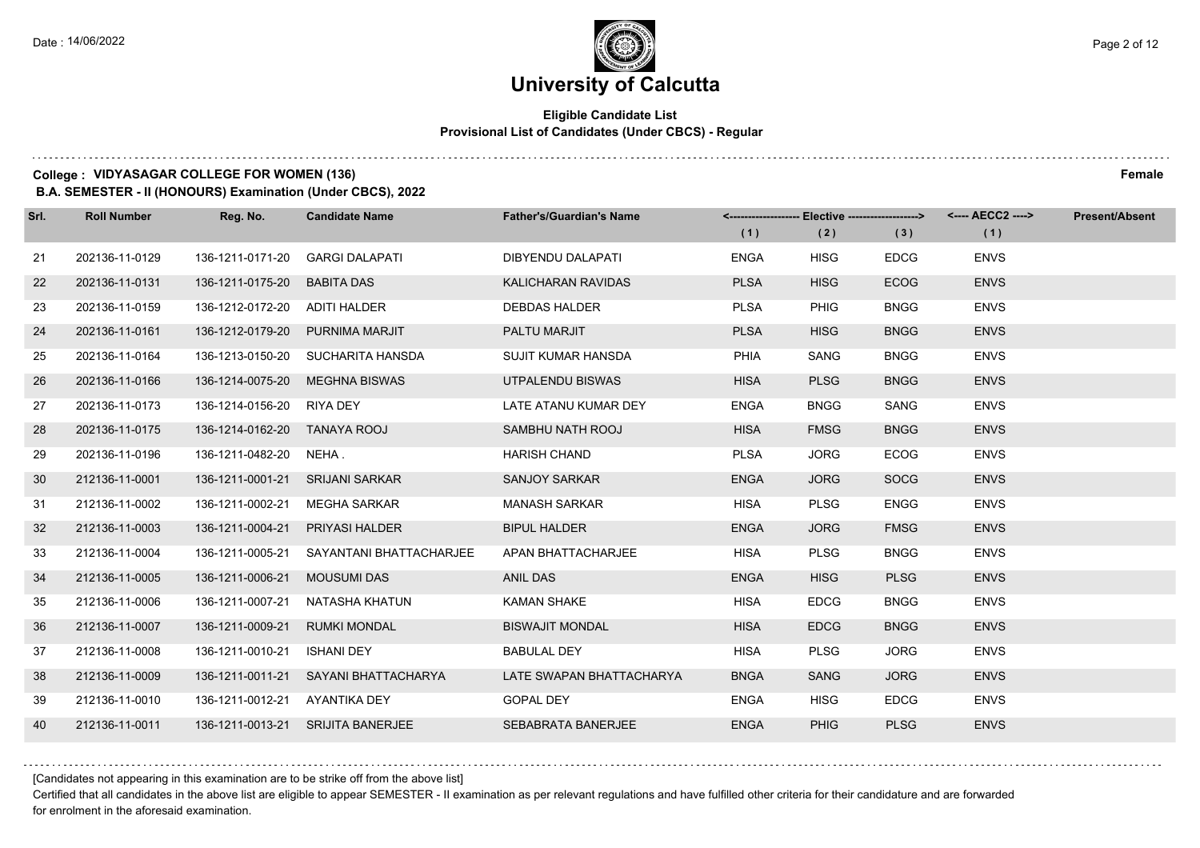## **Eligible Candidate List Provisional List of Candidates (Under CBCS) - Regular**

#### **College : VIDYASAGAR COLLEGE FOR WOMEN (136) Female**

**B.A. SEMESTER - II (HONOURS) Examination (Under CBCS), 2022**

| Srl. | <b>Roll Number</b> | Reg. No.                      | <b>Candidate Name</b>             | <b>Father's/Guardian's Name</b> |             | <-------------------- Elective -------------------> |             |             | <b>Present/Absent</b> |
|------|--------------------|-------------------------------|-----------------------------------|---------------------------------|-------------|-----------------------------------------------------|-------------|-------------|-----------------------|
|      |                    |                               |                                   |                                 | (1)         | (2)                                                 | (3)         | (1)         |                       |
| 21   | 202136-11-0129     | 136-1211-0171-20              | <b>GARGI DALAPATI</b>             | <b>DIBYENDU DALAPATI</b>        | <b>ENGA</b> | <b>HISG</b>                                         | <b>EDCG</b> | <b>ENVS</b> |                       |
| 22   | 202136-11-0131     | 136-1211-0175-20              | <b>BABITA DAS</b>                 | KALICHARAN RAVIDAS              | <b>PLSA</b> | <b>HISG</b>                                         | <b>ECOG</b> | <b>ENVS</b> |                       |
| 23   | 202136-11-0159     | 136-1212-0172-20 ADITI HALDER |                                   | <b>DEBDAS HALDER</b>            | <b>PLSA</b> | <b>PHIG</b>                                         | <b>BNGG</b> | <b>ENVS</b> |                       |
| 24   | 202136-11-0161     |                               | 136-1212-0179-20 PURNIMA MARJIT   | PALTU MARJIT                    | <b>PLSA</b> | <b>HISG</b>                                         | <b>BNGG</b> | <b>ENVS</b> |                       |
| 25   | 202136-11-0164     |                               | 136-1213-0150-20 SUCHARITA HANSDA | SUJIT KUMAR HANSDA              | PHIA        | <b>SANG</b>                                         | <b>BNGG</b> | <b>ENVS</b> |                       |
| 26   | 202136-11-0166     | 136-1214-0075-20              | <b>MEGHNA BISWAS</b>              | UTPALENDU BISWAS                | <b>HISA</b> | <b>PLSG</b>                                         | <b>BNGG</b> | <b>ENVS</b> |                       |
| 27   | 202136-11-0173     | 136-1214-0156-20 RIYA DEY     |                                   | LATE ATANU KUMAR DEY            | <b>ENGA</b> | <b>BNGG</b>                                         | SANG        | <b>ENVS</b> |                       |
| 28   | 202136-11-0175     | 136-1214-0162-20 TANAYA ROOJ  |                                   | SAMBHU NATH ROOJ                | <b>HISA</b> | <b>FMSG</b>                                         | <b>BNGG</b> | <b>ENVS</b> |                       |
| 29   | 202136-11-0196     | 136-1211-0482-20 NEHA         |                                   | <b>HARISH CHAND</b>             | <b>PLSA</b> | <b>JORG</b>                                         | <b>ECOG</b> | <b>ENVS</b> |                       |
| 30   | 212136-11-0001     | 136-1211-0001-21              | <b>SRIJANI SARKAR</b>             | <b>SANJOY SARKAR</b>            | <b>ENGA</b> | <b>JORG</b>                                         | <b>SOCG</b> | <b>ENVS</b> |                       |
| 31   | 212136-11-0002     | 136-1211-0002-21              | MEGHA SARKAR                      | <b>MANASH SARKAR</b>            | <b>HISA</b> | <b>PLSG</b>                                         | <b>ENGG</b> | <b>ENVS</b> |                       |
| 32   | 212136-11-0003     | 136-1211-0004-21              | <b>PRIYASI HALDER</b>             | <b>BIPUL HALDER</b>             | <b>ENGA</b> | <b>JORG</b>                                         | <b>FMSG</b> | <b>ENVS</b> |                       |
| 33   | 212136-11-0004     | 136-1211-0005-21              | SAYANTANI BHATTACHARJEE           | APAN BHATTACHARJEE              | <b>HISA</b> | <b>PLSG</b>                                         | <b>BNGG</b> | <b>ENVS</b> |                       |
| 34   | 212136-11-0005     | 136-1211-0006-21              | <b>MOUSUMI DAS</b>                | <b>ANIL DAS</b>                 | <b>ENGA</b> | <b>HISG</b>                                         | <b>PLSG</b> | <b>ENVS</b> |                       |
| 35   | 212136-11-0006     | 136-1211-0007-21              | NATASHA KHATUN                    | KAMAN SHAKE                     | <b>HISA</b> | <b>EDCG</b>                                         | <b>BNGG</b> | <b>ENVS</b> |                       |
| 36   | 212136-11-0007     | 136-1211-0009-21              | <b>RUMKI MONDAL</b>               | <b>BISWAJIT MONDAL</b>          | <b>HISA</b> | <b>EDCG</b>                                         | <b>BNGG</b> | <b>ENVS</b> |                       |
| 37   | 212136-11-0008     | 136-1211-0010-21              | ISHANI DEY                        | <b>BABULAL DEY</b>              | <b>HISA</b> | <b>PLSG</b>                                         | <b>JORG</b> | <b>ENVS</b> |                       |
| 38   | 212136-11-0009     | 136-1211-0011-21              | SAYANI BHATTACHARYA               | LATE SWAPAN BHATTACHARYA        | <b>BNGA</b> | <b>SANG</b>                                         | <b>JORG</b> | <b>ENVS</b> |                       |
| 39   | 212136-11-0010     | 136-1211-0012-21 AYANTIKA DEY |                                   | <b>GOPAL DEY</b>                | <b>ENGA</b> | <b>HISG</b>                                         | <b>EDCG</b> | <b>ENVS</b> |                       |
| 40   | 212136-11-0011     |                               | 136-1211-0013-21 SRIJITA BANERJEE | <b>SEBABRATA BANERJEE</b>       | <b>ENGA</b> | <b>PHIG</b>                                         | <b>PLSG</b> | <b>ENVS</b> |                       |

[Candidates not appearing in this examination are to be strike off from the above list]

Certified that all candidates in the above list are eligible to appear SEMESTER - II examination as per relevant regulations and have fulfilled other criteria for their candidature and are forwarded for enrolment in the aforesaid examination.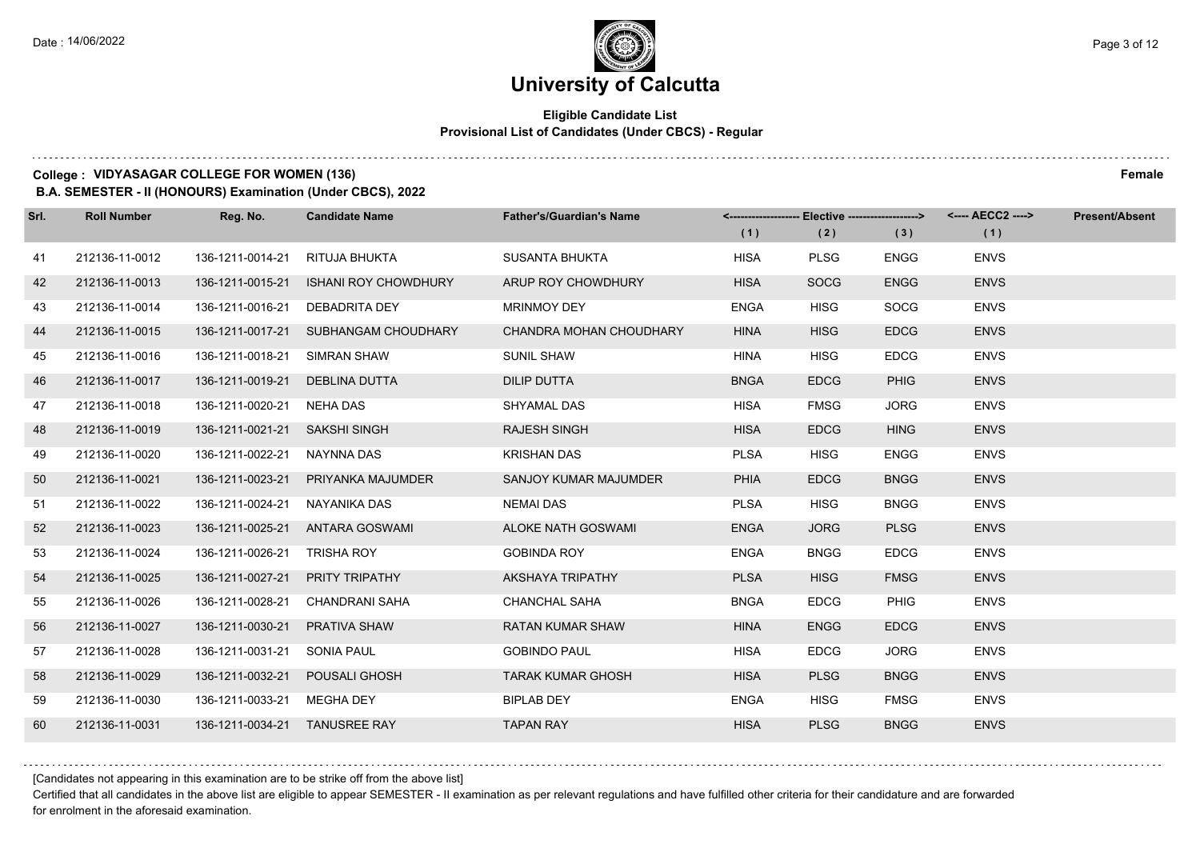## **Eligible Candidate List Provisional List of Candidates (Under CBCS) - Regular**

#### **College : VIDYASAGAR COLLEGE FOR WOMEN (136) Female**

**B.A. SEMESTER - II (HONOURS) Examination (Under CBCS), 2022**

| Srl. | <b>Roll Number</b> | Reg. No.                       | <b>Candidate Name</b>                | <b>Father's/Guardian's Name</b> |             | <-------------------- Elective ------------------> |             | <---- AECC2 ----> | <b>Present/Absent</b> |
|------|--------------------|--------------------------------|--------------------------------------|---------------------------------|-------------|----------------------------------------------------|-------------|-------------------|-----------------------|
|      |                    |                                |                                      |                                 | (1)         | (2)                                                | (3)         | (1)               |                       |
| 41   | 212136-11-0012     | 136-1211-0014-21               | RITUJA BHUKTA                        | <b>SUSANTA BHUKTA</b>           | <b>HISA</b> | <b>PLSG</b>                                        | <b>ENGG</b> | <b>ENVS</b>       |                       |
| 42   | 212136-11-0013     | 136-1211-0015-21               | <b>ISHANI ROY CHOWDHURY</b>          | ARUP ROY CHOWDHURY              | <b>HISA</b> | <b>SOCG</b>                                        | <b>ENGG</b> | <b>ENVS</b>       |                       |
| 43   | 212136-11-0014     | 136-1211-0016-21 DEBADRITA DEY |                                      | <b>MRINMOY DEY</b>              | <b>ENGA</b> | <b>HISG</b>                                        | <b>SOCG</b> | <b>ENVS</b>       |                       |
| 44   | 212136-11-0015     |                                | 136-1211-0017-21 SUBHANGAM CHOUDHARY | CHANDRA MOHAN CHOUDHARY         | <b>HINA</b> | <b>HISG</b>                                        | <b>EDCG</b> | <b>ENVS</b>       |                       |
| 45   | 212136-11-0016     | 136-1211-0018-21               | SIMRAN SHAW                          | <b>SUNIL SHAW</b>               | <b>HINA</b> | <b>HISG</b>                                        | <b>EDCG</b> | <b>ENVS</b>       |                       |
| 46   | 212136-11-0017     | 136-1211-0019-21               | DEBLINA DUTTA                        | <b>DILIP DUTTA</b>              | <b>BNGA</b> | <b>EDCG</b>                                        | <b>PHIG</b> | <b>ENVS</b>       |                       |
| 47   | 212136-11-0018     | 136-1211-0020-21 NEHA DAS      |                                      | SHYAMAL DAS                     | <b>HISA</b> | <b>FMSG</b>                                        | <b>JORG</b> | <b>ENVS</b>       |                       |
| 48   | 212136-11-0019     | 136-1211-0021-21               | <b>SAKSHI SINGH</b>                  | <b>RAJESH SINGH</b>             | <b>HISA</b> | <b>EDCG</b>                                        | <b>HING</b> | <b>ENVS</b>       |                       |
| 49   | 212136-11-0020     | 136-1211-0022-21               | NAYNNA DAS                           | <b>KRISHAN DAS</b>              | <b>PLSA</b> | <b>HISG</b>                                        | ENGG        | <b>ENVS</b>       |                       |
| 50   | 212136-11-0021     | 136-1211-0023-21               | PRIYANKA MAJUMDER                    | SANJOY KUMAR MAJUMDER           | <b>PHIA</b> | <b>EDCG</b>                                        | <b>BNGG</b> | <b>ENVS</b>       |                       |
| 51   | 212136-11-0022     | 136-1211-0024-21               | NAYANIKA DAS                         | <b>NEMAI DAS</b>                | <b>PLSA</b> | <b>HISG</b>                                        | <b>BNGG</b> | <b>ENVS</b>       |                       |
| 52   | 212136-11-0023     |                                | 136-1211-0025-21 ANTARA GOSWAMI      | ALOKE NATH GOSWAMI              | <b>ENGA</b> | <b>JORG</b>                                        | <b>PLSG</b> | <b>ENVS</b>       |                       |
| 53   | 212136-11-0024     | 136-1211-0026-21               | TRISHA ROY                           | <b>GOBINDA ROY</b>              | <b>ENGA</b> | <b>BNGG</b>                                        | <b>EDCG</b> | <b>ENVS</b>       |                       |
| 54   | 212136-11-0025     | 136-1211-0027-21               | PRITY TRIPATHY                       | AKSHAYA TRIPATHY                | <b>PLSA</b> | <b>HISG</b>                                        | <b>FMSG</b> | <b>ENVS</b>       |                       |
| 55   | 212136-11-0026     | 136-1211-0028-21               | <b>CHANDRANI SAHA</b>                | <b>CHANCHAL SAHA</b>            | <b>BNGA</b> | <b>EDCG</b>                                        | <b>PHIG</b> | <b>ENVS</b>       |                       |
| 56   | 212136-11-0027     | 136-1211-0030-21               | <b>PRATIVA SHAW</b>                  | <b>RATAN KUMAR SHAW</b>         | <b>HINA</b> | <b>ENGG</b>                                        | <b>EDCG</b> | <b>ENVS</b>       |                       |
| 57   | 212136-11-0028     | 136-1211-0031-21               | SONIA PAUL                           | <b>GOBINDO PAUL</b>             | <b>HISA</b> | <b>EDCG</b>                                        | <b>JORG</b> | <b>ENVS</b>       |                       |
| 58   | 212136-11-0029     | 136-1211-0032-21               | POUSALI GHOSH                        | <b>TARAK KUMAR GHOSH</b>        | <b>HISA</b> | <b>PLSG</b>                                        | <b>BNGG</b> | <b>ENVS</b>       |                       |
| 59   | 212136-11-0030     | 136-1211-0033-21               | MEGHA DEY                            | <b>BIPLAB DEY</b>               | <b>ENGA</b> | <b>HISG</b>                                        | <b>FMSG</b> | <b>ENVS</b>       |                       |
| 60   | 212136-11-0031     | 136-1211-0034-21 TANUSREE RAY  |                                      | <b>TAPAN RAY</b>                | <b>HISA</b> | <b>PLSG</b>                                        | <b>BNGG</b> | <b>ENVS</b>       |                       |

[Candidates not appearing in this examination are to be strike off from the above list]

Certified that all candidates in the above list are eligible to appear SEMESTER - II examination as per relevant regulations and have fulfilled other criteria for their candidature and are forwarded for enrolment in the aforesaid examination.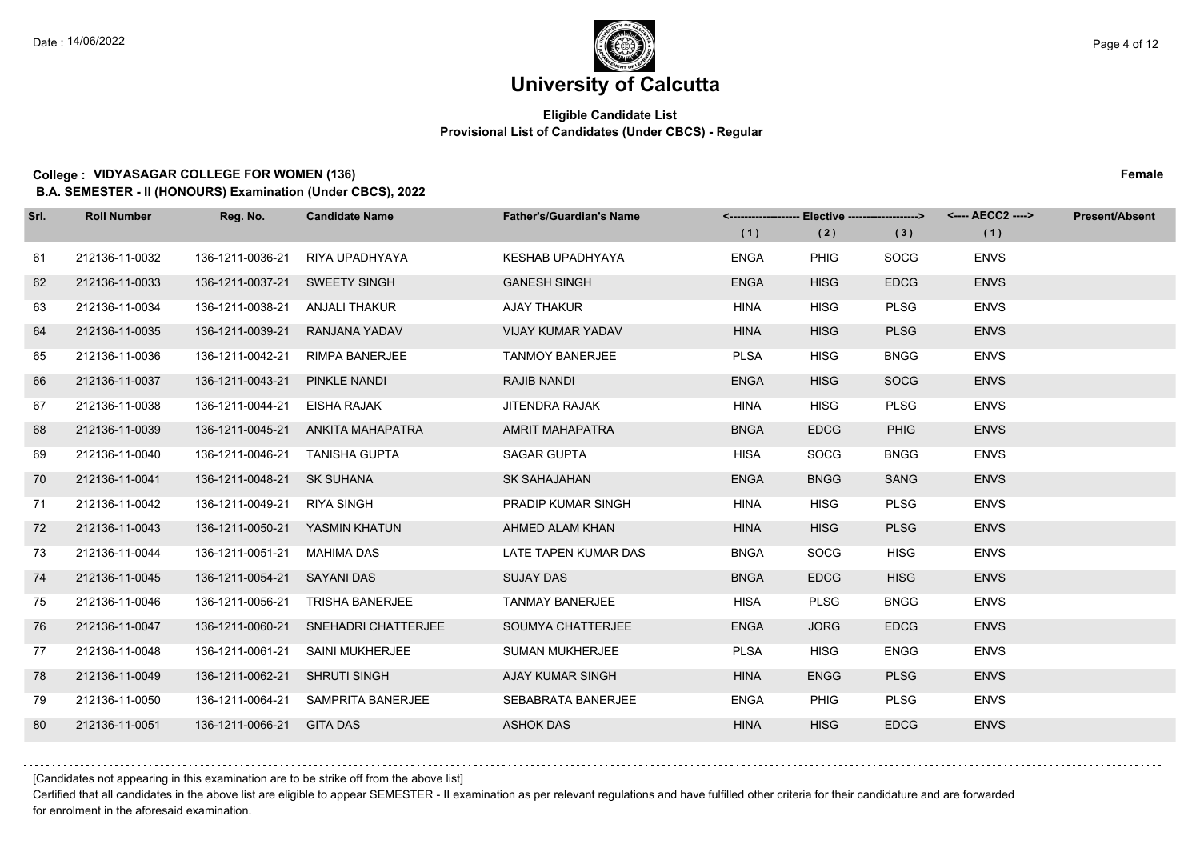## **Eligible Candidate List Provisional List of Candidates (Under CBCS) - Regular**

#### **College : VIDYASAGAR COLLEGE FOR WOMEN (136) Female**

**B.A. SEMESTER - II (HONOURS) Examination (Under CBCS), 2022**

| Srl. | <b>Roll Number</b> | Reg. No.                        | <b>Candidate Name</b>             | <b>Father's/Guardian's Name</b> | (1)         | <-------------------- Elective -------------------><br>(2) | (3)         | <---- AECC2 ----><br>(1) | <b>Present/Absent</b> |
|------|--------------------|---------------------------------|-----------------------------------|---------------------------------|-------------|------------------------------------------------------------|-------------|--------------------------|-----------------------|
| 61   | 212136-11-0032     | 136-1211-0036-21                | RIYA UPADHYAYA                    | KESHAB UPADHYAYA                | <b>ENGA</b> | <b>PHIG</b>                                                | <b>SOCG</b> | <b>ENVS</b>              |                       |
| 62   | 212136-11-0033     | 136-1211-0037-21                | <b>SWEETY SINGH</b>               | <b>GANESH SINGH</b>             | <b>ENGA</b> | <b>HISG</b>                                                | <b>EDCG</b> | <b>ENVS</b>              |                       |
| 63   | 212136-11-0034     | 136-1211-0038-21 ANJALI THAKUR  |                                   | <b>AJAY THAKUR</b>              | <b>HINA</b> | <b>HISG</b>                                                | <b>PLSG</b> | <b>ENVS</b>              |                       |
| 64   | 212136-11-0035     | 136-1211-0039-21                | RANJANA YADAV                     | <b>VIJAY KUMAR YADAV</b>        | <b>HINA</b> | <b>HISG</b>                                                | <b>PLSG</b> | <b>ENVS</b>              |                       |
| 65   | 212136-11-0036     | 136-1211-0042-21                | <b>RIMPA BANERJEE</b>             | <b>TANMOY BANERJEE</b>          | <b>PLSA</b> | <b>HISG</b>                                                | <b>BNGG</b> | <b>ENVS</b>              |                       |
| 66   | 212136-11-0037     | 136-1211-0043-21                | PINKLE NANDI                      | <b>RAJIB NANDI</b>              | <b>ENGA</b> | <b>HISG</b>                                                | <b>SOCG</b> | <b>ENVS</b>              |                       |
| 67   | 212136-11-0038     | 136-1211-0044-21                | EISHA RAJAK                       | <b>JITENDRA RAJAK</b>           | <b>HINA</b> | <b>HISG</b>                                                | <b>PLSG</b> | <b>ENVS</b>              |                       |
| 68   | 212136-11-0039     |                                 | 136-1211-0045-21 ANKITA MAHAPATRA | <b>AMRIT MAHAPATRA</b>          | <b>BNGA</b> | <b>EDCG</b>                                                | <b>PHIG</b> | <b>ENVS</b>              |                       |
| 69   | 212136-11-0040     | 136-1211-0046-21                | <b>TANISHA GUPTA</b>              | SAGAR GUPTA                     | <b>HISA</b> | <b>SOCG</b>                                                | <b>BNGG</b> | <b>ENVS</b>              |                       |
| 70   | 212136-11-0041     | 136-1211-0048-21                | <b>SK SUHANA</b>                  | <b>SK SAHAJAHAN</b>             | <b>ENGA</b> | <b>BNGG</b>                                                | <b>SANG</b> | <b>ENVS</b>              |                       |
| 71   | 212136-11-0042     | 136-1211-0049-21                | RIYA SINGH                        | <b>PRADIP KUMAR SINGH</b>       | <b>HINA</b> | <b>HISG</b>                                                | <b>PLSG</b> | <b>ENVS</b>              |                       |
| 72   | 212136-11-0043     | 136-1211-0050-21  YASMIN KHATUN |                                   | AHMED ALAM KHAN                 | <b>HINA</b> | <b>HISG</b>                                                | <b>PLSG</b> | <b>ENVS</b>              |                       |
| 73   | 212136-11-0044     | 136-1211-0051-21                | MAHIMA DAS                        | LATE TAPEN KUMAR DAS            | <b>BNGA</b> | <b>SOCG</b>                                                | <b>HISG</b> | <b>ENVS</b>              |                       |
| 74   | 212136-11-0045     | 136-1211-0054-21                | SAYANI DAS                        | <b>SUJAY DAS</b>                | <b>BNGA</b> | <b>EDCG</b>                                                | <b>HISG</b> | <b>ENVS</b>              |                       |
| 75   | 212136-11-0046     | 136-1211-0056-21                | <b>TRISHA BANERJEE</b>            | <b>TANMAY BANERJEE</b>          | <b>HISA</b> | <b>PLSG</b>                                                | <b>BNGG</b> | <b>ENVS</b>              |                       |
| 76   | 212136-11-0047     | 136-1211-0060-21                | SNEHADRI CHATTERJEE               | SOUMYA CHATTERJEE               | <b>ENGA</b> | <b>JORG</b>                                                | <b>EDCG</b> | <b>ENVS</b>              |                       |
| 77   | 212136-11-0048     | 136-1211-0061-21                | <b>SAINI MUKHERJEE</b>            | <b>SUMAN MUKHERJEE</b>          | <b>PLSA</b> | <b>HISG</b>                                                | <b>ENGG</b> | <b>ENVS</b>              |                       |
| 78   | 212136-11-0049     | 136-1211-0062-21                | <b>SHRUTI SINGH</b>               | AJAY KUMAR SINGH                | <b>HINA</b> | <b>ENGG</b>                                                | <b>PLSG</b> | <b>ENVS</b>              |                       |
| 79   | 212136-11-0050     | 136-1211-0064-21                | SAMPRITA BANERJEE                 | SEBABRATA BANERJEE              | <b>ENGA</b> | <b>PHIG</b>                                                | <b>PLSG</b> | <b>ENVS</b>              |                       |
| 80   | 212136-11-0051     | 136-1211-0066-21                | <b>GITA DAS</b>                   | <b>ASHOK DAS</b>                | <b>HINA</b> | <b>HISG</b>                                                | <b>EDCG</b> | <b>ENVS</b>              |                       |

[Candidates not appearing in this examination are to be strike off from the above list]

Certified that all candidates in the above list are eligible to appear SEMESTER - II examination as per relevant regulations and have fulfilled other criteria for their candidature and are forwarded for enrolment in the aforesaid examination.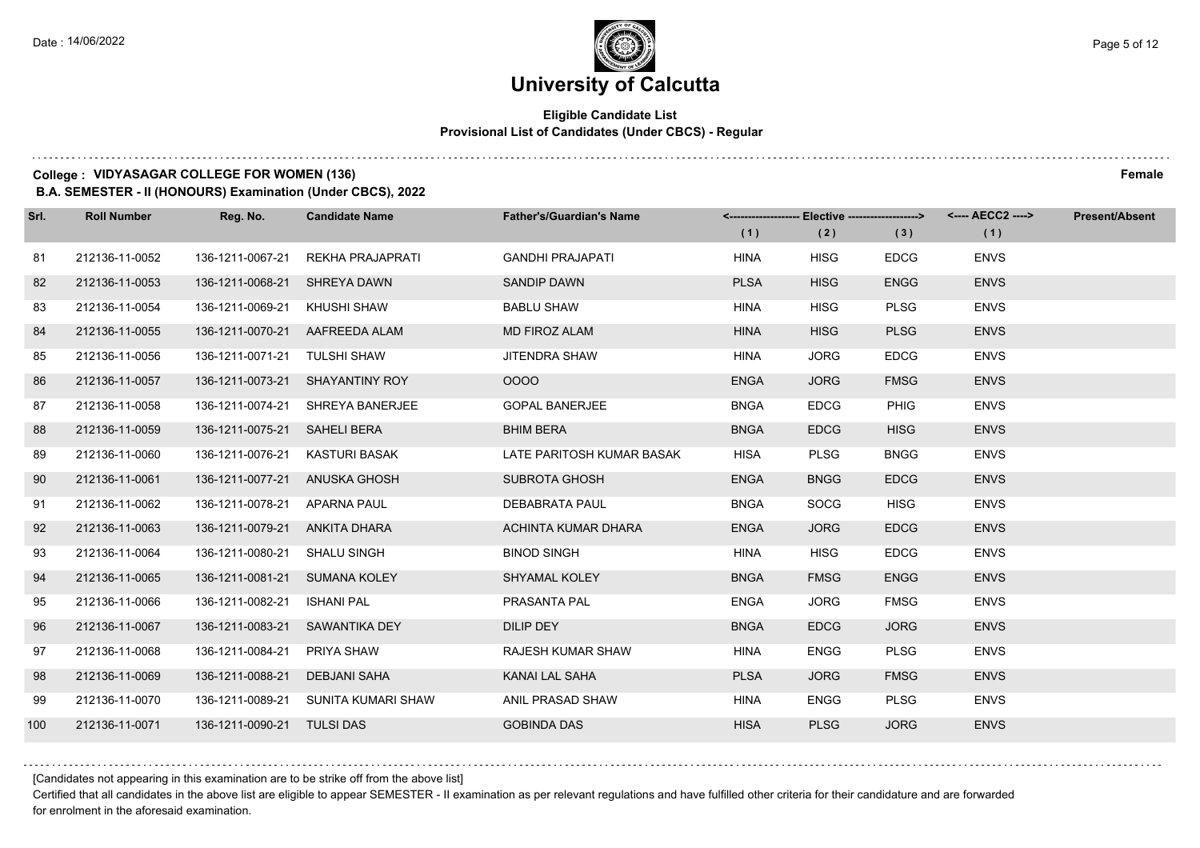## **Eligible Candidate List Provisional List of Candidates (Under CBCS) - Regular**

#### **College : VIDYASAGAR COLLEGE FOR WOMEN (136) Female**

**B.A. SEMESTER - II (HONOURS) Examination (Under CBCS), 2022**

| Srl. | <b>Roll Number</b> | Reg. No.                       | <b>Candidate Name</b>               | <b>Father's/Guardian's Name</b> | (1)         | (2)         | (3)         | <-------------------- Elective -------------------> <---- AECC2 ----><br>(1) | <b>Present/Absent</b> |
|------|--------------------|--------------------------------|-------------------------------------|---------------------------------|-------------|-------------|-------------|------------------------------------------------------------------------------|-----------------------|
| 81   | 212136-11-0052     | 136-1211-0067-21               | REKHA PRAJAPRATI                    | <b>GANDHI PRAJAPATI</b>         | <b>HINA</b> | <b>HISG</b> | <b>EDCG</b> | <b>ENVS</b>                                                                  |                       |
| 82   | 212136-11-0053     | 136-1211-0068-21 SHREYA DAWN   |                                     | <b>SANDIP DAWN</b>              | <b>PLSA</b> | <b>HISG</b> | <b>ENGG</b> | <b>ENVS</b>                                                                  |                       |
| 83   | 212136-11-0054     | 136-1211-0069-21 KHUSHI SHAW   |                                     | <b>BABLU SHAW</b>               | <b>HINA</b> | <b>HISG</b> | <b>PLSG</b> | <b>ENVS</b>                                                                  |                       |
| 84   | 212136-11-0055     |                                | 136-1211-0070-21 AAFREEDA ALAM      | <b>MD FIROZ ALAM</b>            | <b>HINA</b> | <b>HISG</b> | <b>PLSG</b> | <b>ENVS</b>                                                                  |                       |
| 85   | 212136-11-0056     | 136-1211-0071-21               | TULSHI SHAW                         | <b>JITENDRA SHAW</b>            | <b>HINA</b> | <b>JORG</b> | <b>EDCG</b> | <b>ENVS</b>                                                                  |                       |
| 86   | 212136-11-0057     |                                | 136-1211-0073-21 SHAYANTINY ROY     | 0000                            | <b>ENGA</b> | <b>JORG</b> | <b>FMSG</b> | <b>ENVS</b>                                                                  |                       |
| 87   | 212136-11-0058     |                                | 136-1211-0074-21 SHREYA BANERJEE    | <b>GOPAL BANERJEE</b>           | <b>BNGA</b> | <b>EDCG</b> | <b>PHIG</b> | <b>ENVS</b>                                                                  |                       |
| 88   | 212136-11-0059     | 136-1211-0075-21 SAHELI BERA   |                                     | <b>BHIM BERA</b>                | <b>BNGA</b> | <b>EDCG</b> | <b>HISG</b> | <b>ENVS</b>                                                                  |                       |
| 89   | 212136-11-0060     | 136-1211-0076-21 KASTURI BASAK |                                     | LATE PARITOSH KUMAR BASAK       | <b>HISA</b> | <b>PLSG</b> | <b>BNGG</b> | <b>ENVS</b>                                                                  |                       |
| 90   | 212136-11-0061     | 136-1211-0077-21 ANUSKA GHOSH  |                                     | <b>SUBROTA GHOSH</b>            | <b>ENGA</b> | <b>BNGG</b> | <b>EDCG</b> | <b>ENVS</b>                                                                  |                       |
| 91   | 212136-11-0062     | 136-1211-0078-21 APARNA PAUL   |                                     | DEBABRATA PAUL                  | <b>BNGA</b> | <b>SOCG</b> | <b>HISG</b> | <b>ENVS</b>                                                                  |                       |
| 92   | 212136-11-0063     | 136-1211-0079-21 ANKITA DHARA  |                                     | ACHINTA KUMAR DHARA             | <b>ENGA</b> | <b>JORG</b> | <b>EDCG</b> | <b>ENVS</b>                                                                  |                       |
| 93   | 212136-11-0064     | 136-1211-0080-21 SHALU SINGH   |                                     | <b>BINOD SINGH</b>              | <b>HINA</b> | <b>HISG</b> | <b>EDCG</b> | <b>ENVS</b>                                                                  |                       |
| 94   | 212136-11-0065     | 136-1211-0081-21 SUMANA KOLEY  |                                     | SHYAMAL KOLEY                   | <b>BNGA</b> | <b>FMSG</b> | <b>ENGG</b> | <b>ENVS</b>                                                                  |                       |
| 95   | 212136-11-0066     | 136-1211-0082-21               | <b>ISHANI PAL</b>                   | PRASANTA PAL                    | <b>ENGA</b> | <b>JORG</b> | <b>FMSG</b> | <b>ENVS</b>                                                                  |                       |
| 96   | 212136-11-0067     |                                | 136-1211-0083-21 SAWANTIKA DEY      | <b>DILIP DEY</b>                | <b>BNGA</b> | <b>EDCG</b> | <b>JORG</b> | <b>ENVS</b>                                                                  |                       |
| 97   | 212136-11-0068     | 136-1211-0084-21               | PRIYA SHAW                          | <b>RAJESH KUMAR SHAW</b>        | <b>HINA</b> | <b>ENGG</b> | <b>PLSG</b> | <b>ENVS</b>                                                                  |                       |
| 98   | 212136-11-0069     | 136-1211-0088-21               | <b>DEBJANI SAHA</b>                 | KANAI LAL SAHA                  | <b>PLSA</b> | <b>JORG</b> | <b>FMSG</b> | <b>ENVS</b>                                                                  |                       |
| 99   | 212136-11-0070     |                                | 136-1211-0089-21 SUNITA KUMARI SHAW | ANIL PRASAD SHAW                | <b>HINA</b> | <b>ENGG</b> | <b>PLSG</b> | <b>ENVS</b>                                                                  |                       |
| 100  | 212136-11-0071     | 136-1211-0090-21 TULSI DAS     |                                     | <b>GOBINDA DAS</b>              | <b>HISA</b> | <b>PLSG</b> | <b>JORG</b> | <b>ENVS</b>                                                                  |                       |

[Candidates not appearing in this examination are to be strike off from the above list]

Certified that all candidates in the above list are eligible to appear SEMESTER - II examination as per relevant regulations and have fulfilled other criteria for their candidature and are forwarded for enrolment in the aforesaid examination.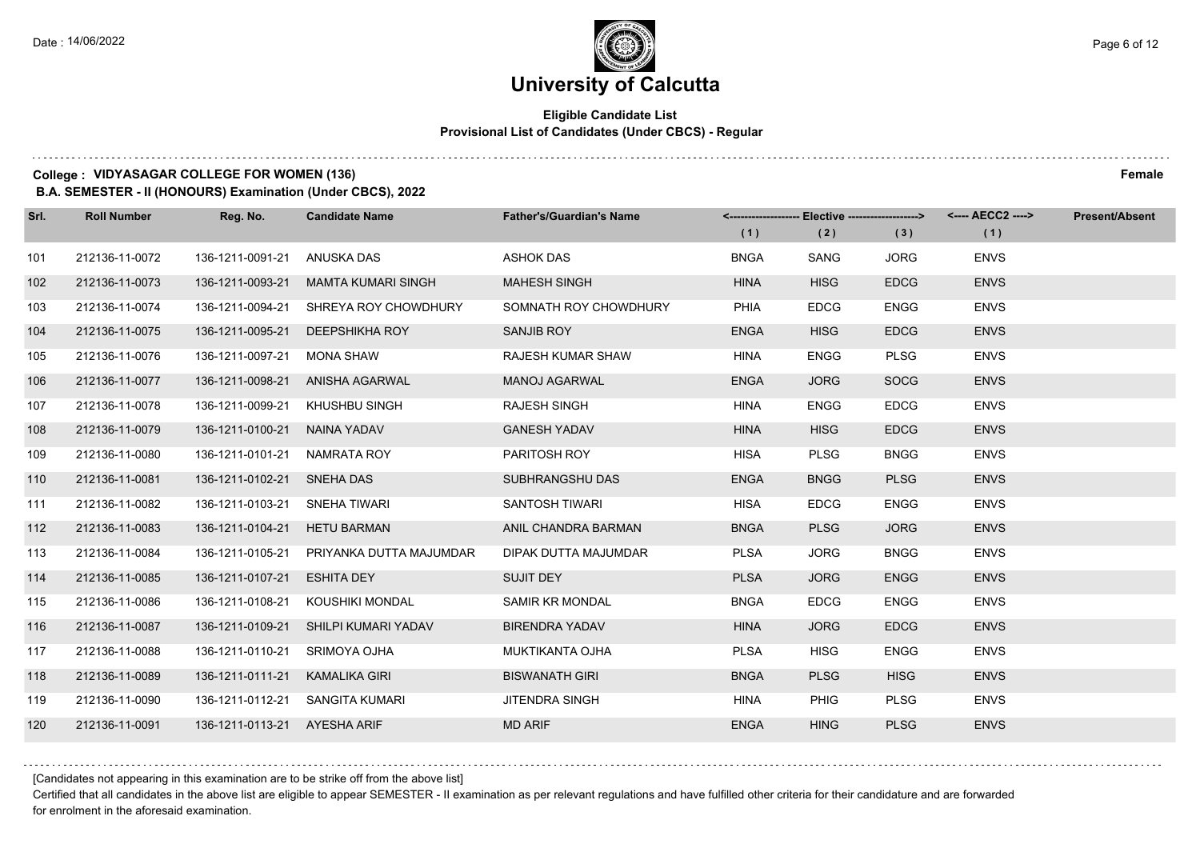## **Eligible Candidate List Provisional List of Candidates (Under CBCS) - Regular**

#### **College : VIDYASAGAR COLLEGE FOR WOMEN (136) Female**

**B.A. SEMESTER - II (HONOURS) Examination (Under CBCS), 2022**

| Srl. | <b>Roll Number</b> | Reg. No.                      | <b>Candidate Name</b>                 | <b>Father's/Guardian's Name</b> | (1)         | <-------------------- Elective -------------------><br>(2) | (3)         | <---- AECC2 ----><br>(1) | <b>Present/Absent</b> |
|------|--------------------|-------------------------------|---------------------------------------|---------------------------------|-------------|------------------------------------------------------------|-------------|--------------------------|-----------------------|
| 101  | 212136-11-0072     | 136-1211-0091-21              | ANUSKA DAS                            | <b>ASHOK DAS</b>                | <b>BNGA</b> | SANG                                                       | <b>JORG</b> | <b>ENVS</b>              |                       |
| 102  | 212136-11-0073     | 136-1211-0093-21              | <b>MAMTA KUMARI SINGH</b>             | <b>MAHESH SINGH</b>             | <b>HINA</b> | <b>HISG</b>                                                | <b>EDCG</b> | <b>ENVS</b>              |                       |
| 103  | 212136-11-0074     |                               | 136-1211-0094-21 SHREYA ROY CHOWDHURY | SOMNATH ROY CHOWDHURY           | PHIA        | <b>EDCG</b>                                                | <b>ENGG</b> | <b>ENVS</b>              |                       |
| 104  | 212136-11-0075     | 136-1211-0095-21              | DEEPSHIKHA ROY                        | SANJIB ROY                      | <b>ENGA</b> | <b>HISG</b>                                                | <b>EDCG</b> | <b>ENVS</b>              |                       |
| 105  | 212136-11-0076     | 136-1211-0097-21              | MONA SHAW                             | <b>RAJESH KUMAR SHAW</b>        | <b>HINA</b> | <b>ENGG</b>                                                | <b>PLSG</b> | <b>ENVS</b>              |                       |
| 106  | 212136-11-0077     | 136-1211-0098-21              | ANISHA AGARWAL                        | <b>MANOJ AGARWAL</b>            | <b>ENGA</b> | <b>JORG</b>                                                | <b>SOCG</b> | <b>ENVS</b>              |                       |
| 107  | 212136-11-0078     | 136-1211-0099-21              | KHUSHBU SINGH                         | <b>RAJESH SINGH</b>             | HINA        | <b>ENGG</b>                                                | <b>EDCG</b> | <b>ENVS</b>              |                       |
| 108  | 212136-11-0079     | 136-1211-0100-21 NAINA YADAV  |                                       | <b>GANESH YADAV</b>             | <b>HINA</b> | <b>HISG</b>                                                | <b>EDCG</b> | <b>ENVS</b>              |                       |
| 109  | 212136-11-0080     | 136-1211-0101-21              | NAMRATA ROY                           | PARITOSH ROY                    | HISA        | <b>PLSG</b>                                                | <b>BNGG</b> | <b>ENVS</b>              |                       |
| 110  | 212136-11-0081     | 136-1211-0102-21 SNEHA DAS    |                                       | SUBHRANGSHU DAS                 | <b>ENGA</b> | <b>BNGG</b>                                                | <b>PLSG</b> | <b>ENVS</b>              |                       |
| 111  | 212136-11-0082     | 136-1211-0103-21 SNEHA TIWARI |                                       | SANTOSH TIWARI                  | HISA        | <b>EDCG</b>                                                | <b>ENGG</b> | <b>ENVS</b>              |                       |
| 112  | 212136-11-0083     | 136-1211-0104-21              | <b>HETU BARMAN</b>                    | ANIL CHANDRA BARMAN             | <b>BNGA</b> | <b>PLSG</b>                                                | <b>JORG</b> | <b>ENVS</b>              |                       |
| 113  | 212136-11-0084     | 136-1211-0105-21              | PRIYANKA DUTTA MAJUMDAR               | DIPAK DUTTA MAJUMDAR            | <b>PLSA</b> | <b>JORG</b>                                                | <b>BNGG</b> | <b>ENVS</b>              |                       |
| 114  | 212136-11-0085     | 136-1211-0107-21              | <b>ESHITA DEY</b>                     | <b>SUJIT DEY</b>                | <b>PLSA</b> | <b>JORG</b>                                                | <b>ENGG</b> | <b>ENVS</b>              |                       |
| 115  | 212136-11-0086     | 136-1211-0108-21              | KOUSHIKI MONDAL                       | <b>SAMIR KR MONDAL</b>          | <b>BNGA</b> | <b>EDCG</b>                                                | <b>ENGG</b> | <b>ENVS</b>              |                       |
| 116  | 212136-11-0087     |                               | 136-1211-0109-21 SHILPI KUMARI YADAV  | <b>BIRENDRA YADAV</b>           | <b>HINA</b> | <b>JORG</b>                                                | <b>EDCG</b> | <b>ENVS</b>              |                       |
| 117  | 212136-11-0088     | 136-1211-0110-21              | SRIMOYA OJHA                          | <b>MUKTIKANTA OJHA</b>          | <b>PLSA</b> | <b>HISG</b>                                                | <b>ENGG</b> | <b>ENVS</b>              |                       |
| 118  | 212136-11-0089     | 136-1211-0111-21              | KAMALIKA GIRI                         | <b>BISWANATH GIRI</b>           | <b>BNGA</b> | <b>PLSG</b>                                                | <b>HISG</b> | <b>ENVS</b>              |                       |
| 119  | 212136-11-0090     | 136-1211-0112-21              | SANGITA KUMARI                        | <b>JITENDRA SINGH</b>           | <b>HINA</b> | <b>PHIG</b>                                                | <b>PLSG</b> | <b>ENVS</b>              |                       |
| 120  | 212136-11-0091     | 136-1211-0113-21 AYESHA ARIF  |                                       | <b>MD ARIF</b>                  | <b>ENGA</b> | <b>HING</b>                                                | <b>PLSG</b> | <b>ENVS</b>              |                       |

[Candidates not appearing in this examination are to be strike off from the above list]

Certified that all candidates in the above list are eligible to appear SEMESTER - II examination as per relevant regulations and have fulfilled other criteria for their candidature and are forwarded for enrolment in the aforesaid examination.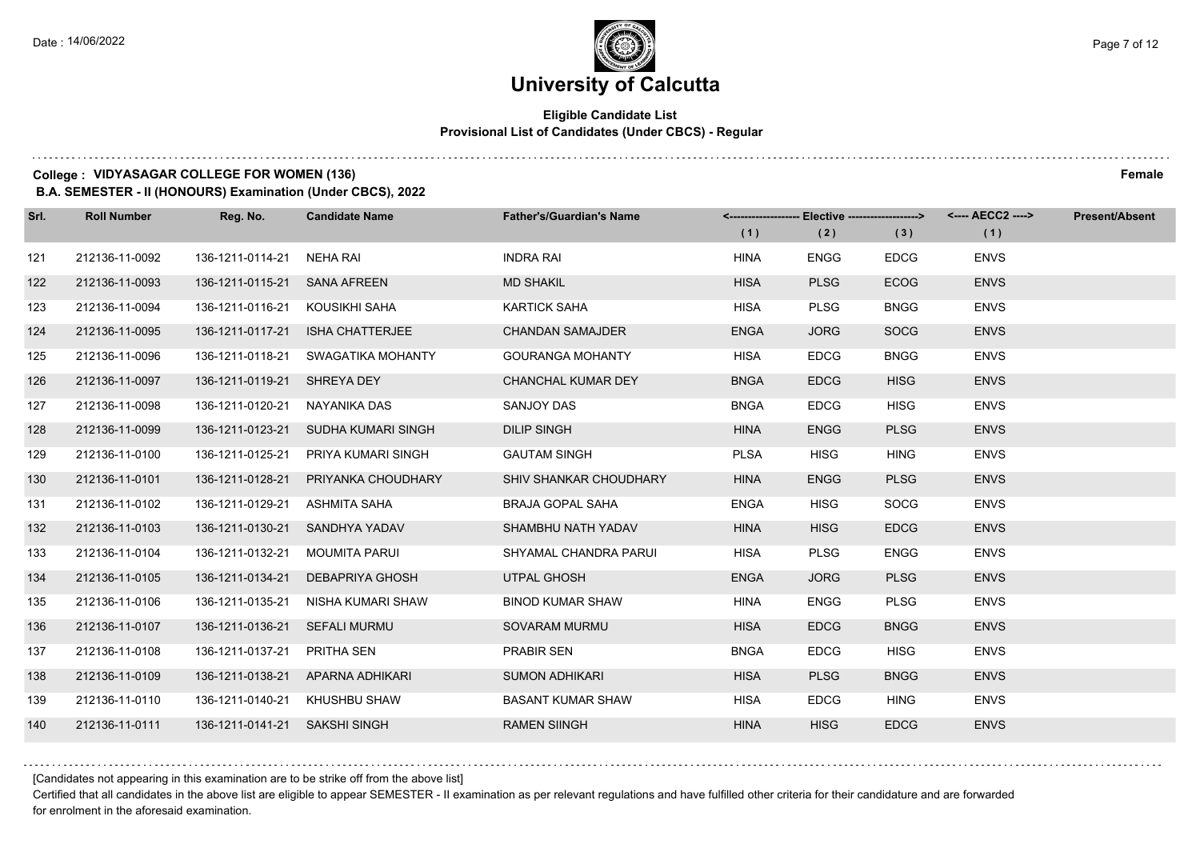## **Eligible Candidate List Provisional List of Candidates (Under CBCS) - Regular**

#### **College : VIDYASAGAR COLLEGE FOR WOMEN (136) Female**

**B.A. SEMESTER - II (HONOURS) Examination (Under CBCS), 2022**

| Srl. | <b>Roll Number</b> | Reg. No.                       | <b>Candidate Name</b>               | <b>Father's/Guardian's Name</b> | (1)         | <------------------- Elective ------------------><br>(2) | (3)         | (1)         | <b>Present/Absent</b> |
|------|--------------------|--------------------------------|-------------------------------------|---------------------------------|-------------|----------------------------------------------------------|-------------|-------------|-----------------------|
| 121  | 212136-11-0092     | 136-1211-0114-21               | NEHA RAI                            | <b>INDRA RAI</b>                | <b>HINA</b> | <b>ENGG</b>                                              | <b>EDCG</b> | <b>ENVS</b> |                       |
| 122  | 212136-11-0093     | 136-1211-0115-21 SANA AFREEN   |                                     | <b>MD SHAKIL</b>                | <b>HISA</b> | <b>PLSG</b>                                              | <b>ECOG</b> | <b>ENVS</b> |                       |
| 123  | 212136-11-0094     | 136-1211-0116-21 KOUSIKHI SAHA |                                     | <b>KARTICK SAHA</b>             | <b>HISA</b> | <b>PLSG</b>                                              | <b>BNGG</b> | <b>ENVS</b> |                       |
| 124  | 212136-11-0095     |                                | 136-1211-0117-21 ISHA CHATTERJEE    | <b>CHANDAN SAMAJDER</b>         | <b>ENGA</b> | <b>JORG</b>                                              | <b>SOCG</b> | <b>ENVS</b> |                       |
| 125  | 212136-11-0096     | 136-1211-0118-21               | SWAGATIKA MOHANTY                   | <b>GOURANGA MOHANTY</b>         | <b>HISA</b> | <b>EDCG</b>                                              | <b>BNGG</b> | <b>ENVS</b> |                       |
| 126  | 212136-11-0097     | 136-1211-0119-21 SHREYA DEY    |                                     | CHANCHAL KUMAR DEY              | <b>BNGA</b> | <b>EDCG</b>                                              | <b>HISG</b> | <b>ENVS</b> |                       |
| 127  | 212136-11-0098     | 136-1211-0120-21               | NAYANIKA DAS                        | SANJOY DAS                      | <b>BNGA</b> | <b>EDCG</b>                                              | <b>HISG</b> | <b>ENVS</b> |                       |
| 128  | 212136-11-0099     |                                | 136-1211-0123-21 SUDHA KUMARI SINGH | <b>DILIP SINGH</b>              | <b>HINA</b> | <b>ENGG</b>                                              | <b>PLSG</b> | <b>ENVS</b> |                       |
| 129  | 212136-11-0100     | 136-1211-0125-21               | PRIYA KUMARI SINGH                  | <b>GAUTAM SINGH</b>             | <b>PLSA</b> | <b>HISG</b>                                              | <b>HING</b> | <b>ENVS</b> |                       |
| 130  | 212136-11-0101     | 136-1211-0128-21               | PRIYANKA CHOUDHARY                  | SHIV SHANKAR CHOUDHARY          | <b>HINA</b> | <b>ENGG</b>                                              | <b>PLSG</b> | <b>ENVS</b> |                       |
| 131  | 212136-11-0102     | 136-1211-0129-21               | ASHMITA SAHA                        | BRAJA GOPAL SAHA                | <b>ENGA</b> | <b>HISG</b>                                              | SOCG        | <b>ENVS</b> |                       |
| 132  | 212136-11-0103     |                                | 136-1211-0130-21 SANDHYA YADAV      | SHAMBHU NATH YADAV              | <b>HINA</b> | <b>HISG</b>                                              | <b>EDCG</b> | <b>ENVS</b> |                       |
| 133  | 212136-11-0104     | 136-1211-0132-21               | <b>MOUMITA PARUI</b>                | SHYAMAL CHANDRA PARUI           | <b>HISA</b> | <b>PLSG</b>                                              | <b>ENGG</b> | <b>ENVS</b> |                       |
| 134  | 212136-11-0105     | 136-1211-0134-21               | DEBAPRIYA GHOSH                     | UTPAL GHOSH                     | <b>ENGA</b> | <b>JORG</b>                                              | <b>PLSG</b> | <b>ENVS</b> |                       |
| 135  | 212136-11-0106     | 136-1211-0135-21               | NISHA KUMARI SHAW                   | <b>BINOD KUMAR SHAW</b>         | <b>HINA</b> | <b>ENGG</b>                                              | <b>PLSG</b> | <b>ENVS</b> |                       |
| 136  | 212136-11-0107     | 136-1211-0136-21 SEFALI MURMU  |                                     | SOVARAM MURMU                   | <b>HISA</b> | <b>EDCG</b>                                              | <b>BNGG</b> | <b>ENVS</b> |                       |
| 137  | 212136-11-0108     | 136-1211-0137-21               | PRITHA SEN                          | <b>PRABIR SEN</b>               | <b>BNGA</b> | <b>EDCG</b>                                              | <b>HISG</b> | <b>ENVS</b> |                       |
| 138  | 212136-11-0109     |                                | 136-1211-0138-21 APARNA ADHIKARI    | <b>SUMON ADHIKARI</b>           | <b>HISA</b> | <b>PLSG</b>                                              | <b>BNGG</b> | <b>ENVS</b> |                       |
| 139  | 212136-11-0110     | 136-1211-0140-21               | KHUSHBU SHAW                        | <b>BASANT KUMAR SHAW</b>        | <b>HISA</b> | <b>EDCG</b>                                              | <b>HING</b> | <b>ENVS</b> |                       |
| 140  | 212136-11-0111     | 136-1211-0141-21 SAKSHI SINGH  |                                     | <b>RAMEN SIINGH</b>             | <b>HINA</b> | <b>HISG</b>                                              | <b>EDCG</b> | <b>ENVS</b> |                       |

[Candidates not appearing in this examination are to be strike off from the above list]

Certified that all candidates in the above list are eligible to appear SEMESTER - II examination as per relevant regulations and have fulfilled other criteria for their candidature and are forwarded for enrolment in the aforesaid examination.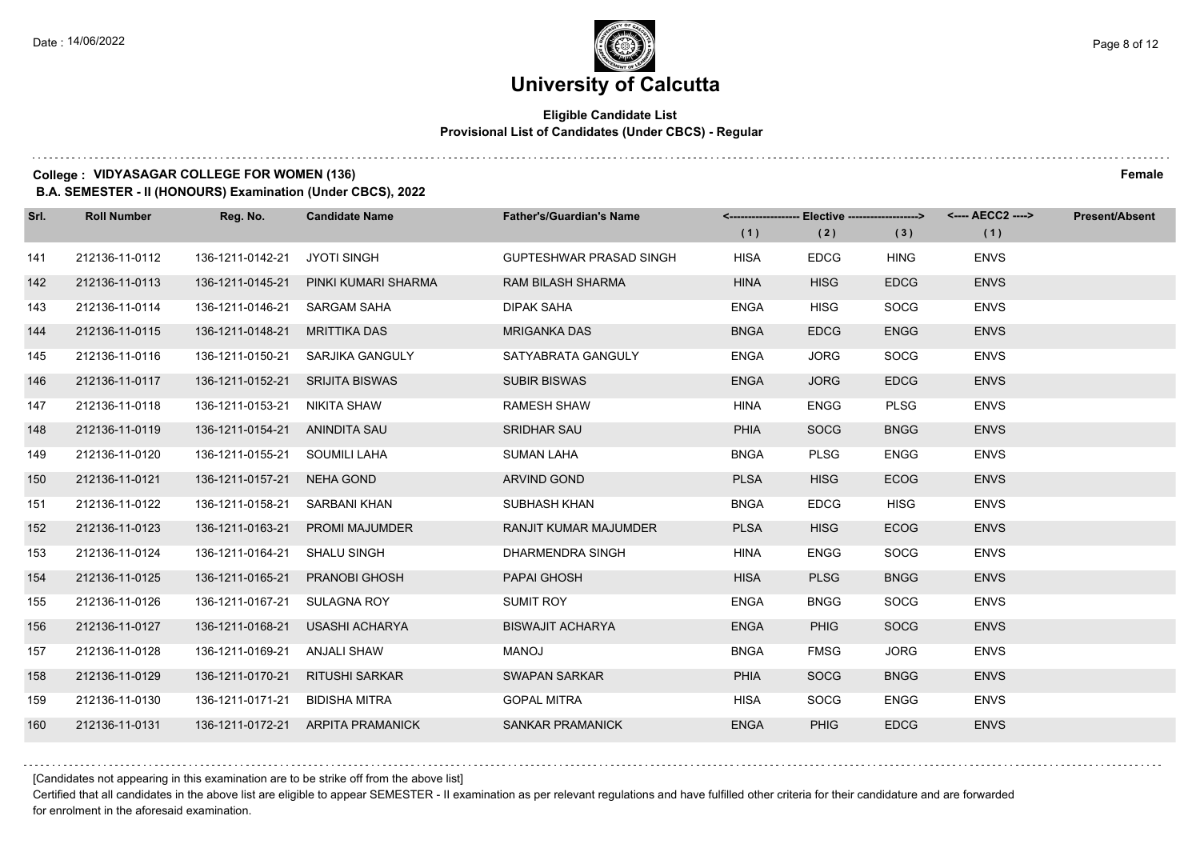## **Eligible Candidate List Provisional List of Candidates (Under CBCS) - Regular**

#### **College : VIDYASAGAR COLLEGE FOR WOMEN (136) Female**

**B.A. SEMESTER - II (HONOURS) Examination (Under CBCS), 2022**

| Srl. | <b>Roll Number</b> | Reg. No.                        | <b>Candidate Name</b>                | <b>Father's/Guardian's Name</b> |             | <-------------------- Elective -------------------> |             |             | <b>Present/Absent</b> |
|------|--------------------|---------------------------------|--------------------------------------|---------------------------------|-------------|-----------------------------------------------------|-------------|-------------|-----------------------|
|      |                    |                                 |                                      |                                 | (1)         | (2)                                                 | (3)         | (1)         |                       |
| 141  | 212136-11-0112     | 136-1211-0142-21                | <b>JYOTI SINGH</b>                   | <b>GUPTESHWAR PRASAD SINGH</b>  | <b>HISA</b> | <b>EDCG</b>                                         | <b>HING</b> | <b>ENVS</b> |                       |
| 142  | 212136-11-0113     |                                 | 136-1211-0145-21 PINKI KUMARI SHARMA | <b>RAM BILASH SHARMA</b>        | <b>HINA</b> | <b>HISG</b>                                         | <b>EDCG</b> | <b>ENVS</b> |                       |
| 143  | 212136-11-0114     | 136-1211-0146-21 SARGAM SAHA    |                                      | DIPAK SAHA                      | <b>ENGA</b> | <b>HISG</b>                                         | <b>SOCG</b> | <b>ENVS</b> |                       |
| 144  | 212136-11-0115     | 136-1211-0148-21 MRITTIKA DAS   |                                      | <b>MRIGANKA DAS</b>             | <b>BNGA</b> | <b>EDCG</b>                                         | <b>ENGG</b> | <b>ENVS</b> |                       |
| 145  | 212136-11-0116     |                                 | 136-1211-0150-21 SARJIKA GANGULY     | SATYABRATA GANGULY              | <b>ENGA</b> | <b>JORG</b>                                         | <b>SOCG</b> | <b>ENVS</b> |                       |
| 146  | 212136-11-0117     | 136-1211-0152-21 SRIJITA BISWAS |                                      | <b>SUBIR BISWAS</b>             | <b>ENGA</b> | <b>JORG</b>                                         | <b>EDCG</b> | <b>ENVS</b> |                       |
| 147  | 212136-11-0118     | 136-1211-0153-21 NIKITA SHAW    |                                      | <b>RAMESH SHAW</b>              | <b>HINA</b> | <b>ENGG</b>                                         | <b>PLSG</b> | <b>ENVS</b> |                       |
| 148  | 212136-11-0119     | 136-1211-0154-21 ANINDITA SAU   |                                      | <b>SRIDHAR SAU</b>              | <b>PHIA</b> | <b>SOCG</b>                                         | <b>BNGG</b> | <b>ENVS</b> |                       |
| 149  | 212136-11-0120     | 136-1211-0155-21 SOUMILI LAHA   |                                      | <b>SUMAN LAHA</b>               | <b>BNGA</b> | <b>PLSG</b>                                         | <b>ENGG</b> | <b>ENVS</b> |                       |
| 150  | 212136-11-0121     | 136-1211-0157-21 NEHA GOND      |                                      | ARVIND GOND                     | <b>PLSA</b> | <b>HISG</b>                                         | <b>ECOG</b> | <b>ENVS</b> |                       |
| 151  | 212136-11-0122     | 136-1211-0158-21 SARBANI KHAN   |                                      | SUBHASH KHAN                    | <b>BNGA</b> | <b>EDCG</b>                                         | <b>HISG</b> | <b>ENVS</b> |                       |
| 152  | 212136-11-0123     |                                 | 136-1211-0163-21 PROMI MAJUMDER      | RANJIT KUMAR MAJUMDER           | <b>PLSA</b> | <b>HISG</b>                                         | <b>ECOG</b> | <b>ENVS</b> |                       |
| 153  | 212136-11-0124     | 136-1211-0164-21 SHALU SINGH    |                                      | DHARMENDRA SINGH                | <b>HINA</b> | ENGG                                                | <b>SOCG</b> | <b>ENVS</b> |                       |
| 154  | 212136-11-0125     |                                 | 136-1211-0165-21 PRANOBI GHOSH       | PAPAI GHOSH                     | <b>HISA</b> | <b>PLSG</b>                                         | <b>BNGG</b> | <b>ENVS</b> |                       |
| 155  | 212136-11-0126     | 136-1211-0167-21 SULAGNA ROY    |                                      | <b>SUMIT ROY</b>                | <b>ENGA</b> | <b>BNGG</b>                                         | <b>SOCG</b> | <b>ENVS</b> |                       |
| 156  | 212136-11-0127     |                                 | 136-1211-0168-21 USASHI ACHARYA      | <b>BISWAJIT ACHARYA</b>         | <b>ENGA</b> | <b>PHIG</b>                                         | <b>SOCG</b> | <b>ENVS</b> |                       |
| 157  | 212136-11-0128     | 136-1211-0169-21 ANJALI SHAW    |                                      | MANOJ                           | <b>BNGA</b> | <b>FMSG</b>                                         | <b>JORG</b> | <b>ENVS</b> |                       |
| 158  | 212136-11-0129     |                                 | 136-1211-0170-21 RITUSHI SARKAR      | <b>SWAPAN SARKAR</b>            | <b>PHIA</b> | <b>SOCG</b>                                         | <b>BNGG</b> | <b>ENVS</b> |                       |
| 159  | 212136-11-0130     | 136-1211-0171-21 BIDISHA MITRA  |                                      | <b>GOPAL MITRA</b>              | HISA        | <b>SOCG</b>                                         | <b>ENGG</b> | <b>ENVS</b> |                       |
| 160  | 212136-11-0131     |                                 | 136-1211-0172-21 ARPITA PRAMANICK    | <b>SANKAR PRAMANICK</b>         | <b>ENGA</b> | <b>PHIG</b>                                         | <b>EDCG</b> | <b>ENVS</b> |                       |

[Candidates not appearing in this examination are to be strike off from the above list]

Certified that all candidates in the above list are eligible to appear SEMESTER - II examination as per relevant regulations and have fulfilled other criteria for their candidature and are forwarded for enrolment in the aforesaid examination.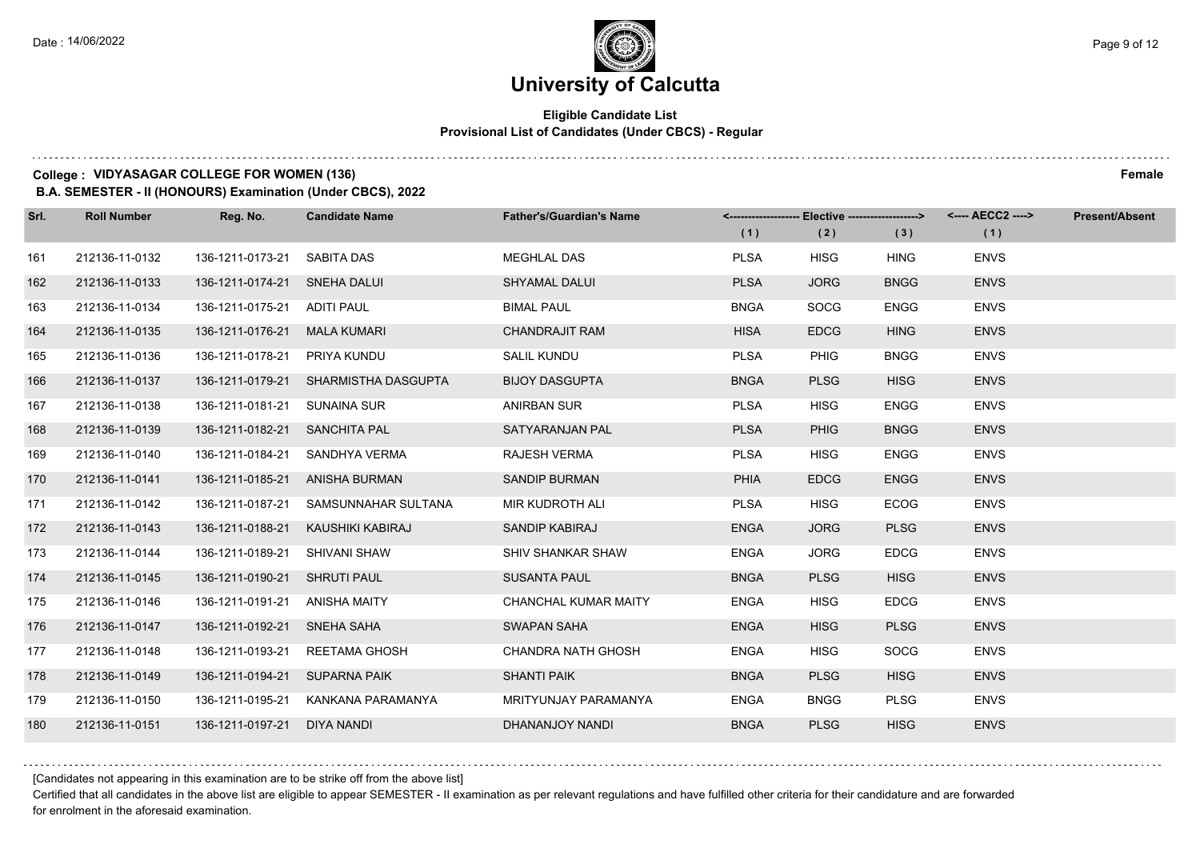## **Eligible Candidate List Provisional List of Candidates (Under CBCS) - Regular**

#### **College : VIDYASAGAR COLLEGE FOR WOMEN (136) Female**

**B.A. SEMESTER - II (HONOURS) Examination (Under CBCS), 2022**

| Srl. | <b>Roll Number</b> | Reg. No.                      | <b>Candidate Name</b>                | <b>Father's/Guardian's Name</b> | (1)         | (2)         | (3)         | <------------------- Elective ------------------> <---- AECC2 ----><br>(1) | <b>Present/Absent</b> |
|------|--------------------|-------------------------------|--------------------------------------|---------------------------------|-------------|-------------|-------------|----------------------------------------------------------------------------|-----------------------|
| 161  | 212136-11-0132     | 136-1211-0173-21              | SABITA DAS                           | <b>MEGHLAL DAS</b>              | <b>PLSA</b> | <b>HISG</b> | <b>HING</b> | <b>ENVS</b>                                                                |                       |
| 162  | 212136-11-0133     | 136-1211-0174-21 SNEHA DALUI  |                                      | <b>SHYAMAL DALUI</b>            | <b>PLSA</b> | <b>JORG</b> | <b>BNGG</b> | <b>ENVS</b>                                                                |                       |
| 163  | 212136-11-0134     | 136-1211-0175-21 ADITI PAUL   |                                      | <b>BIMAL PAUL</b>               | <b>BNGA</b> | <b>SOCG</b> | <b>ENGG</b> | <b>ENVS</b>                                                                |                       |
| 164  | 212136-11-0135     | 136-1211-0176-21 MALA KUMARI  |                                      | <b>CHANDRAJIT RAM</b>           | <b>HISA</b> | <b>EDCG</b> | <b>HING</b> | <b>ENVS</b>                                                                |                       |
| 165  | 212136-11-0136     | 136-1211-0178-21 PRIYA KUNDU  |                                      | <b>SALIL KUNDU</b>              | <b>PLSA</b> | <b>PHIG</b> | <b>BNGG</b> | <b>ENVS</b>                                                                |                       |
| 166  | 212136-11-0137     |                               | 136-1211-0179-21 SHARMISTHA DASGUPTA | <b>BIJOY DASGUPTA</b>           | <b>BNGA</b> | <b>PLSG</b> | <b>HISG</b> | <b>ENVS</b>                                                                |                       |
| 167  | 212136-11-0138     | 136-1211-0181-21 SUNAINA SUR  |                                      | ANIRBAN SUR                     | <b>PLSA</b> | <b>HISG</b> | <b>ENGG</b> | <b>ENVS</b>                                                                |                       |
| 168  | 212136-11-0139     | 136-1211-0182-21 SANCHITA PAL |                                      | SATYARANJAN PAL                 | <b>PLSA</b> | <b>PHIG</b> | <b>BNGG</b> | <b>ENVS</b>                                                                |                       |
| 169  | 212136-11-0140     |                               | 136-1211-0184-21 SANDHYA VERMA       | <b>RAJESH VERMA</b>             | <b>PLSA</b> | <b>HISG</b> | <b>ENGG</b> | <b>ENVS</b>                                                                |                       |
| 170  | 212136-11-0141     |                               | 136-1211-0185-21 ANISHA BURMAN       | <b>SANDIP BURMAN</b>            | <b>PHIA</b> | <b>EDCG</b> | <b>ENGG</b> | <b>ENVS</b>                                                                |                       |
| 171  | 212136-11-0142     |                               | 136-1211-0187-21 SAMSUNNAHAR SULTANA | MIR KUDROTH ALI                 | <b>PLSA</b> | <b>HISG</b> | <b>ECOG</b> | <b>ENVS</b>                                                                |                       |
| 172  | 212136-11-0143     |                               | 136-1211-0188-21 KAUSHIKI KABIRAJ    | SANDIP KABIRAJ                  | <b>ENGA</b> | <b>JORG</b> | <b>PLSG</b> | <b>ENVS</b>                                                                |                       |
| 173  | 212136-11-0144     | 136-1211-0189-21              | SHIVANI SHAW                         | SHIV SHANKAR SHAW               | <b>ENGA</b> | <b>JORG</b> | <b>EDCG</b> | <b>ENVS</b>                                                                |                       |
| 174  | 212136-11-0145     | 136-1211-0190-21 SHRUTI PAUL  |                                      | <b>SUSANTA PAUL</b>             | <b>BNGA</b> | <b>PLSG</b> | <b>HISG</b> | <b>ENVS</b>                                                                |                       |
| 175  | 212136-11-0146     | 136-1211-0191-21 ANISHA MAITY |                                      | CHANCHAL KUMAR MAITY            | <b>ENGA</b> | <b>HISG</b> | <b>EDCG</b> | <b>ENVS</b>                                                                |                       |
| 176  | 212136-11-0147     | 136-1211-0192-21 SNEHA SAHA   |                                      | <b>SWAPAN SAHA</b>              | <b>ENGA</b> | <b>HISG</b> | <b>PLSG</b> | <b>ENVS</b>                                                                |                       |
| 177  | 212136-11-0148     | 136-1211-0193-21              | REETAMA GHOSH                        | <b>CHANDRA NATH GHOSH</b>       | <b>ENGA</b> | <b>HISG</b> | <b>SOCG</b> | <b>ENVS</b>                                                                |                       |
| 178  | 212136-11-0149     | 136-1211-0194-21 SUPARNA PAIK |                                      | <b>SHANTI PAIK</b>              | <b>BNGA</b> | <b>PLSG</b> | <b>HISG</b> | <b>ENVS</b>                                                                |                       |
| 179  | 212136-11-0150     |                               | 136-1211-0195-21 KANKANA PARAMANYA   | MRITYUNJAY PARAMANYA            | <b>ENGA</b> | <b>BNGG</b> | <b>PLSG</b> | <b>ENVS</b>                                                                |                       |
| 180  | 212136-11-0151     | 136-1211-0197-21 DIYA NANDI   |                                      | DHANANJOY NANDI                 | <b>BNGA</b> | <b>PLSG</b> | <b>HISG</b> | <b>ENVS</b>                                                                |                       |

[Candidates not appearing in this examination are to be strike off from the above list]

Certified that all candidates in the above list are eligible to appear SEMESTER - II examination as per relevant regulations and have fulfilled other criteria for their candidature and are forwarded for enrolment in the aforesaid examination.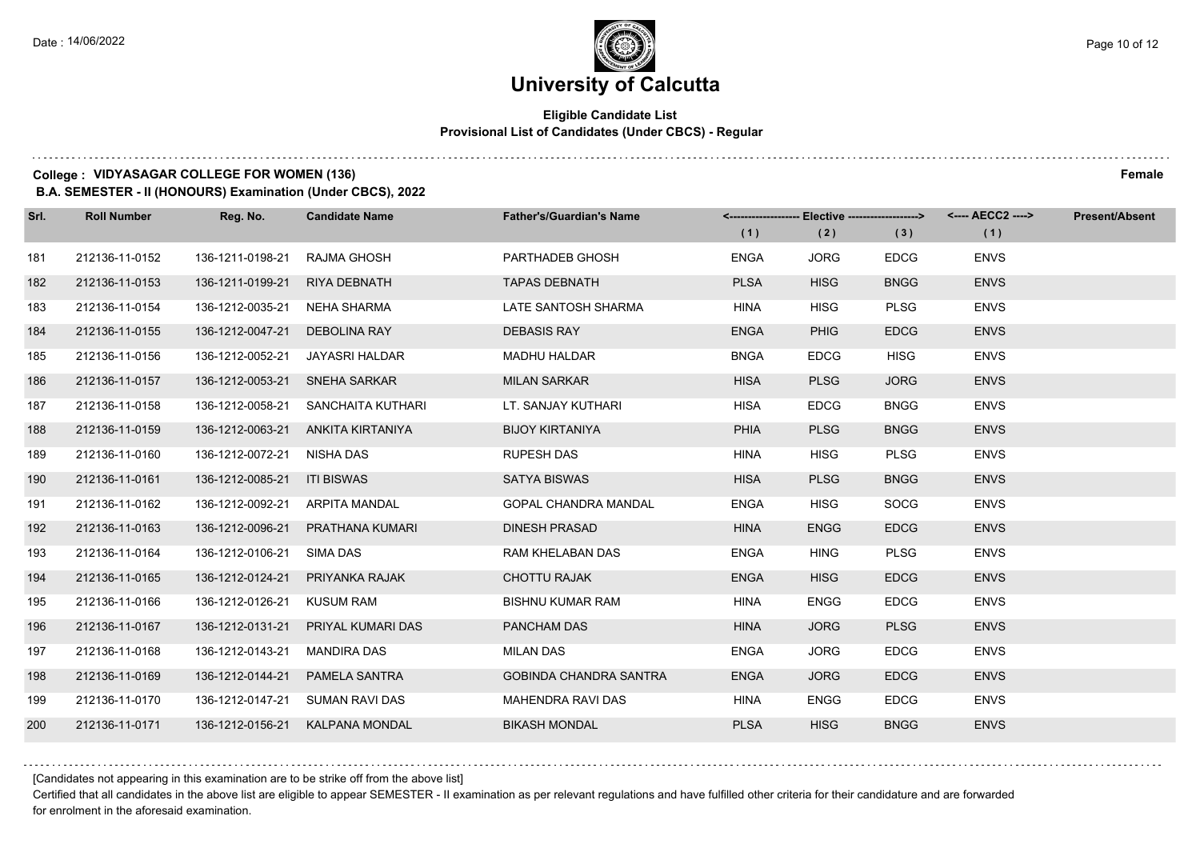## **Eligible Candidate List Provisional List of Candidates (Under CBCS) - Regular**

#### **College : VIDYASAGAR COLLEGE FOR WOMEN (136) Female**

**B.A. SEMESTER - II (HONOURS) Examination (Under CBCS), 2022**

| Srl. | <b>Roll Number</b> | Reg. No.                       | <b>Candidate Name</b>             | <b>Father's/Guardian's Name</b> | (1)         | <-------------------- Elective -------------------><br>(2) | (3)         | <---- AECC2 ----><br>(1) | Present/Absent |
|------|--------------------|--------------------------------|-----------------------------------|---------------------------------|-------------|------------------------------------------------------------|-------------|--------------------------|----------------|
| 181  | 212136-11-0152     | 136-1211-0198-21               | RAJMA GHOSH                       | PARTHADEB GHOSH                 | <b>ENGA</b> | <b>JORG</b>                                                | <b>EDCG</b> | <b>ENVS</b>              |                |
| 182  | 212136-11-0153     | 136-1211-0199-21               | <b>RIYA DEBNATH</b>               | <b>TAPAS DEBNATH</b>            | <b>PLSA</b> | <b>HISG</b>                                                | <b>BNGG</b> | <b>ENVS</b>              |                |
| 183  | 212136-11-0154     | 136-1212-0035-21 NEHA SHARMA   |                                   | LATE SANTOSH SHARMA             | <b>HINA</b> | <b>HISG</b>                                                | <b>PLSG</b> | <b>ENVS</b>              |                |
| 184  | 212136-11-0155     | 136-1212-0047-21               | DEBOLINA RAY                      | <b>DEBASIS RAY</b>              | <b>ENGA</b> | <b>PHIG</b>                                                | <b>EDCG</b> | <b>ENVS</b>              |                |
| 185  | 212136-11-0156     | 136-1212-0052-21               | JAYASRI HALDAR                    | <b>MADHU HALDAR</b>             | <b>BNGA</b> | <b>EDCG</b>                                                | <b>HISG</b> | <b>ENVS</b>              |                |
| 186  | 212136-11-0157     | 136-1212-0053-21               | <b>SNEHA SARKAR</b>               | <b>MILAN SARKAR</b>             | <b>HISA</b> | <b>PLSG</b>                                                | <b>JORG</b> | <b>ENVS</b>              |                |
| 187  | 212136-11-0158     | 136-1212-0058-21               | SANCHAITA KUTHARI                 | LT. SANJAY KUTHARI              | <b>HISA</b> | <b>EDCG</b>                                                | <b>BNGG</b> | <b>ENVS</b>              |                |
| 188  | 212136-11-0159     |                                | 136-1212-0063-21 ANKITA KIRTANIYA | <b>BIJOY KIRTANIYA</b>          | <b>PHIA</b> | <b>PLSG</b>                                                | <b>BNGG</b> | <b>ENVS</b>              |                |
| 189  | 212136-11-0160     | 136-1212-0072-21 NISHA DAS     |                                   | <b>RUPESH DAS</b>               | <b>HINA</b> | <b>HISG</b>                                                | <b>PLSG</b> | <b>ENVS</b>              |                |
| 190  | 212136-11-0161     | 136-1212-0085-21 ITI BISWAS    |                                   | <b>SATYA BISWAS</b>             | <b>HISA</b> | <b>PLSG</b>                                                | <b>BNGG</b> | <b>ENVS</b>              |                |
| 191  | 212136-11-0162     | 136-1212-0092-21 ARPITA MANDAL |                                   | <b>GOPAL CHANDRA MANDAL</b>     | <b>ENGA</b> | <b>HISG</b>                                                | <b>SOCG</b> | <b>ENVS</b>              |                |
| 192  | 212136-11-0163     |                                | 136-1212-0096-21 PRATHANA KUMARI  | <b>DINESH PRASAD</b>            | <b>HINA</b> | <b>ENGG</b>                                                | <b>EDCG</b> | <b>ENVS</b>              |                |
| 193  | 212136-11-0164     | 136-1212-0106-21 SIMA DAS      |                                   | RAM KHELABAN DAS                | <b>ENGA</b> | <b>HING</b>                                                | <b>PLSG</b> | <b>ENVS</b>              |                |
| 194  | 212136-11-0165     |                                | 136-1212-0124-21 PRIYANKA RAJAK   | <b>CHOTTU RAJAK</b>             | <b>ENGA</b> | <b>HISG</b>                                                | <b>EDCG</b> | <b>ENVS</b>              |                |
| 195  | 212136-11-0166     | 136-1212-0126-21 KUSUM RAM     |                                   | <b>BISHNU KUMAR RAM</b>         | <b>HINA</b> | <b>ENGG</b>                                                | <b>EDCG</b> | <b>ENVS</b>              |                |
| 196  | 212136-11-0167     | 136-1212-0131-21               | PRIYAL KUMARI DAS                 | PANCHAM DAS                     | <b>HINA</b> | <b>JORG</b>                                                | <b>PLSG</b> | <b>ENVS</b>              |                |
| 197  | 212136-11-0168     | 136-1212-0143-21               | <b>MANDIRA DAS</b>                | <b>MILAN DAS</b>                | <b>ENGA</b> | <b>JORG</b>                                                | <b>EDCG</b> | <b>ENVS</b>              |                |
| 198  | 212136-11-0169     | 136-1212-0144-21               | PAMELA SANTRA                     | <b>GOBINDA CHANDRA SANTRA</b>   | <b>ENGA</b> | <b>JORG</b>                                                | <b>EDCG</b> | <b>ENVS</b>              |                |
| 199  | 212136-11-0170     |                                | 136-1212-0147-21 SUMAN RAVI DAS   | MAHENDRA RAVI DAS               | <b>HINA</b> | <b>ENGG</b>                                                | <b>EDCG</b> | <b>ENVS</b>              |                |
| 200  | 212136-11-0171     |                                | 136-1212-0156-21 KALPANA MONDAL   | <b>BIKASH MONDAL</b>            | <b>PLSA</b> | <b>HISG</b>                                                | <b>BNGG</b> | <b>ENVS</b>              |                |

[Candidates not appearing in this examination are to be strike off from the above list]

Certified that all candidates in the above list are eligible to appear SEMESTER - II examination as per relevant regulations and have fulfilled other criteria for their candidature and are forwarded for enrolment in the aforesaid examination.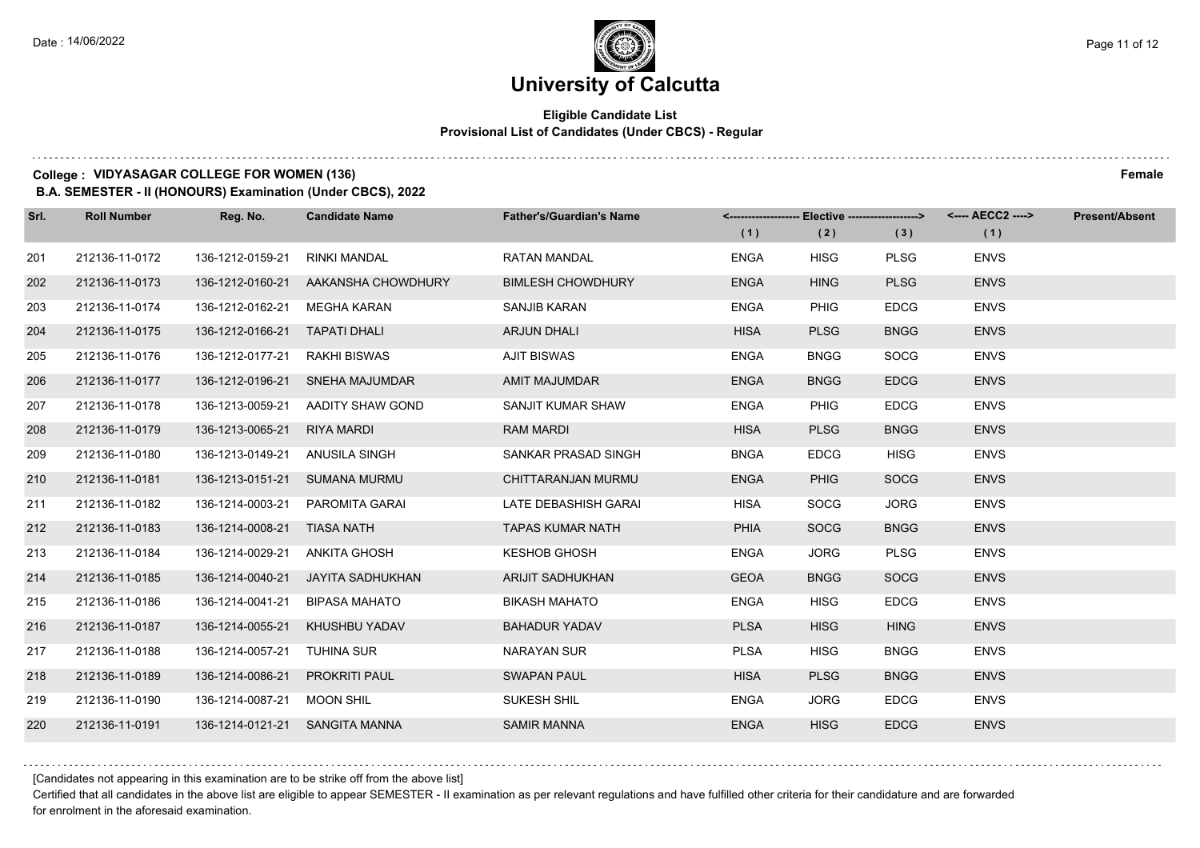## **Eligible Candidate List Provisional List of Candidates (Under CBCS) - Regular**

#### **College : VIDYASAGAR COLLEGE FOR WOMEN (136) Female**

**B.A. SEMESTER - II (HONOURS) Examination (Under CBCS), 2022**

| Srl. | <b>Roll Number</b> | Reg. No.                      | <b>Candidate Name</b>           | <b>Father's/Guardian's Name</b> |             | <-------------------- Elective -------------------> |             | <---- AECC2 ----> | <b>Present/Absent</b> |
|------|--------------------|-------------------------------|---------------------------------|---------------------------------|-------------|-----------------------------------------------------|-------------|-------------------|-----------------------|
|      |                    |                               |                                 |                                 | (1)         | (2)                                                 | (3)         | (1)               |                       |
| 201  | 212136-11-0172     | 136-1212-0159-21              | <b>RINKI MANDAL</b>             | <b>RATAN MANDAL</b>             | <b>ENGA</b> | <b>HISG</b>                                         | <b>PLSG</b> | <b>ENVS</b>       |                       |
| 202  | 212136-11-0173     | 136-1212-0160-21              | AAKANSHA CHOWDHURY              | <b>BIMLESH CHOWDHURY</b>        | <b>ENGA</b> | <b>HING</b>                                         | <b>PLSG</b> | <b>ENVS</b>       |                       |
| 203  | 212136-11-0174     | 136-1212-0162-21              | MEGHA KARAN                     | SANJIB KARAN                    | <b>ENGA</b> | <b>PHIG</b>                                         | <b>EDCG</b> | <b>ENVS</b>       |                       |
| 204  | 212136-11-0175     | 136-1212-0166-21 TAPATI DHALI |                                 | ARJUN DHALI                     | <b>HISA</b> | <b>PLSG</b>                                         | <b>BNGG</b> | <b>ENVS</b>       |                       |
| 205  | 212136-11-0176     | 136-1212-0177-21              | RAKHI BISWAS                    | <b>AJIT BISWAS</b>              | <b>ENGA</b> | <b>BNGG</b>                                         | <b>SOCG</b> | <b>ENVS</b>       |                       |
| 206  | 212136-11-0177     | 136-1212-0196-21              | SNEHA MAJUMDAR                  | <b>AMIT MAJUMDAR</b>            | <b>ENGA</b> | <b>BNGG</b>                                         | <b>EDCG</b> | <b>ENVS</b>       |                       |
| 207  | 212136-11-0178     | 136-1213-0059-21              | AADITY SHAW GOND                | SANJIT KUMAR SHAW               | <b>ENGA</b> | <b>PHIG</b>                                         | <b>EDCG</b> | <b>ENVS</b>       |                       |
| 208  | 212136-11-0179     | 136-1213-0065-21              | <b>RIYA MARDI</b>               | <b>RAM MARDI</b>                | <b>HISA</b> | <b>PLSG</b>                                         | <b>BNGG</b> | <b>ENVS</b>       |                       |
| 209  | 212136-11-0180     | 136-1213-0149-21              | ANUSILA SINGH                   | SANKAR PRASAD SINGH             | <b>BNGA</b> | <b>EDCG</b>                                         | <b>HISG</b> | <b>ENVS</b>       |                       |
| 210  | 212136-11-0181     | 136-1213-0151-21              | SUMANA MURMU                    | CHITTARANJAN MURMU              | <b>ENGA</b> | <b>PHIG</b>                                         | <b>SOCG</b> | <b>ENVS</b>       |                       |
| 211  | 212136-11-0182     |                               | 136-1214-0003-21 PAROMITA GARAI | LATE DEBASHISH GARAI            | HISA        | <b>SOCG</b>                                         | <b>JORG</b> | <b>ENVS</b>       |                       |
| 212  | 212136-11-0183     | 136-1214-0008-21 TIASA NATH   |                                 | <b>TAPAS KUMAR NATH</b>         | <b>PHIA</b> | <b>SOCG</b>                                         | <b>BNGG</b> | <b>ENVS</b>       |                       |
| 213  | 212136-11-0184     | 136-1214-0029-21              | ANKITA GHOSH                    | <b>KESHOB GHOSH</b>             | <b>ENGA</b> | <b>JORG</b>                                         | <b>PLSG</b> | <b>ENVS</b>       |                       |
| 214  | 212136-11-0185     | 136-1214-0040-21              | JAYITA SADHUKHAN                | ARIJIT SADHUKHAN                | <b>GEOA</b> | <b>BNGG</b>                                         | <b>SOCG</b> | <b>ENVS</b>       |                       |
| 215  | 212136-11-0186     | 136-1214-0041-21              | BIPASA MAHATO                   | <b>BIKASH MAHATO</b>            | <b>ENGA</b> | <b>HISG</b>                                         | <b>EDCG</b> | <b>ENVS</b>       |                       |
| 216  | 212136-11-0187     |                               | 136-1214-0055-21 KHUSHBU YADAV  | <b>BAHADUR YADAV</b>            | <b>PLSA</b> | <b>HISG</b>                                         | <b>HING</b> | <b>ENVS</b>       |                       |
| 217  | 212136-11-0188     | 136-1214-0057-21              | TUHINA SUR                      | NARAYAN SUR                     | <b>PLSA</b> | <b>HISG</b>                                         | <b>BNGG</b> | <b>ENVS</b>       |                       |
| 218  | 212136-11-0189     | 136-1214-0086-21              | <b>PROKRITI PAUL</b>            | <b>SWAPAN PAUL</b>              | <b>HISA</b> | <b>PLSG</b>                                         | <b>BNGG</b> | <b>ENVS</b>       |                       |
| 219  | 212136-11-0190     | 136-1214-0087-21 MOON SHIL    |                                 | SUKESH SHIL                     | <b>ENGA</b> | <b>JORG</b>                                         | <b>EDCG</b> | <b>ENVS</b>       |                       |
| 220  | 212136-11-0191     |                               | 136-1214-0121-21 SANGITA MANNA  | <b>SAMIR MANNA</b>              | <b>ENGA</b> | <b>HISG</b>                                         | <b>EDCG</b> | <b>ENVS</b>       |                       |

[Candidates not appearing in this examination are to be strike off from the above list]

Certified that all candidates in the above list are eligible to appear SEMESTER - II examination as per relevant regulations and have fulfilled other criteria for their candidature and are forwarded for enrolment in the aforesaid examination.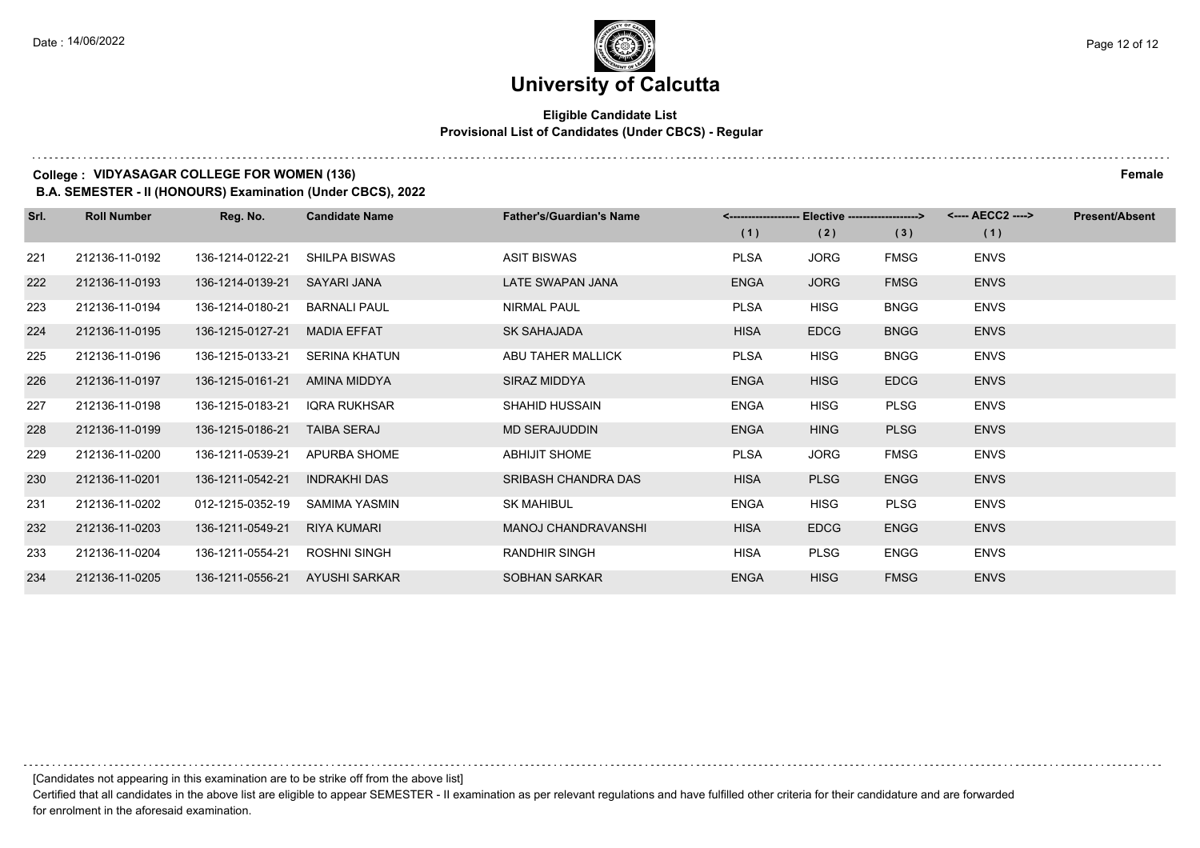## **Eligible Candidate List Provisional List of Candidates (Under CBCS) - Regular**

### **College : VIDYASAGAR COLLEGE FOR WOMEN (136) Female**

**B.A. SEMESTER - II (HONOURS) Examination (Under CBCS), 2022**

| Srl. | <b>Roll Number</b> | Reg. No.         | <b>Candidate Name</b> | <b>Father's/Guardian's Name</b> |             | <-------------------- Elective -------------------> |             | <---- AECC2 ----> | <b>Present/Absent</b> |
|------|--------------------|------------------|-----------------------|---------------------------------|-------------|-----------------------------------------------------|-------------|-------------------|-----------------------|
|      |                    |                  |                       |                                 | (1)         | (2)                                                 | (3)         | (1)               |                       |
| 221  | 212136-11-0192     | 136-1214-0122-21 | <b>SHILPA BISWAS</b>  | <b>ASIT BISWAS</b>              | <b>PLSA</b> | <b>JORG</b>                                         | <b>FMSG</b> | <b>ENVS</b>       |                       |
| 222  | 212136-11-0193     | 136-1214-0139-21 | SAYARI JANA           | LATE SWAPAN JANA                | <b>ENGA</b> | <b>JORG</b>                                         | <b>FMSG</b> | <b>ENVS</b>       |                       |
| 223  | 212136-11-0194     | 136-1214-0180-21 | <b>BARNALI PAUL</b>   | <b>NIRMAL PAUL</b>              | <b>PLSA</b> | <b>HISG</b>                                         | <b>BNGG</b> | <b>ENVS</b>       |                       |
| 224  | 212136-11-0195     | 136-1215-0127-21 | <b>MADIA EFFAT</b>    | <b>SK SAHAJADA</b>              | <b>HISA</b> | <b>EDCG</b>                                         | <b>BNGG</b> | <b>ENVS</b>       |                       |
| 225  | 212136-11-0196     | 136-1215-0133-21 | <b>SERINA KHATUN</b>  | ABU TAHER MALLICK               | <b>PLSA</b> | <b>HISG</b>                                         | <b>BNGG</b> | <b>ENVS</b>       |                       |
| 226  | 212136-11-0197     | 136-1215-0161-21 | AMINA MIDDYA          | SIRAZ MIDDYA                    | <b>ENGA</b> | <b>HISG</b>                                         | <b>EDCG</b> | <b>ENVS</b>       |                       |
| 227  | 212136-11-0198     | 136-1215-0183-21 | <b>IQRA RUKHSAR</b>   | <b>SHAHID HUSSAIN</b>           | <b>ENGA</b> | <b>HISG</b>                                         | <b>PLSG</b> | <b>ENVS</b>       |                       |
| 228  | 212136-11-0199     | 136-1215-0186-21 | <b>TAIBA SERAJ</b>    | <b>MD SERAJUDDIN</b>            | <b>ENGA</b> | <b>HING</b>                                         | <b>PLSG</b> | <b>ENVS</b>       |                       |
| 229  | 212136-11-0200     | 136-1211-0539-21 | APURBA SHOME          | <b>ABHIJIT SHOME</b>            | <b>PLSA</b> | <b>JORG</b>                                         | <b>FMSG</b> | <b>ENVS</b>       |                       |
| 230  | 212136-11-0201     | 136-1211-0542-21 | <b>INDRAKHI DAS</b>   | SRIBASH CHANDRA DAS             | <b>HISA</b> | <b>PLSG</b>                                         | <b>ENGG</b> | <b>ENVS</b>       |                       |
| 231  | 212136-11-0202     | 012-1215-0352-19 | SAMIMA YASMIN         | <b>SK MAHIBUL</b>               | <b>ENGA</b> | <b>HISG</b>                                         | <b>PLSG</b> | <b>ENVS</b>       |                       |
| 232  | 212136-11-0203     | 136-1211-0549-21 | <b>RIYA KUMARI</b>    | <b>MANOJ CHANDRAVANSHI</b>      | <b>HISA</b> | <b>EDCG</b>                                         | <b>ENGG</b> | <b>ENVS</b>       |                       |
| 233  | 212136-11-0204     | 136-1211-0554-21 | <b>ROSHNI SINGH</b>   | <b>RANDHIR SINGH</b>            | HISA        | <b>PLSG</b>                                         | <b>ENGG</b> | <b>ENVS</b>       |                       |
| 234  | 212136-11-0205     | 136-1211-0556-21 | AYUSHI SARKAR         | <b>SOBHAN SARKAR</b>            | <b>ENGA</b> | <b>HISG</b>                                         | <b>FMSG</b> | <b>ENVS</b>       |                       |

[Candidates not appearing in this examination are to be strike off from the above list]

Certified that all candidates in the above list are eligible to appear SEMESTER - II examination as per relevant regulations and have fulfilled other criteria for their candidature and are forwarded for enrolment in the aforesaid examination.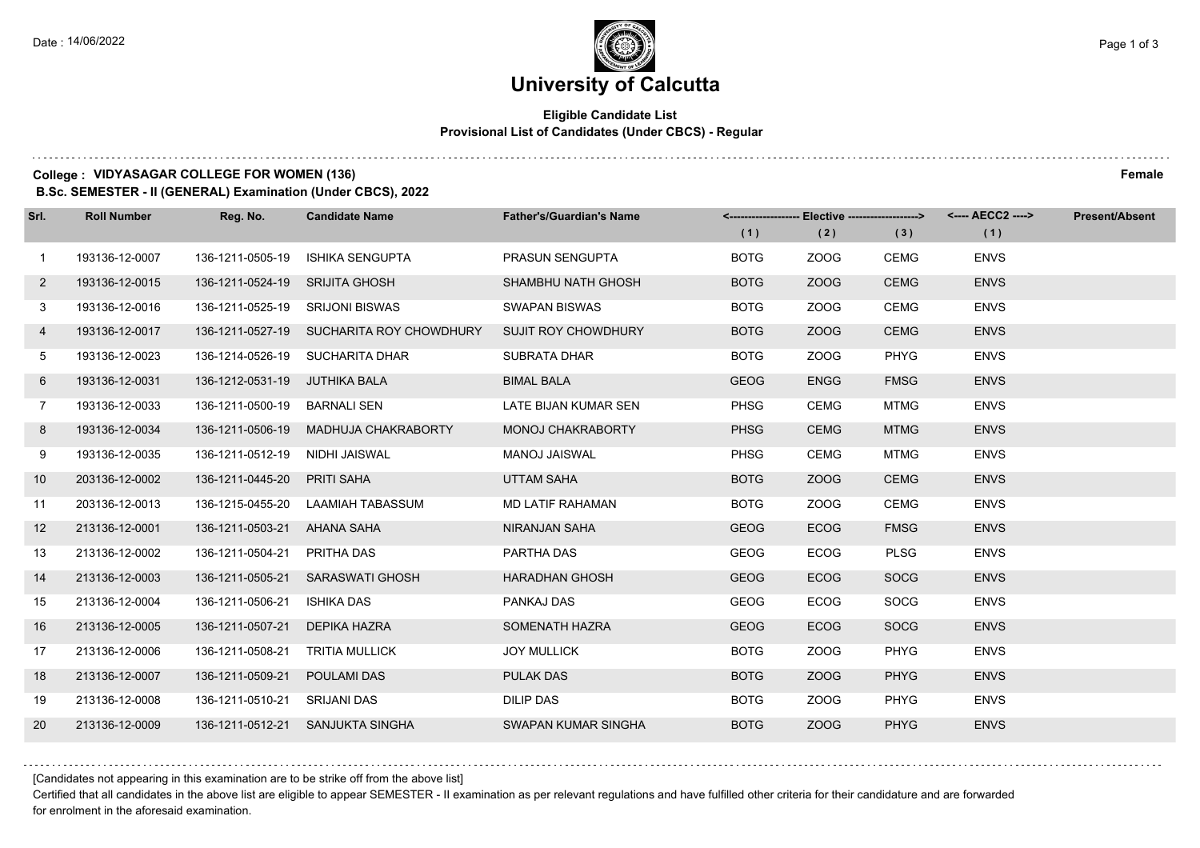## **Eligible Candidate List Provisional List of Candidates (Under CBCS) - Regular**

## **College : VIDYASAGAR COLLEGE FOR WOMEN (136) Female**

**B.Sc. SEMESTER - II (GENERAL) Examination (Under CBCS), 2022**

| Srl.         | <b>Roll Number</b> | Reg. No.                        | <b>Candidate Name</b>                    | <b>Father's/Guardian's Name</b> |             | <------------------- Elective ------------------> |             |             | <b>Present/Absent</b> |
|--------------|--------------------|---------------------------------|------------------------------------------|---------------------------------|-------------|---------------------------------------------------|-------------|-------------|-----------------------|
|              |                    |                                 |                                          |                                 | (1)         | (2)                                               | (3)         | (1)         |                       |
| $\mathbf{1}$ | 193136-12-0007     | 136-1211-0505-19                | <b>ISHIKA SENGUPTA</b>                   | <b>PRASUN SENGUPTA</b>          | <b>BOTG</b> | ZOOG                                              | CEMG        | <b>ENVS</b> |                       |
| $\mathbf{2}$ | 193136-12-0015     | 136-1211-0524-19 SRIJITA GHOSH  |                                          | SHAMBHU NATH GHOSH              | <b>BOTG</b> | ZOOG                                              | <b>CEMG</b> | <b>ENVS</b> |                       |
| 3            | 193136-12-0016     | 136-1211-0525-19 SRIJONI BISWAS |                                          | <b>SWAPAN BISWAS</b>            | <b>BOTG</b> | ZOOG                                              | <b>CEMG</b> | <b>ENVS</b> |                       |
| 4            | 193136-12-0017     |                                 | 136-1211-0527-19 SUCHARITA ROY CHOWDHURY | <b>SUJIT ROY CHOWDHURY</b>      | <b>BOTG</b> | ZOOG                                              | <b>CEMG</b> | <b>ENVS</b> |                       |
| 5            | 193136-12-0023     |                                 | 136-1214-0526-19 SUCHARITA DHAR          | <b>SUBRATA DHAR</b>             | <b>BOTG</b> | ZOOG                                              | PHYG        | <b>ENVS</b> |                       |
| 6            | 193136-12-0031     | 136-1212-0531-19 JUTHIKA BALA   |                                          | <b>BIMAL BALA</b>               | <b>GEOG</b> | <b>ENGG</b>                                       | <b>FMSG</b> | <b>ENVS</b> |                       |
| $7^{\circ}$  | 193136-12-0033     | 136-1211-0500-19 BARNALI SEN    |                                          | LATE BIJAN KUMAR SEN            | <b>PHSG</b> | <b>CEMG</b>                                       | <b>MTMG</b> | <b>ENVS</b> |                       |
| 8            | 193136-12-0034     | 136-1211-0506-19                | MADHUJA CHAKRABORTY                      | <b>MONOJ CHAKRABORTY</b>        | <b>PHSG</b> | <b>CEMG</b>                                       | <b>MTMG</b> | <b>ENVS</b> |                       |
| 9            | 193136-12-0035     | 136-1211-0512-19                | NIDHI JAISWAL                            | MANOJ JAISWAL                   | <b>PHSG</b> | <b>CEMG</b>                                       | MTMG        | <b>ENVS</b> |                       |
| 10           | 203136-12-0002     | 136-1211-0445-20                | <b>PRITI SAHA</b>                        | <b>UTTAM SAHA</b>               | <b>BOTG</b> | ZOOG                                              | <b>CEMG</b> | <b>ENVS</b> |                       |
| 11           | 203136-12-0013     | 136-1215-0455-20                | LAAMIAH TABASSUM                         | <b>MD LATIF RAHAMAN</b>         | <b>BOTG</b> | ZOOG                                              | <b>CEMG</b> | <b>ENVS</b> |                       |
| 12           | 213136-12-0001     | 136-1211-0503-21                | AHANA SAHA                               | <b>NIRANJAN SAHA</b>            | <b>GEOG</b> | <b>ECOG</b>                                       | <b>FMSG</b> | <b>ENVS</b> |                       |
| 13           | 213136-12-0002     | 136-1211-0504-21                | PRITHA DAS                               | PARTHA DAS                      | <b>GEOG</b> | <b>ECOG</b>                                       | <b>PLSG</b> | <b>ENVS</b> |                       |
| 14           | 213136-12-0003     | 136-1211-0505-21                | <b>SARASWATI GHOSH</b>                   | <b>HARADHAN GHOSH</b>           | <b>GEOG</b> | <b>ECOG</b>                                       | <b>SOCG</b> | <b>ENVS</b> |                       |
| 15           | 213136-12-0004     | 136-1211-0506-21                | ISHIKA DAS                               | PANKAJ DAS                      | <b>GEOG</b> | <b>ECOG</b>                                       | SOCG        | <b>ENVS</b> |                       |
| 16           | 213136-12-0005     | 136-1211-0507-21                | DEPIKA HAZRA                             | SOMENATH HAZRA                  | <b>GEOG</b> | <b>ECOG</b>                                       | <b>SOCG</b> | <b>ENVS</b> |                       |
| 17           | 213136-12-0006     | 136-1211-0508-21                | <b>TRITIA MULLICK</b>                    | <b>JOY MULLICK</b>              | <b>BOTG</b> | ZOOG                                              | <b>PHYG</b> | <b>ENVS</b> |                       |
| 18           | 213136-12-0007     | 136-1211-0509-21                | POULAMI DAS                              | <b>PULAK DAS</b>                | <b>BOTG</b> | ZOOG                                              | <b>PHYG</b> | <b>ENVS</b> |                       |
| 19           | 213136-12-0008     | 136-1211-0510-21                | SRIJANI DAS                              | <b>DILIP DAS</b>                | <b>BOTG</b> | ZOOG                                              | <b>PHYG</b> | <b>ENVS</b> |                       |
| 20           | 213136-12-0009     | 136-1211-0512-21                | SANJUKTA SINGHA                          | SWAPAN KUMAR SINGHA             | <b>BOTG</b> | ZOOG                                              | <b>PHYG</b> | <b>ENVS</b> |                       |

[Candidates not appearing in this examination are to be strike off from the above list]

Certified that all candidates in the above list are eligible to appear SEMESTER - II examination as per relevant regulations and have fulfilled other criteria for their candidature and are forwarded for enrolment in the aforesaid examination.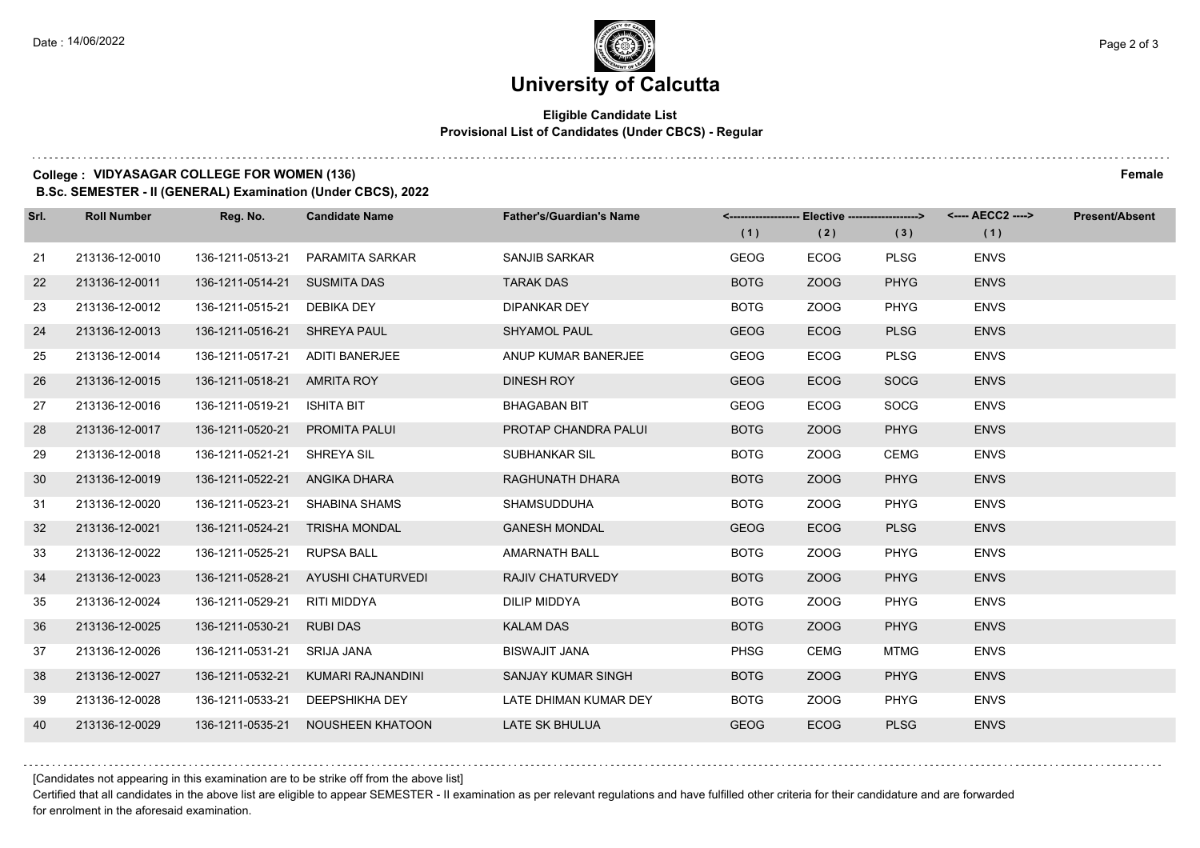## **Eligible Candidate List Provisional List of Candidates (Under CBCS) - Regular**

## **College : VIDYASAGAR COLLEGE FOR WOMEN (136) Female**

**B.Sc. SEMESTER - II (GENERAL) Examination (Under CBCS), 2022**

| Srl. | <b>Roll Number</b> | Reg. No.                      | <b>Candidate Name</b>             | <b>Father's/Guardian's Name</b> |             | <-------------------- Elective -------------------> |             | <---- AECC2 ----> | <b>Present/Absent</b> |
|------|--------------------|-------------------------------|-----------------------------------|---------------------------------|-------------|-----------------------------------------------------|-------------|-------------------|-----------------------|
|      |                    |                               |                                   |                                 | (1)         | (2)                                                 | (3)         | (1)               |                       |
| 21   | 213136-12-0010     | 136-1211-0513-21              | PARAMITA SARKAR                   | SANJIB SARKAR                   | <b>GEOG</b> | <b>ECOG</b>                                         | <b>PLSG</b> | <b>ENVS</b>       |                       |
| 22   | 213136-12-0011     | 136-1211-0514-21 SUSMITA DAS  |                                   | <b>TARAK DAS</b>                | <b>BOTG</b> | ZOOG                                                | <b>PHYG</b> | <b>ENVS</b>       |                       |
| 23   | 213136-12-0012     | 136-1211-0515-21 DEBIKA DEY   |                                   | <b>DIPANKAR DEY</b>             | <b>BOTG</b> | ZOOG                                                | <b>PHYG</b> | <b>ENVS</b>       |                       |
| 24   | 213136-12-0013     | 136-1211-0516-21 SHREYA PAUL  |                                   | <b>SHYAMOL PAUL</b>             | <b>GEOG</b> | <b>ECOG</b>                                         | <b>PLSG</b> | <b>ENVS</b>       |                       |
| 25   | 213136-12-0014     | 136-1211-0517-21              | ADITI BANERJEE                    | ANUP KUMAR BANERJEE             | GEOG        | <b>ECOG</b>                                         | <b>PLSG</b> | <b>ENVS</b>       |                       |
| 26   | 213136-12-0015     | 136-1211-0518-21 AMRITA ROY   |                                   | DINESH ROY                      | <b>GEOG</b> | <b>ECOG</b>                                         | <b>SOCG</b> | <b>ENVS</b>       |                       |
| 27   | 213136-12-0016     | 136-1211-0519-21 ISHITA BIT   |                                   | <b>BHAGABAN BIT</b>             | <b>GEOG</b> | <b>ECOG</b>                                         | <b>SOCG</b> | <b>ENVS</b>       |                       |
| 28   | 213136-12-0017     | 136-1211-0520-21              | <b>PROMITA PALUI</b>              | PROTAP CHANDRA PALUI            | <b>BOTG</b> | ZOOG                                                | <b>PHYG</b> | <b>ENVS</b>       |                       |
| 29   | 213136-12-0018     | 136-1211-0521-21              | SHREYA SIL                        | SUBHANKAR SIL                   | <b>BOTG</b> | ZOOG                                                | <b>CEMG</b> | <b>ENVS</b>       |                       |
| 30   | 213136-12-0019     | 136-1211-0522-21 ANGIKA DHARA |                                   | RAGHUNATH DHARA                 | <b>BOTG</b> | ZOOG                                                | <b>PHYG</b> | <b>ENVS</b>       |                       |
| 31   | 213136-12-0020     |                               | 136-1211-0523-21 SHABINA SHAMS    | <b>SHAMSUDDUHA</b>              | <b>BOTG</b> | ZOOG                                                | <b>PHYG</b> | <b>ENVS</b>       |                       |
| 32   | 213136-12-0021     |                               | 136-1211-0524-21 TRISHA MONDAL    | <b>GANESH MONDAL</b>            | <b>GEOG</b> | <b>ECOG</b>                                         | <b>PLSG</b> | <b>ENVS</b>       |                       |
| 33   | 213136-12-0022     | 136-1211-0525-21              | RUPSA BALL                        | <b>AMARNATH BALL</b>            | <b>BOTG</b> | ZOOG                                                | <b>PHYG</b> | <b>ENVS</b>       |                       |
| 34   | 213136-12-0023     | 136-1211-0528-21              | AYUSHI CHATURVEDI                 | <b>RAJIV CHATURVEDY</b>         | <b>BOTG</b> | ZOOG                                                | <b>PHYG</b> | <b>ENVS</b>       |                       |
| 35   | 213136-12-0024     | 136-1211-0529-21              | RITI MIDDYA                       | DILIP MIDDYA                    | <b>BOTG</b> | ZOOG                                                | <b>PHYG</b> | <b>ENVS</b>       |                       |
| 36   | 213136-12-0025     | 136-1211-0530-21              | <b>RUBI DAS</b>                   | <b>KALAM DAS</b>                | <b>BOTG</b> | ZOOG                                                | <b>PHYG</b> | <b>ENVS</b>       |                       |
| 37   | 213136-12-0026     | 136-1211-0531-21              | <b>SRIJA JANA</b>                 | <b>BISWAJIT JANA</b>            | <b>PHSG</b> | <b>CEMG</b>                                         | <b>MTMG</b> | <b>ENVS</b>       |                       |
| 38   | 213136-12-0027     | 136-1211-0532-21              | KUMARI RAJNANDINI                 | SANJAY KUMAR SINGH              | <b>BOTG</b> | ZOOG                                                | <b>PHYG</b> | <b>ENVS</b>       |                       |
| 39   | 213136-12-0028     | 136-1211-0533-21              | DEEPSHIKHA DEY                    | LATE DHIMAN KUMAR DEY           | <b>BOTG</b> | ZOOG                                                | <b>PHYG</b> | <b>ENVS</b>       |                       |
| 40   | 213136-12-0029     |                               | 136-1211-0535-21 NOUSHEEN KHATOON | <b>LATE SK BHULUA</b>           | <b>GEOG</b> | <b>ECOG</b>                                         | <b>PLSG</b> | <b>ENVS</b>       |                       |

[Candidates not appearing in this examination are to be strike off from the above list]

Certified that all candidates in the above list are eligible to appear SEMESTER - II examination as per relevant regulations and have fulfilled other criteria for their candidature and are forwarded for enrolment in the aforesaid examination.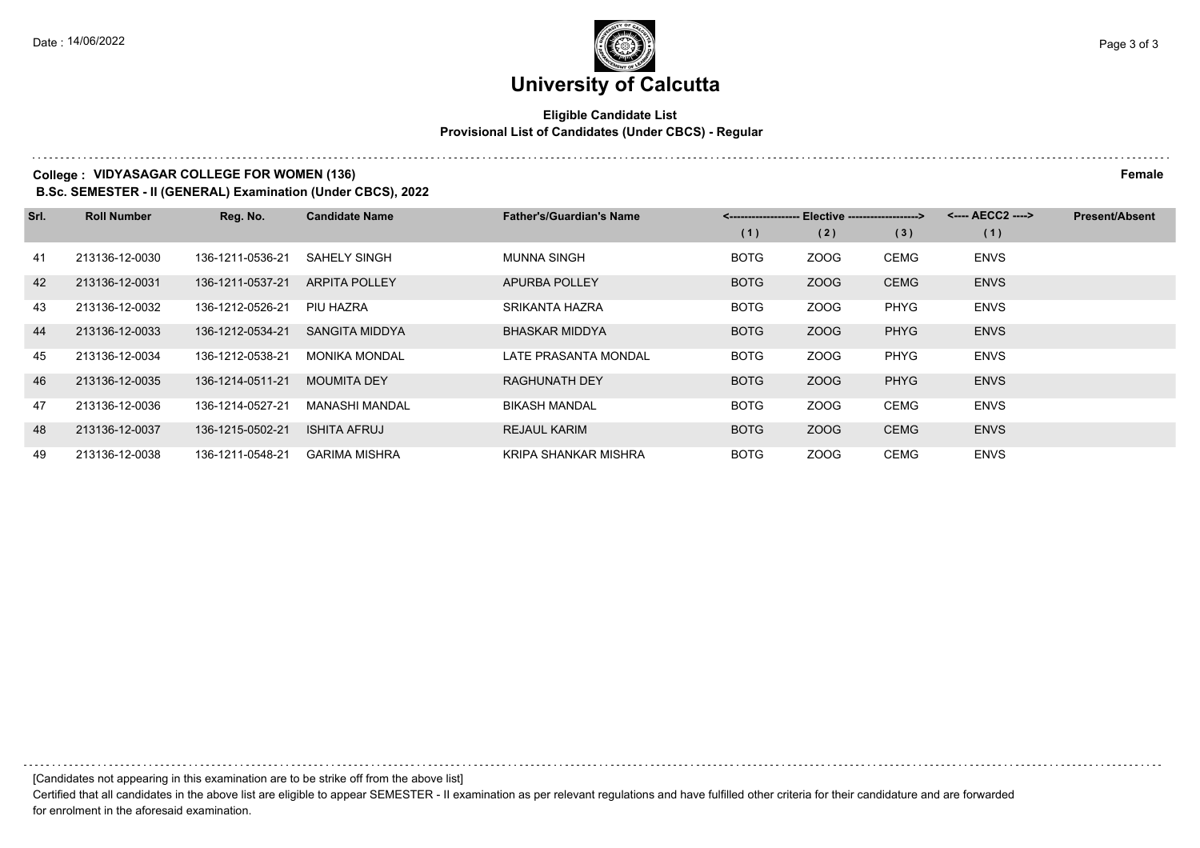## **Eligible Candidate List Provisional List of Candidates (Under CBCS) - Regular**

## **College : VIDYASAGAR COLLEGE FOR WOMEN (136) Female**

**B.Sc. SEMESTER - II (GENERAL) Examination (Under CBCS), 2022**

| Srl. | <b>Roll Number</b> | Reg. No.         | <b>Candidate Name</b> | <b>Father's/Guardian's Name</b> | <-------------------- Elective ------------------> |             |             | <---- AECC2 ----> | <b>Present/Absent</b> |
|------|--------------------|------------------|-----------------------|---------------------------------|----------------------------------------------------|-------------|-------------|-------------------|-----------------------|
|      |                    |                  |                       |                                 | (1)                                                | (2)         | (3)         | (1)               |                       |
| 41   | 213136-12-0030     | 136-1211-0536-21 | <b>SAHELY SINGH</b>   | <b>MUNNA SINGH</b>              | <b>BOTG</b>                                        | ZOOG        | <b>CEMG</b> | <b>ENVS</b>       |                       |
| 42   | 213136-12-0031     | 136-1211-0537-21 | <b>ARPITA POLLEY</b>  | <b>APURBA POLLEY</b>            | <b>BOTG</b>                                        | ZOOG        | <b>CEMG</b> | <b>ENVS</b>       |                       |
| 43   | 213136-12-0032     | 136-1212-0526-21 | PIU HAZRA             | <b>SRIKANTA HAZRA</b>           | <b>BOTG</b>                                        | ZOOG        | <b>PHYG</b> | <b>ENVS</b>       |                       |
| 44   | 213136-12-0033     | 136-1212-0534-21 | SANGITA MIDDYA        | <b>BHASKAR MIDDYA</b>           | <b>BOTG</b>                                        | ZOOG        | <b>PHYG</b> | <b>ENVS</b>       |                       |
| 45   | 213136-12-0034     | 136-1212-0538-21 | <b>MONIKA MONDAL</b>  | LATE PRASANTA MONDAL            | <b>BOTG</b>                                        | <b>ZOOG</b> | <b>PHYG</b> | <b>ENVS</b>       |                       |
| 46   | 213136-12-0035     | 136-1214-0511-21 | <b>MOUMITA DEY</b>    | <b>RAGHUNATH DEY</b>            | <b>BOTG</b>                                        | ZOOG        | <b>PHYG</b> | <b>ENVS</b>       |                       |
| 47   | 213136-12-0036     | 136-1214-0527-21 | <b>MANASHI MANDAL</b> | <b>BIKASH MANDAL</b>            | <b>BOTG</b>                                        | ZOOG        | <b>CEMG</b> | <b>ENVS</b>       |                       |
| 48   | 213136-12-0037     | 136-1215-0502-21 | <b>ISHITA AFRUJ</b>   | <b>REJAUL KARIM</b>             | <b>BOTG</b>                                        | ZOOG        | <b>CEMG</b> | <b>ENVS</b>       |                       |
| 49   | 213136-12-0038     | 136-1211-0548-21 | <b>GARIMA MISHRA</b>  | KRIPA SHANKAR MISHRA            | <b>BOTG</b>                                        | ZOOG        | CEMG        | <b>ENVS</b>       |                       |

[Candidates not appearing in this examination are to be strike off from the above list]

Certified that all candidates in the above list are eligible to appear SEMESTER - II examination as per relevant regulations and have fulfilled other criteria for their candidature and are forwarded for enrolment in the aforesaid examination.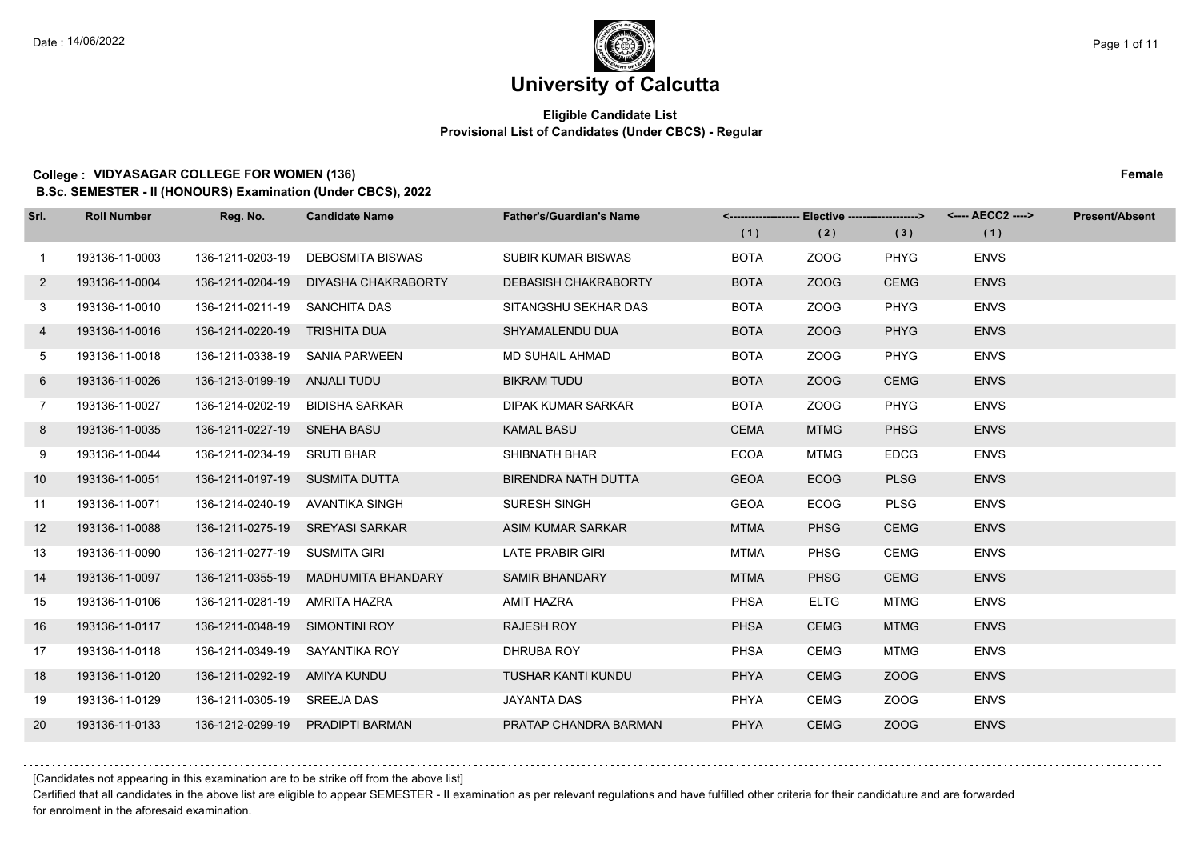## **Eligible Candidate List Provisional List of Candidates (Under CBCS) - Regular**

### **College : VIDYASAGAR COLLEGE FOR WOMEN (136) Female**

**B.Sc. SEMESTER - II (HONOURS) Examination (Under CBCS), 2022**

| Srl.           | <b>Roll Number</b> | Reg. No.                       | <b>Candidate Name</b>               | <b>Father's/Guardian's Name</b> |             |             |             | <-------------------- Elective -------------------> <---- AECC2 ----> | <b>Present/Absent</b> |
|----------------|--------------------|--------------------------------|-------------------------------------|---------------------------------|-------------|-------------|-------------|-----------------------------------------------------------------------|-----------------------|
|                |                    |                                |                                     |                                 | (1)         | (2)         | (3)         | (1)                                                                   |                       |
| $\mathbf{1}$   | 193136-11-0003     | 136-1211-0203-19               | DEBOSMITA BISWAS                    | SUBIR KUMAR BISWAS              | <b>BOTA</b> | ZOOG        | <b>PHYG</b> | <b>ENVS</b>                                                           |                       |
| $\mathbf{2}$   | 193136-11-0004     | 136-1211-0204-19               | DIYASHA CHAKRABORTY                 | <b>DEBASISH CHAKRABORTY</b>     | <b>BOTA</b> | ZOOG        | <b>CEMG</b> | <b>ENVS</b>                                                           |                       |
| 3              | 193136-11-0010     | 136-1211-0211-19 SANCHITA DAS  |                                     | SITANGSHU SEKHAR DAS            | <b>BOTA</b> | ZOOG        | <b>PHYG</b> | <b>ENVS</b>                                                           |                       |
| 4              | 193136-11-0016     | 136-1211-0220-19 TRISHITA DUA  |                                     | SHYAMALENDU DUA                 | <b>BOTA</b> | ZOOG        | <b>PHYG</b> | <b>ENVS</b>                                                           |                       |
| 5              | 193136-11-0018     |                                | 136-1211-0338-19 SANIA PARWEEN      | MD SUHAIL AHMAD                 | <b>BOTA</b> | ZOOG        | <b>PHYG</b> | <b>ENVS</b>                                                           |                       |
| 6              | 193136-11-0026     | 136-1213-0199-19 ANJALI TUDU   |                                     | <b>BIKRAM TUDU</b>              | <b>BOTA</b> | ZOOG        | <b>CEMG</b> | <b>ENVS</b>                                                           |                       |
| $7\phantom{.}$ | 193136-11-0027     |                                | 136-1214-0202-19 BIDISHA SARKAR     | DIPAK KUMAR SARKAR              | <b>BOTA</b> | ZOOG        | <b>PHYG</b> | <b>ENVS</b>                                                           |                       |
| 8              | 193136-11-0035     | 136-1211-0227-19 SNEHA BASU    |                                     | <b>KAMAL BASU</b>               | <b>CEMA</b> | <b>MTMG</b> | <b>PHSG</b> | <b>ENVS</b>                                                           |                       |
| 9              | 193136-11-0044     | 136-1211-0234-19 SRUTI BHAR    |                                     | SHIBNATH BHAR                   | <b>ECOA</b> | MTMG        | <b>EDCG</b> | <b>ENVS</b>                                                           |                       |
| 10             | 193136-11-0051     | 136-1211-0197-19 SUSMITA DUTTA |                                     | <b>BIRENDRA NATH DUTTA</b>      | <b>GEOA</b> | <b>ECOG</b> | <b>PLSG</b> | <b>ENVS</b>                                                           |                       |
| 11             | 193136-11-0071     |                                | 136-1214-0240-19 AVANTIKA SINGH     | <b>SURESH SINGH</b>             | <b>GEOA</b> | <b>ECOG</b> | <b>PLSG</b> | <b>ENVS</b>                                                           |                       |
| 12             | 193136-11-0088     |                                | 136-1211-0275-19 SREYASI SARKAR     | ASIM KUMAR SARKAR               | <b>MTMA</b> | <b>PHSG</b> | <b>CEMG</b> | <b>ENVS</b>                                                           |                       |
| 13             | 193136-11-0090     | 136-1211-0277-19 SUSMITA GIRI  |                                     | <b>LATE PRABIR GIRI</b>         | <b>MTMA</b> | <b>PHSG</b> | <b>CEMG</b> | <b>ENVS</b>                                                           |                       |
| 14             | 193136-11-0097     |                                | 136-1211-0355-19 MADHUMITA BHANDARY | <b>SAMIR BHANDARY</b>           | <b>MTMA</b> | <b>PHSG</b> | <b>CEMG</b> | <b>ENVS</b>                                                           |                       |
| 15             | 193136-11-0106     | 136-1211-0281-19 AMRITA HAZRA  |                                     | AMIT HAZRA                      | <b>PHSA</b> | <b>ELTG</b> | <b>MTMG</b> | <b>ENVS</b>                                                           |                       |
| 16             | 193136-11-0117     | 136-1211-0348-19 SIMONTINI ROY |                                     | <b>RAJESH ROY</b>               | <b>PHSA</b> | <b>CEMG</b> | <b>MTMG</b> | <b>ENVS</b>                                                           |                       |
| 17             | 193136-11-0118     | 136-1211-0349-19               | SAYANTIKA ROY                       | DHRUBA ROY                      | <b>PHSA</b> | <b>CEMG</b> | <b>MTMG</b> | <b>ENVS</b>                                                           |                       |
| 18             | 193136-11-0120     | 136-1211-0292-19 AMIYA KUNDU   |                                     | TUSHAR KANTI KUNDU              | PHYA        | <b>CEMG</b> | ZOOG        | <b>ENVS</b>                                                           |                       |
| 19             | 193136-11-0129     | 136-1211-0305-19 SREEJA DAS    |                                     | <b>JAYANTA DAS</b>              | PHYA        | <b>CEMG</b> | ZOOG        | <b>ENVS</b>                                                           |                       |
| 20             | 193136-11-0133     |                                | 136-1212-0299-19 PRADIPTI BARMAN    | PRATAP CHANDRA BARMAN           | <b>PHYA</b> | <b>CEMG</b> | ZOOG        | <b>ENVS</b>                                                           |                       |

[Candidates not appearing in this examination are to be strike off from the above list]

Certified that all candidates in the above list are eligible to appear SEMESTER - II examination as per relevant regulations and have fulfilled other criteria for their candidature and are forwarded for enrolment in the aforesaid examination.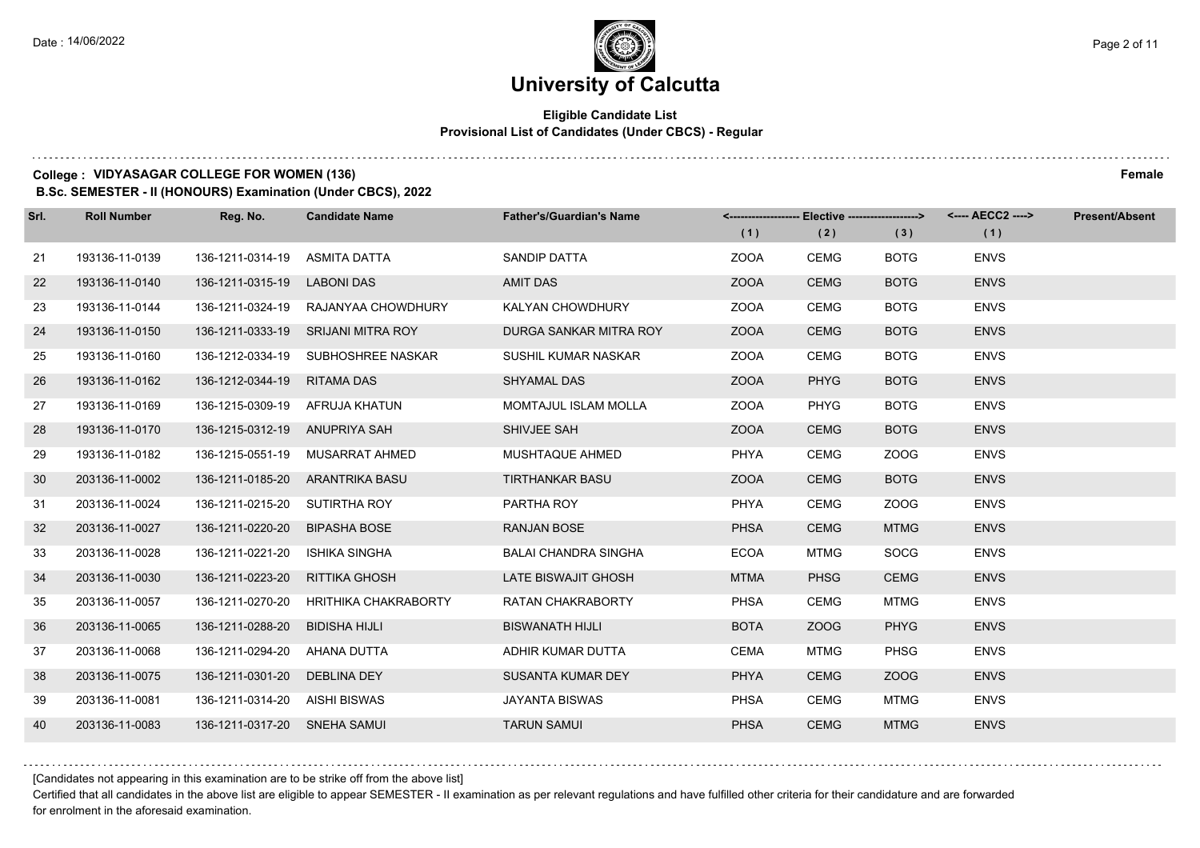## **Eligible Candidate List Provisional List of Candidates (Under CBCS) - Regular**

### **College : VIDYASAGAR COLLEGE FOR WOMEN (136) Female**

**B.Sc. SEMESTER - II (HONOURS) Examination (Under CBCS), 2022**

| Srl. | <b>Roll Number</b> | Reg. No.                      | <b>Candidate Name</b>               | <b>Father's/Guardian's Name</b> |             | <------------------- Elective ------------------> |             | <---- AECC2 ----> | <b>Present/Absent</b> |
|------|--------------------|-------------------------------|-------------------------------------|---------------------------------|-------------|---------------------------------------------------|-------------|-------------------|-----------------------|
|      |                    |                               |                                     |                                 | (1)         | (2)                                               | (3)         | (1)               |                       |
| 21   | 193136-11-0139     | 136-1211-0314-19              | ASMITA DATTA                        | <b>SANDIP DATTA</b>             | <b>ZOOA</b> | <b>CEMG</b>                                       | <b>BOTG</b> | <b>ENVS</b>       |                       |
| 22   | 193136-11-0140     | 136-1211-0315-19              | <b>LABONI DAS</b>                   | <b>AMIT DAS</b>                 | <b>ZOOA</b> | <b>CEMG</b>                                       | <b>BOTG</b> | <b>ENVS</b>       |                       |
| 23   | 193136-11-0144     |                               | 136-1211-0324-19 RAJANYAA CHOWDHURY | KALYAN CHOWDHURY                | <b>ZOOA</b> | <b>CEMG</b>                                       | <b>BOTG</b> | <b>ENVS</b>       |                       |
| 24   | 193136-11-0150     |                               | 136-1211-0333-19 SRIJANI MITRA ROY  | DURGA SANKAR MITRA ROY          | <b>ZOOA</b> | <b>CEMG</b>                                       | <b>BOTG</b> | <b>ENVS</b>       |                       |
| 25   | 193136-11-0160     |                               | 136-1212-0334-19 SUBHOSHREE NASKAR  | SUSHIL KUMAR NASKAR             | <b>ZOOA</b> | <b>CEMG</b>                                       | <b>BOTG</b> | <b>ENVS</b>       |                       |
| 26   | 193136-11-0162     | 136-1212-0344-19              | <b>RITAMA DAS</b>                   | <b>SHYAMAL DAS</b>              | <b>ZOOA</b> | <b>PHYG</b>                                       | <b>BOTG</b> | <b>ENVS</b>       |                       |
| 27   | 193136-11-0169     |                               | 136-1215-0309-19 AFRUJA KHATUN      | <b>MOMTAJUL ISLAM MOLLA</b>     | <b>ZOOA</b> | <b>PHYG</b>                                       | <b>BOTG</b> | <b>ENVS</b>       |                       |
| 28   | 193136-11-0170     | 136-1215-0312-19 ANUPRIYA SAH |                                     | SHIVJEE SAH                     | <b>ZOOA</b> | <b>CEMG</b>                                       | <b>BOTG</b> | <b>ENVS</b>       |                       |
| 29   | 193136-11-0182     |                               | 136-1215-0551-19 MUSARRAT AHMED     | MUSHTAQUE AHMED                 | <b>PHYA</b> | <b>CEMG</b>                                       | ZOOG        | <b>ENVS</b>       |                       |
| 30   | 203136-11-0002     |                               | 136-1211-0185-20 ARANTRIKA BASU     | <b>TIRTHANKAR BASU</b>          | <b>ZOOA</b> | <b>CEMG</b>                                       | <b>BOTG</b> | <b>ENVS</b>       |                       |
| 31   | 203136-11-0024     | 136-1211-0215-20 SUTIRTHA ROY |                                     | PARTHA ROY                      | <b>PHYA</b> | <b>CEMG</b>                                       | ZOOG        | <b>ENVS</b>       |                       |
| 32   | 203136-11-0027     | 136-1211-0220-20              | <b>BIPASHA BOSE</b>                 | <b>RANJAN BOSE</b>              | <b>PHSA</b> | <b>CEMG</b>                                       | <b>MTMG</b> | <b>ENVS</b>       |                       |
| 33   | 203136-11-0028     | 136-1211-0221-20              | <b>ISHIKA SINGHA</b>                | <b>BALAI CHANDRA SINGHA</b>     | <b>ECOA</b> | <b>MTMG</b>                                       | <b>SOCG</b> | <b>ENVS</b>       |                       |
| 34   | 203136-11-0030     | 136-1211-0223-20              | RITTIKA GHOSH                       | LATE BISWAJIT GHOSH             | <b>MTMA</b> | <b>PHSG</b>                                       | <b>CEMG</b> | <b>ENVS</b>       |                       |
| 35   | 203136-11-0057     | 136-1211-0270-20              | HRITHIKA CHAKRABORTY                | RATAN CHAKRABORTY               | <b>PHSA</b> | <b>CEMG</b>                                       | <b>MTMG</b> | <b>ENVS</b>       |                       |
| 36   | 203136-11-0065     | 136-1211-0288-20              | BIDISHA HIJLI                       | <b>BISWANATH HIJLI</b>          | <b>BOTA</b> | ZOOG                                              | <b>PHYG</b> | <b>ENVS</b>       |                       |
| 37   | 203136-11-0068     | 136-1211-0294-20              | AHANA DUTTA                         | ADHIR KUMAR DUTTA               | <b>CEMA</b> | <b>MTMG</b>                                       | PHSG        | <b>ENVS</b>       |                       |
| 38   | 203136-11-0075     | 136-1211-0301-20              | <b>DEBLINA DEY</b>                  | SUSANTA KUMAR DEY               | <b>PHYA</b> | <b>CEMG</b>                                       | ZOOG        | <b>ENVS</b>       |                       |
| 39   | 203136-11-0081     | 136-1211-0314-20 AISHI BISWAS |                                     | <b>JAYANTA BISWAS</b>           | <b>PHSA</b> | <b>CEMG</b>                                       | <b>MTMG</b> | <b>ENVS</b>       |                       |
| 40   | 203136-11-0083     | 136-1211-0317-20 SNEHA SAMUI  |                                     | <b>TARUN SAMUI</b>              | <b>PHSA</b> | <b>CEMG</b>                                       | <b>MTMG</b> | <b>ENVS</b>       |                       |

[Candidates not appearing in this examination are to be strike off from the above list]

Certified that all candidates in the above list are eligible to appear SEMESTER - II examination as per relevant regulations and have fulfilled other criteria for their candidature and are forwarded for enrolment in the aforesaid examination.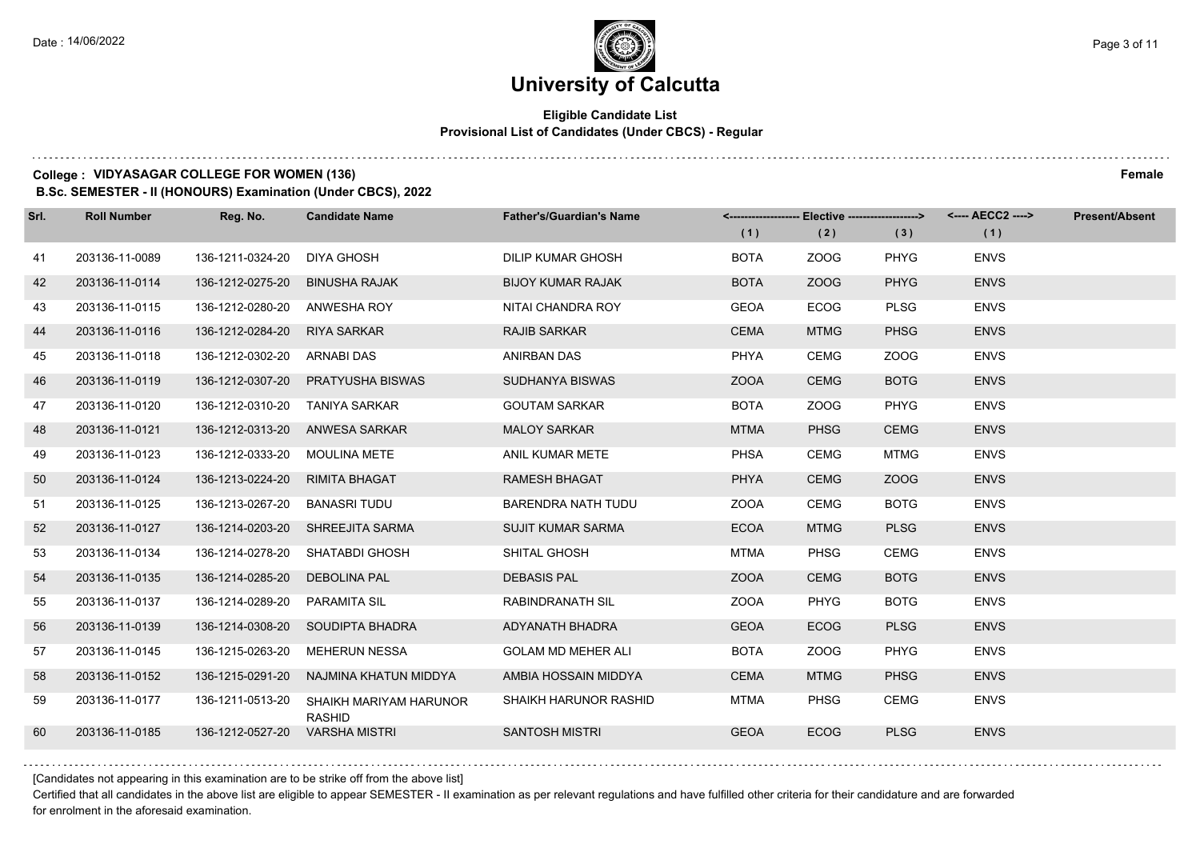## **Eligible Candidate List Provisional List of Candidates (Under CBCS) - Regular**

## **College : VIDYASAGAR COLLEGE FOR WOMEN (136) Female**

**B.Sc. SEMESTER - II (HONOURS) Examination (Under CBCS), 2022**

| Srl. | <b>Roll Number</b> | Reg. No.                      | <b>Candidate Name</b>                   | <b>Father's/Guardian's Name</b> |             |             |             | <------------------- Elective ------------------> <---- AECC2 ----> | <b>Present/Absent</b> |
|------|--------------------|-------------------------------|-----------------------------------------|---------------------------------|-------------|-------------|-------------|---------------------------------------------------------------------|-----------------------|
|      |                    |                               |                                         |                                 | (1)         | (2)         | (3)         | (1)                                                                 |                       |
| 41   | 203136-11-0089     | 136-1211-0324-20              | <b>DIYA GHOSH</b>                       | <b>DILIP KUMAR GHOSH</b>        | <b>BOTA</b> | ZOOG        | <b>PHYG</b> | <b>ENVS</b>                                                         |                       |
| 42   | 203136-11-0114     | 136-1212-0275-20              | <b>BINUSHA RAJAK</b>                    | <b>BIJOY KUMAR RAJAK</b>        | <b>BOTA</b> | ZOOG        | <b>PHYG</b> | <b>ENVS</b>                                                         |                       |
| 43   | 203136-11-0115     | 136-1212-0280-20              | ANWESHA ROY                             | NITAI CHANDRA ROY               | <b>GEOA</b> | <b>ECOG</b> | <b>PLSG</b> | <b>ENVS</b>                                                         |                       |
| 44   | 203136-11-0116     | 136-1212-0284-20              | <b>RIYA SARKAR</b>                      | <b>RAJIB SARKAR</b>             | <b>CEMA</b> | <b>MTMG</b> | <b>PHSG</b> | <b>ENVS</b>                                                         |                       |
| 45   | 203136-11-0118     | 136-1212-0302-20              | <b>ARNABI DAS</b>                       | ANIRBAN DAS                     | <b>PHYA</b> | <b>CEMG</b> | ZOOG        | <b>ENVS</b>                                                         |                       |
| 46   | 203136-11-0119     | 136-1212-0307-20              | <b>PRATYUSHA BISWAS</b>                 | SUDHANYA BISWAS                 | <b>ZOOA</b> | <b>CEMG</b> | <b>BOTG</b> | <b>ENVS</b>                                                         |                       |
| 47   | 203136-11-0120     | 136-1212-0310-20              | TANIYA SARKAR                           | <b>GOUTAM SARKAR</b>            | <b>BOTA</b> | ZOOG        | <b>PHYG</b> | <b>ENVS</b>                                                         |                       |
| 48   | 203136-11-0121     | 136-1212-0313-20              | ANWESA SARKAR                           | <b>MALOY SARKAR</b>             | <b>MTMA</b> | <b>PHSG</b> | <b>CEMG</b> | <b>ENVS</b>                                                         |                       |
| 49   | 203136-11-0123     | 136-1212-0333-20 MOULINA METE |                                         | ANIL KUMAR METE                 | <b>PHSA</b> | <b>CEMG</b> | <b>MTMG</b> | <b>ENVS</b>                                                         |                       |
| 50   | 203136-11-0124     | 136-1213-0224-20              | <b>RIMITA BHAGAT</b>                    | <b>RAMESH BHAGAT</b>            | <b>PHYA</b> | <b>CEMG</b> | ZOOG        | <b>ENVS</b>                                                         |                       |
| 51   | 203136-11-0125     | 136-1213-0267-20              | BANASRI TUDU                            | <b>BARENDRA NATH TUDU</b>       | <b>ZOOA</b> | <b>CEMG</b> | <b>BOTG</b> | <b>ENVS</b>                                                         |                       |
| 52   | 203136-11-0127     | 136-1214-0203-20              | <b>SHREEJITA SARMA</b>                  | <b>SUJIT KUMAR SARMA</b>        | <b>ECOA</b> | <b>MTMG</b> | <b>PLSG</b> | <b>ENVS</b>                                                         |                       |
| 53   | 203136-11-0134     | 136-1214-0278-20              | SHATABDI GHOSH                          | SHITAL GHOSH                    | <b>MTMA</b> | <b>PHSG</b> | <b>CEMG</b> | <b>ENVS</b>                                                         |                       |
| 54   | 203136-11-0135     | 136-1214-0285-20              | <b>DEBOLINA PAL</b>                     | <b>DEBASIS PAL</b>              | <b>ZOOA</b> | <b>CEMG</b> | <b>BOTG</b> | <b>ENVS</b>                                                         |                       |
| 55   | 203136-11-0137     | 136-1214-0289-20              | <b>PARAMITA SIL</b>                     | <b>RABINDRANATH SIL</b>         | <b>ZOOA</b> | <b>PHYG</b> | <b>BOTG</b> | <b>ENVS</b>                                                         |                       |
| 56   | 203136-11-0139     |                               | 136-1214-0308-20 SOUDIPTA BHADRA        | ADYANATH BHADRA                 | <b>GEOA</b> | <b>ECOG</b> | <b>PLSG</b> | <b>ENVS</b>                                                         |                       |
| 57   | 203136-11-0145     | 136-1215-0263-20              | <b>MEHERUN NESSA</b>                    | <b>GOLAM MD MEHER ALI</b>       | <b>BOTA</b> | ZOOG        | <b>PHYG</b> | <b>ENVS</b>                                                         |                       |
| 58   | 203136-11-0152     | 136-1215-0291-20              | NAJMINA KHATUN MIDDYA                   | AMBIA HOSSAIN MIDDYA            | <b>CEMA</b> | <b>MTMG</b> | <b>PHSG</b> | <b>ENVS</b>                                                         |                       |
| 59   | 203136-11-0177     | 136-1211-0513-20              | SHAIKH MARIYAM HARUNOR<br><b>RASHID</b> | SHAIKH HARUNOR RASHID           | <b>MTMA</b> | <b>PHSG</b> | <b>CEMG</b> | <b>ENVS</b>                                                         |                       |
| 60   | 203136-11-0185     | 136-1212-0527-20              | <b>VARSHA MISTRI</b>                    | <b>SANTOSH MISTRI</b>           | <b>GEOA</b> | <b>ECOG</b> | <b>PLSG</b> | <b>ENVS</b>                                                         |                       |

[Candidates not appearing in this examination are to be strike off from the above list]

Certified that all candidates in the above list are eligible to appear SEMESTER - II examination as per relevant regulations and have fulfilled other criteria for their candidature and are forwarded for enrolment in the aforesaid examination.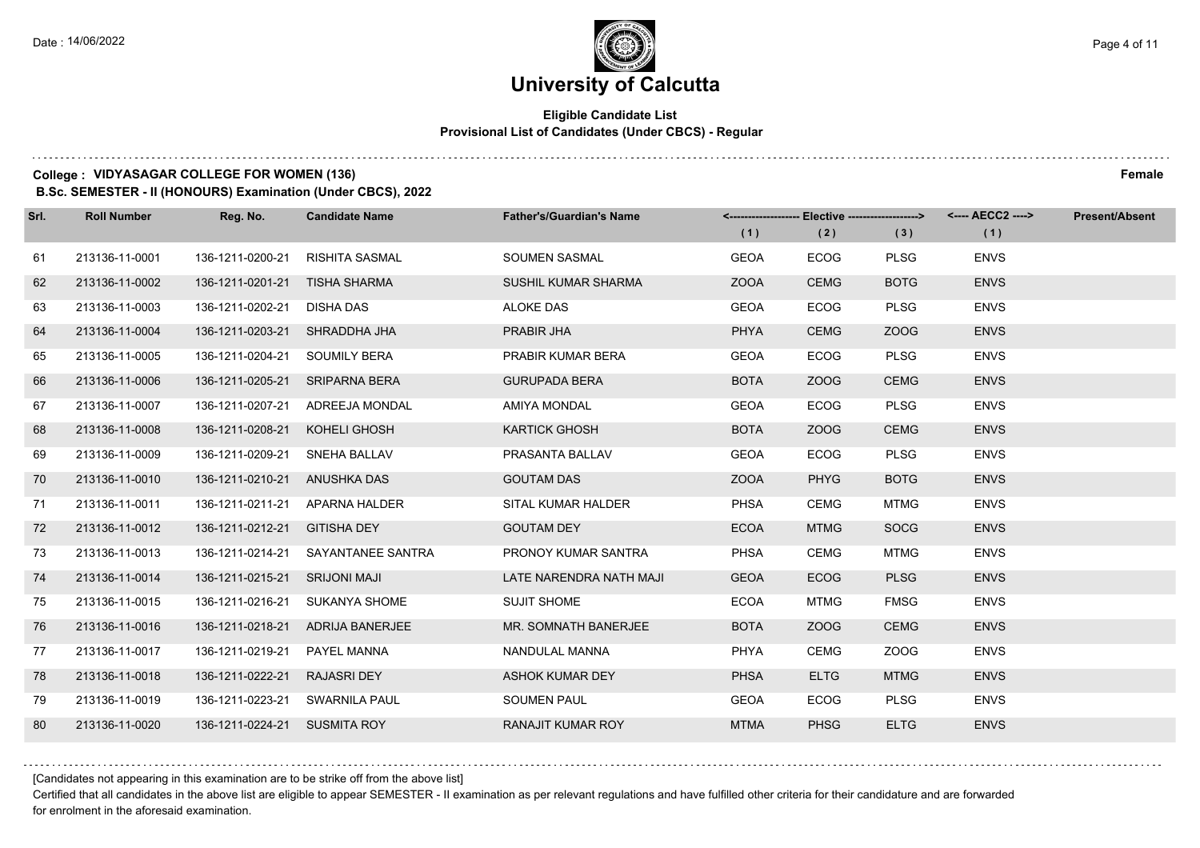## **Eligible Candidate List Provisional List of Candidates (Under CBCS) - Regular**

## **College : VIDYASAGAR COLLEGE FOR WOMEN (136) Female**

**B.Sc. SEMESTER - II (HONOURS) Examination (Under CBCS), 2022**

| Srl. | <b>Roll Number</b> | Reg. No.                      | <b>Candidate Name</b>            | <b>Father's/Guardian's Name</b> | (1)         | (2)         | <------------------- Elective ------------------> <---- AECC2 ----><br>(3) | (1)         | <b>Present/Absent</b> |
|------|--------------------|-------------------------------|----------------------------------|---------------------------------|-------------|-------------|----------------------------------------------------------------------------|-------------|-----------------------|
| 61   | 213136-11-0001     | 136-1211-0200-21              | RISHITA SASMAL                   | <b>SOUMEN SASMAL</b>            | <b>GEOA</b> | <b>ECOG</b> | <b>PLSG</b>                                                                | <b>ENVS</b> |                       |
| 62   | 213136-11-0002     | 136-1211-0201-21 TISHA SHARMA |                                  | <b>SUSHIL KUMAR SHARMA</b>      | <b>ZOOA</b> | <b>CEMG</b> | <b>BOTG</b>                                                                | <b>ENVS</b> |                       |
| 63   | 213136-11-0003     | 136-1211-0202-21 DISHA DAS    |                                  | <b>ALOKE DAS</b>                | <b>GEOA</b> | <b>ECOG</b> | <b>PLSG</b>                                                                | <b>ENVS</b> |                       |
| 64   | 213136-11-0004     | 136-1211-0203-21 SHRADDHA JHA |                                  | PRABIR JHA                      | PHYA        | <b>CEMG</b> | ZOOG                                                                       | <b>ENVS</b> |                       |
| 65   | 213136-11-0005     | 136-1211-0204-21              | SOUMILY BERA                     | PRABIR KUMAR BERA               | <b>GEOA</b> | <b>ECOG</b> | <b>PLSG</b>                                                                | <b>ENVS</b> |                       |
| 66   | 213136-11-0006     | 136-1211-0205-21              | <b>SRIPARNA BERA</b>             | <b>GURUPADA BERA</b>            | <b>BOTA</b> | ZOOG        | <b>CEMG</b>                                                                | <b>ENVS</b> |                       |
| 67   | 213136-11-0007     |                               | 136-1211-0207-21 ADREEJA MONDAL  | AMIYA MONDAL                    | <b>GEOA</b> | <b>ECOG</b> | <b>PLSG</b>                                                                | <b>ENVS</b> |                       |
| 68   | 213136-11-0008     | 136-1211-0208-21              | KOHELI GHOSH                     | <b>KARTICK GHOSH</b>            | <b>BOTA</b> | ZOOG        | <b>CEMG</b>                                                                | <b>ENVS</b> |                       |
| 69   | 213136-11-0009     | 136-1211-0209-21              | SNEHA BALLAV                     | PRASANTA BALLAV                 | <b>GEOA</b> | <b>ECOG</b> | <b>PLSG</b>                                                                | <b>ENVS</b> |                       |
| 70   | 213136-11-0010     | 136-1211-0210-21 ANUSHKA DAS  |                                  | <b>GOUTAM DAS</b>               | <b>ZOOA</b> | <b>PHYG</b> | <b>BOTG</b>                                                                | <b>ENVS</b> |                       |
| 71   | 213136-11-0011     |                               | 136-1211-0211-21 APARNA HALDER   | SITAL KUMAR HALDER              | <b>PHSA</b> | <b>CEMG</b> | <b>MTMG</b>                                                                | <b>ENVS</b> |                       |
| 72   | 213136-11-0012     | 136-1211-0212-21              | <b>GITISHA DEY</b>               | <b>GOUTAM DEY</b>               | <b>ECOA</b> | <b>MTMG</b> | <b>SOCG</b>                                                                | <b>ENVS</b> |                       |
| 73   | 213136-11-0013     | 136-1211-0214-21              | SAYANTANEE SANTRA                | PRONOY KUMAR SANTRA             | <b>PHSA</b> | CEMG        | <b>MTMG</b>                                                                | <b>ENVS</b> |                       |
| 74   | 213136-11-0014     | 136-1211-0215-21              | <b>SRIJONI MAJI</b>              | LATE NARENDRA NATH MAJI         | <b>GEOA</b> | <b>ECOG</b> | <b>PLSG</b>                                                                | <b>ENVS</b> |                       |
| 75   | 213136-11-0015     | 136-1211-0216-21              | SUKANYA SHOME                    | <b>SUJIT SHOME</b>              | <b>ECOA</b> | MTMG        | <b>FMSG</b>                                                                | <b>ENVS</b> |                       |
| 76   | 213136-11-0016     |                               | 136-1211-0218-21 ADRIJA BANERJEE | MR. SOMNATH BANERJEE            | <b>BOTA</b> | ZOOG        | <b>CEMG</b>                                                                | <b>ENVS</b> |                       |
| 77   | 213136-11-0017     | 136-1211-0219-21              | PAYEL MANNA                      | NANDULAL MANNA                  | <b>PHYA</b> | <b>CEMG</b> | ZOOG                                                                       | <b>ENVS</b> |                       |
| 78   | 213136-11-0018     | 136-1211-0222-21              | <b>RAJASRI DEY</b>               | <b>ASHOK KUMAR DEY</b>          | <b>PHSA</b> | <b>ELTG</b> | <b>MTMG</b>                                                                | <b>ENVS</b> |                       |
| 79   | 213136-11-0019     | 136-1211-0223-21              | SWARNILA PAUL                    | <b>SOUMEN PAUL</b>              | <b>GEOA</b> | <b>ECOG</b> | <b>PLSG</b>                                                                | <b>ENVS</b> |                       |
| 80   | 213136-11-0020     | 136-1211-0224-21 SUSMITA ROY  |                                  | <b>RANAJIT KUMAR ROY</b>        | <b>MTMA</b> | <b>PHSG</b> | <b>ELTG</b>                                                                | <b>ENVS</b> |                       |

[Candidates not appearing in this examination are to be strike off from the above list]

Certified that all candidates in the above list are eligible to appear SEMESTER - II examination as per relevant regulations and have fulfilled other criteria for their candidature and are forwarded for enrolment in the aforesaid examination.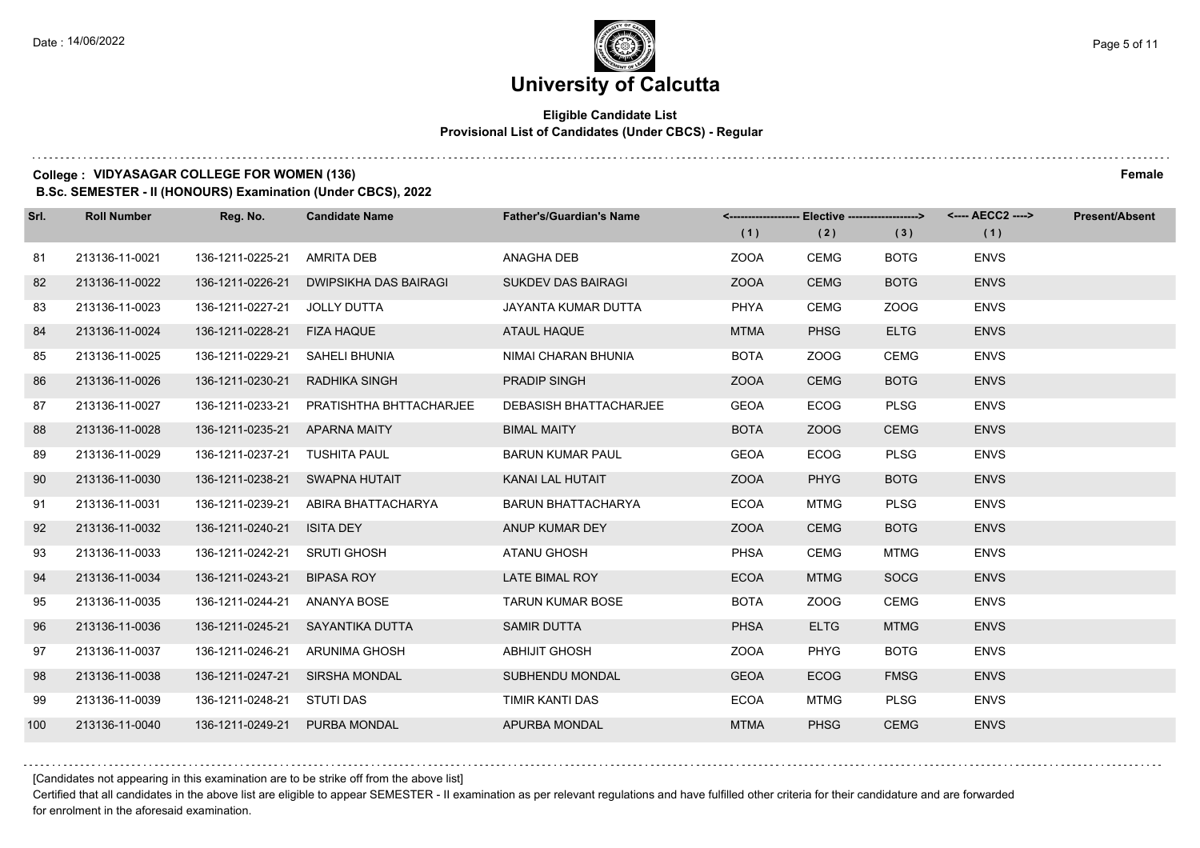## **Eligible Candidate List Provisional List of Candidates (Under CBCS) - Regular**

#### **College : VIDYASAGAR COLLEGE FOR WOMEN (136) Female**

**B.Sc. SEMESTER - II (HONOURS) Examination (Under CBCS), 2022**

| Srl. | <b>Roll Number</b> | Reg. No.                      | <b>Candidate Name</b>            | <b>Father's/Guardian's Name</b> |             | <-------------------- Elective ------------------> |             | <---- AECC2 ----> | <b>Present/Absent</b> |
|------|--------------------|-------------------------------|----------------------------------|---------------------------------|-------------|----------------------------------------------------|-------------|-------------------|-----------------------|
|      |                    |                               |                                  |                                 | (1)         | (2)                                                | (3)         | (1)               |                       |
| 81   | 213136-11-0021     | 136-1211-0225-21              | AMRITA DEB                       | ANAGHA DEB                      | <b>ZOOA</b> | <b>CEMG</b>                                        | <b>BOTG</b> | <b>ENVS</b>       |                       |
| 82   | 213136-11-0022     | 136-1211-0226-21              | DWIPSIKHA DAS BAIRAGI            | <b>SUKDEV DAS BAIRAGI</b>       | <b>ZOOA</b> | <b>CEMG</b>                                        | <b>BOTG</b> | <b>ENVS</b>       |                       |
| 83   | 213136-11-0023     | 136-1211-0227-21              | JOLLY DUTTA                      | JAYANTA KUMAR DUTTA             | <b>PHYA</b> | <b>CEMG</b>                                        | ZOOG        | <b>ENVS</b>       |                       |
| 84   | 213136-11-0024     | 136-1211-0228-21 FIZA HAQUE   |                                  | ATAUL HAQUE                     | <b>MTMA</b> | <b>PHSG</b>                                        | <b>ELTG</b> | <b>ENVS</b>       |                       |
| 85   | 213136-11-0025     | 136-1211-0229-21              | SAHELI BHUNIA                    | NIMAI CHARAN BHUNIA             | <b>BOTA</b> | ZOOG                                               | <b>CEMG</b> | <b>ENVS</b>       |                       |
| 86   | 213136-11-0026     | 136-1211-0230-21              | RADHIKA SINGH                    | PRADIP SINGH                    | <b>ZOOA</b> | <b>CEMG</b>                                        | <b>BOTG</b> | <b>ENVS</b>       |                       |
| 87   | 213136-11-0027     | 136-1211-0233-21              | PRATISHTHA BHTTACHARJEE          | <b>DEBASISH BHATTACHARJEE</b>   | <b>GEOA</b> | <b>ECOG</b>                                        | <b>PLSG</b> | <b>ENVS</b>       |                       |
| 88   | 213136-11-0028     | 136-1211-0235-21 APARNA MAITY |                                  | <b>BIMAL MAITY</b>              | <b>BOTA</b> | ZOOG                                               | <b>CEMG</b> | <b>ENVS</b>       |                       |
| 89   | 213136-11-0029     | 136-1211-0237-21              | TUSHITA PAUL                     | <b>BARUN KUMAR PAUL</b>         | <b>GEOA</b> | <b>ECOG</b>                                        | <b>PLSG</b> | <b>ENVS</b>       |                       |
| 90   | 213136-11-0030     |                               | 136-1211-0238-21 SWAPNA HUTAIT   | KANAI LAL HUTAIT                | <b>ZOOA</b> | <b>PHYG</b>                                        | <b>BOTG</b> | <b>ENVS</b>       |                       |
| 91   | 213136-11-0031     | 136-1211-0239-21              | ABIRA BHATTACHARYA               | <b>BARUN BHATTACHARYA</b>       | <b>ECOA</b> | <b>MTMG</b>                                        | <b>PLSG</b> | <b>ENVS</b>       |                       |
| 92   | 213136-11-0032     | 136-1211-0240-21              | <b>ISITA DEY</b>                 | ANUP KUMAR DEY                  | <b>ZOOA</b> | <b>CEMG</b>                                        | <b>BOTG</b> | <b>ENVS</b>       |                       |
| 93   | 213136-11-0033     | 136-1211-0242-21              | <b>SRUTI GHOSH</b>               | ATANU GHOSH                     | <b>PHSA</b> | <b>CEMG</b>                                        | <b>MTMG</b> | <b>ENVS</b>       |                       |
| 94   | 213136-11-0034     | 136-1211-0243-21              | <b>BIPASA ROY</b>                | LATE BIMAL ROY                  | <b>ECOA</b> | <b>MTMG</b>                                        | <b>SOCG</b> | <b>ENVS</b>       |                       |
| 95   | 213136-11-0035     | 136-1211-0244-21              | ANANYA BOSE                      | <b>TARUN KUMAR BOSE</b>         | <b>BOTA</b> | ZOOG                                               | <b>CEMG</b> | <b>ENVS</b>       |                       |
| 96   | 213136-11-0036     |                               | 136-1211-0245-21 SAYANTIKA DUTTA | SAMIR DUTTA                     | <b>PHSA</b> | <b>ELTG</b>                                        | <b>MTMG</b> | <b>ENVS</b>       |                       |
| 97   | 213136-11-0037     | 136-1211-0246-21              | ARUNIMA GHOSH                    | <b>ABHIJIT GHOSH</b>            | <b>ZOOA</b> | <b>PHYG</b>                                        | <b>BOTG</b> | <b>ENVS</b>       |                       |
| 98   | 213136-11-0038     |                               | 136-1211-0247-21 SIRSHA MONDAL   | SUBHENDU MONDAL                 | <b>GEOA</b> | <b>ECOG</b>                                        | <b>FMSG</b> | <b>ENVS</b>       |                       |
| 99   | 213136-11-0039     | 136-1211-0248-21 STUTI DAS    |                                  | TIMIR KANTI DAS                 | <b>ECOA</b> | <b>MTMG</b>                                        | <b>PLSG</b> | <b>ENVS</b>       |                       |
| 100  | 213136-11-0040     | 136-1211-0249-21              | <b>PURBA MONDAL</b>              | APURBA MONDAL                   | <b>MTMA</b> | <b>PHSG</b>                                        | <b>CEMG</b> | <b>ENVS</b>       |                       |

[Candidates not appearing in this examination are to be strike off from the above list]

Certified that all candidates in the above list are eligible to appear SEMESTER - II examination as per relevant regulations and have fulfilled other criteria for their candidature and are forwarded for enrolment in the aforesaid examination.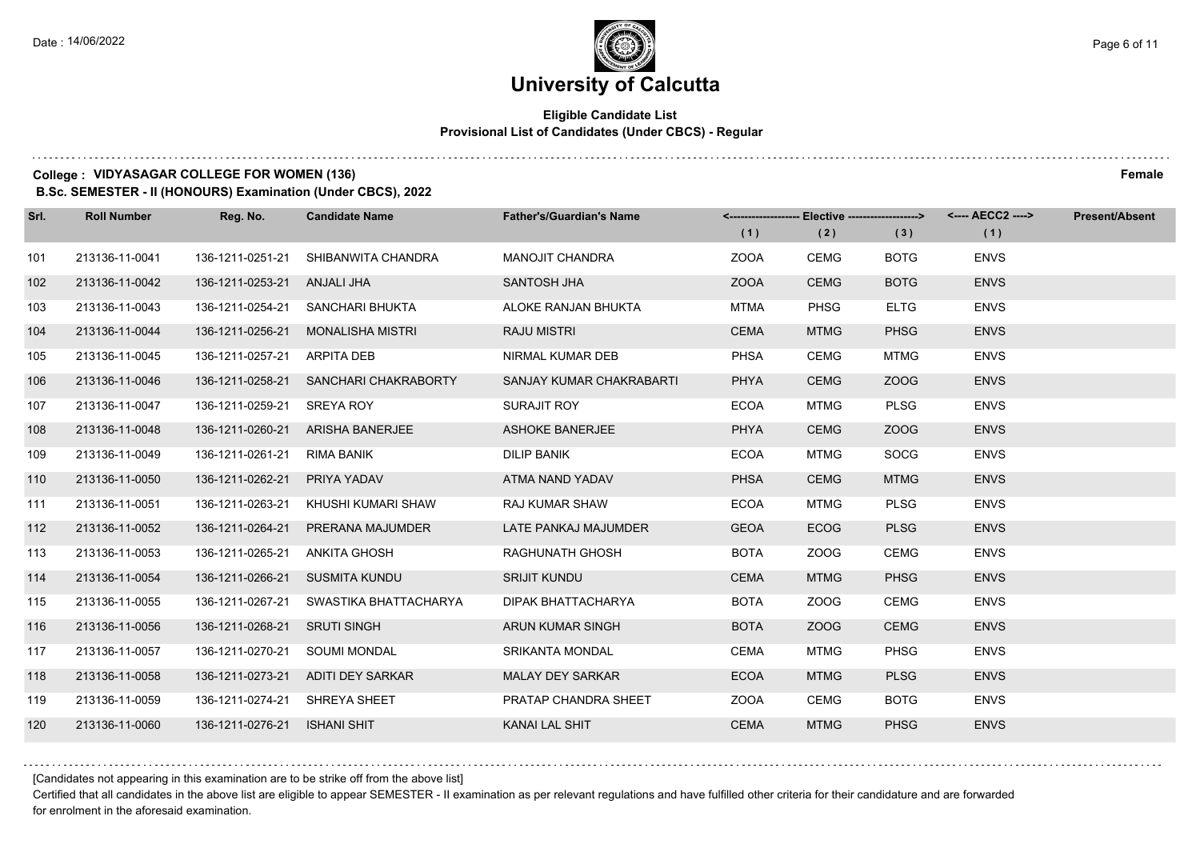$1.111$ 

## **University of Calcutta**

## **Eligible Candidate List Provisional List of Candidates (Under CBCS) - Regular**

### **College : VIDYASAGAR COLLEGE FOR WOMEN (136) Female**

**B.Sc. SEMESTER - II (HONOURS) Examination (Under CBCS), 2022**

| Srl. | <b>Roll Number</b> | Reg. No.                      | <b>Candidate Name</b>             | <b>Father's/Guardian's Name</b> | (1)         | (2)         | <-------------------- Elective -------------------> <---- AECC2 ----><br>(3) | (1)         | <b>Present/Absent</b> |
|------|--------------------|-------------------------------|-----------------------------------|---------------------------------|-------------|-------------|------------------------------------------------------------------------------|-------------|-----------------------|
| 101  | 213136-11-0041     | 136-1211-0251-21              | SHIBANWITA CHANDRA                | <b>MANOJIT CHANDRA</b>          | <b>ZOOA</b> | <b>CEMG</b> | <b>BOTG</b>                                                                  | <b>ENVS</b> |                       |
| 102  | 213136-11-0042     | 136-1211-0253-21              | ANJALI JHA                        | SANTOSH JHA                     | <b>ZOOA</b> | <b>CEMG</b> | <b>BOTG</b>                                                                  | <b>ENVS</b> |                       |
| 103  | 213136-11-0043     |                               | 136-1211-0254-21 SANCHARI BHUKTA  | ALOKE RANJAN BHUKTA             | MTMA        | <b>PHSG</b> | <b>ELTG</b>                                                                  | <b>ENVS</b> |                       |
| 104  | 213136-11-0044     | 136-1211-0256-21              | MONALISHA MISTRI                  | <b>RAJU MISTRI</b>              | <b>CEMA</b> | <b>MTMG</b> | <b>PHSG</b>                                                                  | <b>ENVS</b> |                       |
| 105  | 213136-11-0045     | 136-1211-0257-21              | <b>ARPITA DEB</b>                 | NIRMAL KUMAR DEB                | <b>PHSA</b> | <b>CEMG</b> | <b>MTMG</b>                                                                  | <b>ENVS</b> |                       |
| 106  | 213136-11-0046     | 136-1211-0258-21              | SANCHARI CHAKRABORTY              | SANJAY KUMAR CHAKRABARTI        | <b>PHYA</b> | <b>CEMG</b> | ZOOG                                                                         | <b>ENVS</b> |                       |
| 107  | 213136-11-0047     | 136-1211-0259-21              | SREYA ROY                         | SURAJIT ROY                     | <b>ECOA</b> | MTMG        | <b>PLSG</b>                                                                  | <b>ENVS</b> |                       |
| 108  | 213136-11-0048     | 136-1211-0260-21              | ARISHA BANERJEE                   | <b>ASHOKE BANERJEE</b>          | <b>PHYA</b> | <b>CEMG</b> | ZOOG                                                                         | <b>ENVS</b> |                       |
| 109  | 213136-11-0049     | 136-1211-0261-21              | RIMA BANIK                        | <b>DILIP BANIK</b>              | <b>ECOA</b> | MTMG        | <b>SOCG</b>                                                                  | <b>ENVS</b> |                       |
| 110  | 213136-11-0050     | 136-1211-0262-21              | PRIYA YADAV                       | ATMA NAND YADAV                 | <b>PHSA</b> | <b>CEMG</b> | <b>MTMG</b>                                                                  | <b>ENVS</b> |                       |
| 111  | 213136-11-0051     | 136-1211-0263-21              | KHUSHI KUMARI SHAW                | RAJ KUMAR SHAW                  | <b>ECOA</b> | <b>MTMG</b> | <b>PLSG</b>                                                                  | <b>ENVS</b> |                       |
| 112  | 213136-11-0052     | 136-1211-0264-21              | PRERANA MAJUMDER                  | LATE PANKAJ MAJUMDER            | <b>GEOA</b> | <b>ECOG</b> | <b>PLSG</b>                                                                  | <b>ENVS</b> |                       |
| 113  | 213136-11-0053     | 136-1211-0265-21              | <b>ANKITA GHOSH</b>               | RAGHUNATH GHOSH                 | <b>BOTA</b> | ZOOG        | <b>CEMG</b>                                                                  | <b>ENVS</b> |                       |
| 114  | 213136-11-0054     | 136-1211-0266-21              | SUSMITA KUNDU                     | <b>SRIJIT KUNDU</b>             | <b>CEMA</b> | <b>MTMG</b> | <b>PHSG</b>                                                                  | <b>ENVS</b> |                       |
| 115  | 213136-11-0055     | 136-1211-0267-21              | SWASTIKA BHATTACHARYA             | DIPAK BHATTACHARYA              | <b>BOTA</b> | ZOOG        | <b>CEMG</b>                                                                  | <b>ENVS</b> |                       |
| 116  | 213136-11-0056     | 136-1211-0268-21              | <b>SRUTI SINGH</b>                | ARUN KUMAR SINGH                | <b>BOTA</b> | ZOOG        | <b>CEMG</b>                                                                  | <b>ENVS</b> |                       |
| 117  | 213136-11-0057     | 136-1211-0270-21              | <b>SOUMI MONDAL</b>               | <b>SRIKANTA MONDAL</b>          | <b>CEMA</b> | <b>MTMG</b> | <b>PHSG</b>                                                                  | <b>ENVS</b> |                       |
| 118  | 213136-11-0058     |                               | 136-1211-0273-21 ADITI DEY SARKAR | <b>MALAY DEY SARKAR</b>         | <b>ECOA</b> | <b>MTMG</b> | <b>PLSG</b>                                                                  | <b>ENVS</b> |                       |
| 119  | 213136-11-0059     | 136-1211-0274-21 SHREYA SHEET |                                   | PRATAP CHANDRA SHEET            | ZOOA        | <b>CEMG</b> | <b>BOTG</b>                                                                  | <b>ENVS</b> |                       |
| 120  | 213136-11-0060     | 136-1211-0276-21              | <b>ISHANI SHIT</b>                | <b>KANAI LAL SHIT</b>           | <b>CEMA</b> | <b>MTMG</b> | <b>PHSG</b>                                                                  | <b>ENVS</b> |                       |

Certified that all candidates in the above list are eligible to appear SEMESTER - II examination as per relevant regulations and have fulfilled other criteria for their candidature and are forwarded for enrolment in the aforesaid examination.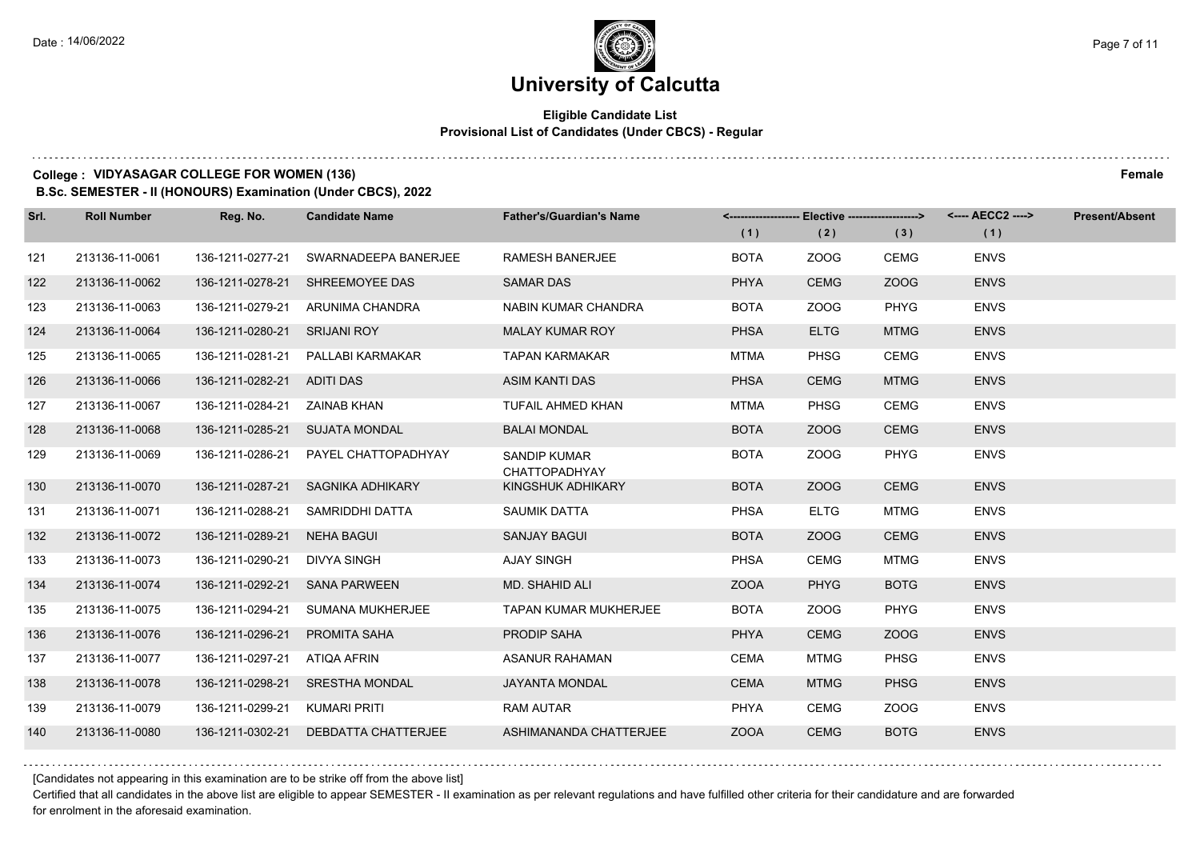## **Eligible Candidate List Provisional List of Candidates (Under CBCS) - Regular**

#### **College : VIDYASAGAR COLLEGE FOR WOMEN (136) Female**

**B.Sc. SEMESTER - II (HONOURS) Examination (Under CBCS), 2022**

| Srl. | <b>Roll Number</b> | Reg. No.                        | <b>Candidate Name</b>                | <b>Father's/Guardian's Name</b>             |             |             | <------------------- Elective ------------------> <---- AECC2 ----> |             | <b>Present/Absent</b> |
|------|--------------------|---------------------------------|--------------------------------------|---------------------------------------------|-------------|-------------|---------------------------------------------------------------------|-------------|-----------------------|
|      |                    |                                 |                                      |                                             | (1)         | (2)         | (3)                                                                 | (1)         |                       |
| 121  | 213136-11-0061     | 136-1211-0277-21                | SWARNADEEPA BANERJEE                 | <b>RAMESH BANERJEE</b>                      | <b>BOTA</b> | ZOOG        | <b>CEMG</b>                                                         | <b>ENVS</b> |                       |
| 122  | 213136-11-0062     | 136-1211-0278-21                | SHREEMOYEE DAS                       | <b>SAMAR DAS</b>                            | <b>PHYA</b> | <b>CEMG</b> | ZOOG                                                                | <b>ENVS</b> |                       |
| 123  | 213136-11-0063     |                                 | 136-1211-0279-21 ARUNIMA CHANDRA     | NABIN KUMAR CHANDRA                         | <b>BOTA</b> | ZOOG        | PHYG                                                                | <b>ENVS</b> |                       |
| 124  | 213136-11-0064     | 136-1211-0280-21 SRIJANI ROY    |                                      | <b>MALAY KUMAR ROY</b>                      | <b>PHSA</b> | <b>ELTG</b> | <b>MTMG</b>                                                         | <b>ENVS</b> |                       |
| 125  | 213136-11-0065     | 136-1211-0281-21                | PALLABI KARMAKAR                     | <b>TAPAN KARMAKAR</b>                       | <b>MTMA</b> | <b>PHSG</b> | CEMG                                                                | <b>ENVS</b> |                       |
| 126  | 213136-11-0066     | 136-1211-0282-21 ADITI DAS      |                                      | ASIM KANTI DAS                              | <b>PHSA</b> | <b>CEMG</b> | <b>MTMG</b>                                                         | <b>ENVS</b> |                       |
| 127  | 213136-11-0067     | 136-1211-0284-21    ZAINAB KHAN |                                      | <b>TUFAIL AHMED KHAN</b>                    | <b>MTMA</b> | <b>PHSG</b> | <b>CEMG</b>                                                         | <b>ENVS</b> |                       |
| 128  | 213136-11-0068     |                                 | 136-1211-0285-21 SUJATA MONDAL       | <b>BALAI MONDAL</b>                         | <b>BOTA</b> | ZOOG        | <b>CEMG</b>                                                         | <b>ENVS</b> |                       |
| 129  | 213136-11-0069     | 136-1211-0286-21                | PAYEL CHATTOPADHYAY                  | <b>SANDIP KUMAR</b><br><b>CHATTOPADHYAY</b> | <b>BOTA</b> | ZOOG        | <b>PHYG</b>                                                         | <b>ENVS</b> |                       |
| 130  | 213136-11-0070     | 136-1211-0287-21                | SAGNIKA ADHIKARY                     | KINGSHUK ADHIKARY                           | <b>BOTA</b> | ZOOG        | <b>CEMG</b>                                                         | <b>ENVS</b> |                       |
| 131  | 213136-11-0071     | 136-1211-0288-21                | SAMRIDDHI DATTA                      | <b>SAUMIK DATTA</b>                         | <b>PHSA</b> | <b>ELTG</b> | <b>MTMG</b>                                                         | <b>ENVS</b> |                       |
| 132  | 213136-11-0072     | 136-1211-0289-21                | NEHA BAGUI                           | SANJAY BAGUI                                | <b>BOTA</b> | ZOOG        | <b>CEMG</b>                                                         | <b>ENVS</b> |                       |
| 133  | 213136-11-0073     | 136-1211-0290-21                | DIVYA SINGH                          | <b>AJAY SINGH</b>                           | <b>PHSA</b> | <b>CEMG</b> | <b>MTMG</b>                                                         | <b>ENVS</b> |                       |
| 134  | 213136-11-0074     | 136-1211-0292-21                | <b>SANA PARWEEN</b>                  | MD. SHAHID ALI                              | <b>ZOOA</b> | <b>PHYG</b> | <b>BOTG</b>                                                         | <b>ENVS</b> |                       |
| 135  | 213136-11-0075     | 136-1211-0294-21                | SUMANA MUKHERJEE                     | <b>TAPAN KUMAR MUKHERJEE</b>                | <b>BOTA</b> | ZOOG        | PHYG                                                                | <b>ENVS</b> |                       |
| 136  | 213136-11-0076     | 136-1211-0296-21                | <b>PROMITA SAHA</b>                  | PRODIP SAHA                                 | <b>PHYA</b> | <b>CEMG</b> | ZOOG                                                                | <b>ENVS</b> |                       |
| 137  | 213136-11-0077     | 136-1211-0297-21                | ATIQA AFRIN                          | <b>ASANUR RAHAMAN</b>                       | <b>CEMA</b> | MTMG        | <b>PHSG</b>                                                         | <b>ENVS</b> |                       |
| 138  | 213136-11-0078     |                                 | 136-1211-0298-21 SRESTHA MONDAL      | <b>JAYANTA MONDAL</b>                       | <b>CEMA</b> | <b>MTMG</b> | <b>PHSG</b>                                                         | <b>ENVS</b> |                       |
| 139  | 213136-11-0079     | 136-1211-0299-21                | KUMARI PRITI                         | <b>RAM AUTAR</b>                            | PHYA        | <b>CEMG</b> | ZOOG                                                                | <b>ENVS</b> |                       |
| 140  | 213136-11-0080     |                                 | 136-1211-0302-21 DEBDATTA CHATTERJEE | ASHIMANANDA CHATTERJEE                      | <b>ZOOA</b> | <b>CEMG</b> | <b>BOTG</b>                                                         | <b>ENVS</b> |                       |

[Candidates not appearing in this examination are to be strike off from the above list]

Certified that all candidates in the above list are eligible to appear SEMESTER - II examination as per relevant regulations and have fulfilled other criteria for their candidature and are forwarded for enrolment in the aforesaid examination.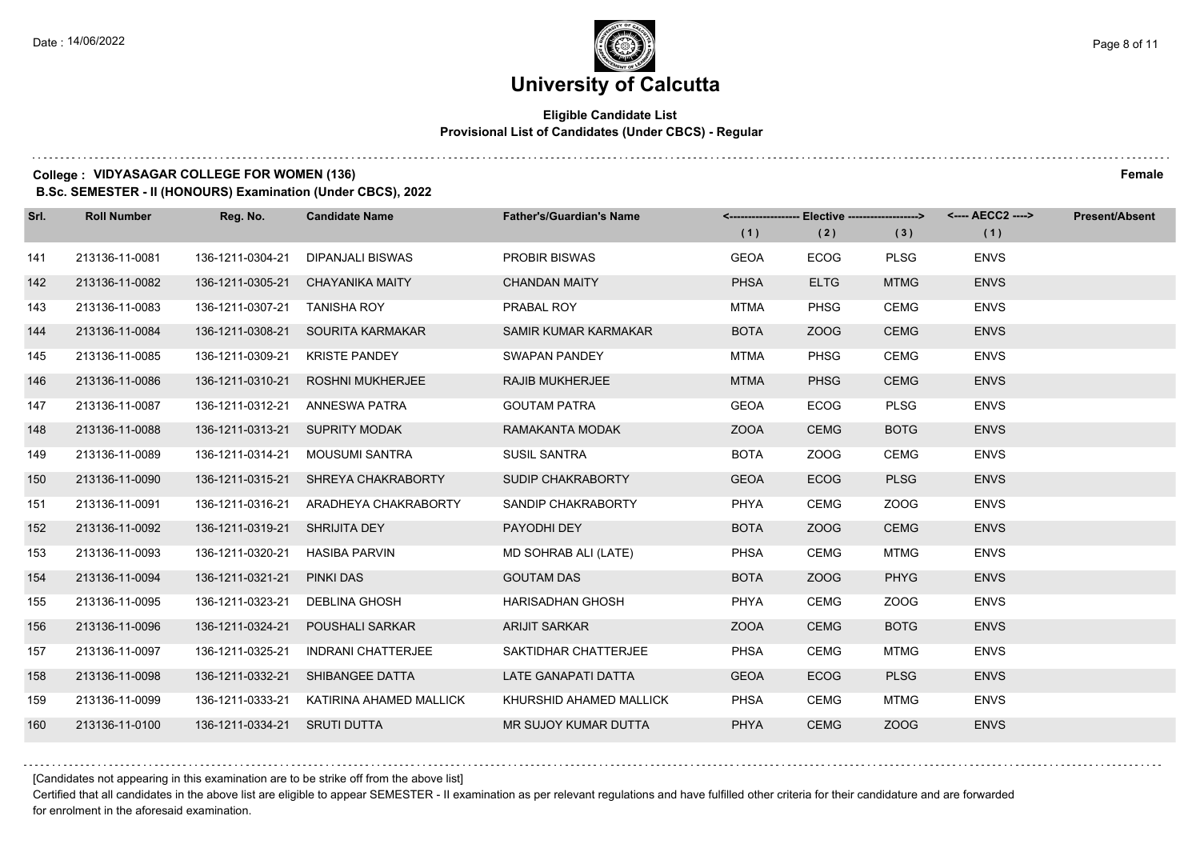## **Eligible Candidate List Provisional List of Candidates (Under CBCS) - Regular**

### **College : VIDYASAGAR COLLEGE FOR WOMEN (136) Female**

**B.Sc. SEMESTER - II (HONOURS) Examination (Under CBCS), 2022**

| Srl. | <b>Roll Number</b> | Reg. No.                      | <b>Candidate Name</b>                 | <b>Father's/Guardian's Name</b> | (1)         | <-------------------- Elective ------------------><br>(2) | (3)         | (1)         | Present/Absent |
|------|--------------------|-------------------------------|---------------------------------------|---------------------------------|-------------|-----------------------------------------------------------|-------------|-------------|----------------|
| 141  | 213136-11-0081     | 136-1211-0304-21              | <b>DIPANJALI BISWAS</b>               | <b>PROBIR BISWAS</b>            | <b>GEOA</b> | <b>ECOG</b>                                               | <b>PLSG</b> | <b>ENVS</b> |                |
| 142  | 213136-11-0082     | 136-1211-0305-21              | <b>CHAYANIKA MAITY</b>                | <b>CHANDAN MAITY</b>            | <b>PHSA</b> | <b>ELTG</b>                                               | <b>MTMG</b> | <b>ENVS</b> |                |
| 143  | 213136-11-0083     | 136-1211-0307-21 TANISHA ROY  |                                       | PRABAL ROY                      | <b>MTMA</b> | <b>PHSG</b>                                               | <b>CEMG</b> | <b>ENVS</b> |                |
| 144  | 213136-11-0084     |                               | 136-1211-0308-21 SOURITA KARMAKAR     | SAMIR KUMAR KARMAKAR            | <b>BOTA</b> | ZOOG                                                      | <b>CEMG</b> | <b>ENVS</b> |                |
| 145  | 213136-11-0085     | 136-1211-0309-21              | <b>KRISTE PANDEY</b>                  | <b>SWAPAN PANDEY</b>            | MTMA        | <b>PHSG</b>                                               | <b>CEMG</b> | <b>ENVS</b> |                |
| 146  | 213136-11-0086     | 136-1211-0310-21              | <b>ROSHNI MUKHERJEE</b>               | <b>RAJIB MUKHERJEE</b>          | <b>MTMA</b> | <b>PHSG</b>                                               | <b>CEMG</b> | <b>ENVS</b> |                |
| 147  | 213136-11-0087     |                               | 136-1211-0312-21 ANNESWA PATRA        | <b>GOUTAM PATRA</b>             | <b>GEOA</b> | <b>ECOG</b>                                               | <b>PLSG</b> | <b>ENVS</b> |                |
| 148  | 213136-11-0088     |                               | 136-1211-0313-21 SUPRITY MODAK        | RAMAKANTA MODAK                 | <b>ZOOA</b> | <b>CEMG</b>                                               | <b>BOTG</b> | <b>ENVS</b> |                |
| 149  | 213136-11-0089     | 136-1211-0314-21              | MOUSUMI SANTRA                        | <b>SUSIL SANTRA</b>             | <b>BOTA</b> | ZOOG                                                      | <b>CEMG</b> | <b>ENVS</b> |                |
| 150  | 213136-11-0090     |                               | 136-1211-0315-21 SHREYA CHAKRABORTY   | SUDIP CHAKRABORTY               | <b>GEOA</b> | <b>ECOG</b>                                               | <b>PLSG</b> | <b>ENVS</b> |                |
| 151  | 213136-11-0091     |                               | 136-1211-0316-21 ARADHEYA CHAKRABORTY | SANDIP CHAKRABORTY              | PHYA        | <b>CEMG</b>                                               | ZOOG        | <b>ENVS</b> |                |
| 152  | 213136-11-0092     | 136-1211-0319-21 SHRIJITA DEY |                                       | PAYODHI DEY                     | <b>BOTA</b> | ZOOG                                                      | <b>CEMG</b> | <b>ENVS</b> |                |
| 153  | 213136-11-0093     | 136-1211-0320-21              | <b>HASIBA PARVIN</b>                  | MD SOHRAB ALI (LATE)            | <b>PHSA</b> | <b>CEMG</b>                                               | <b>MTMG</b> | <b>ENVS</b> |                |
| 154  | 213136-11-0094     | 136-1211-0321-21              | <b>PINKI DAS</b>                      | <b>GOUTAM DAS</b>               | <b>BOTA</b> | ZOOG                                                      | <b>PHYG</b> | <b>ENVS</b> |                |
| 155  | 213136-11-0095     | 136-1211-0323-21              | <b>DEBLINA GHOSH</b>                  | <b>HARISADHAN GHOSH</b>         | PHYA        | <b>CEMG</b>                                               | ZOOG        | <b>ENVS</b> |                |
| 156  | 213136-11-0096     | 136-1211-0324-21              | <b>POUSHALI SARKAR</b>                | <b>ARIJIT SARKAR</b>            | <b>ZOOA</b> | <b>CEMG</b>                                               | <b>BOTG</b> | <b>ENVS</b> |                |
| 157  | 213136-11-0097     | 136-1211-0325-21              | <b>INDRANI CHATTERJEE</b>             | SAKTIDHAR CHATTERJEE            | <b>PHSA</b> | CEMG                                                      | <b>MTMG</b> | <b>ENVS</b> |                |
| 158  | 213136-11-0098     | 136-1211-0332-21              | SHIBANGEE DATTA                       | LATE GANAPATI DATTA             | <b>GEOA</b> | <b>ECOG</b>                                               | <b>PLSG</b> | <b>ENVS</b> |                |
| 159  | 213136-11-0099     | 136-1211-0333-21              | KATIRINA AHAMED MALLICK               | KHURSHID AHAMED MALLICK         | <b>PHSA</b> | <b>CEMG</b>                                               | <b>MTMG</b> | <b>ENVS</b> |                |
| 160  | 213136-11-0100     | 136-1211-0334-21 SRUTI DUTTA  |                                       | MR SUJOY KUMAR DUTTA            | <b>PHYA</b> | <b>CEMG</b>                                               | ZOOG        | <b>ENVS</b> |                |

[Candidates not appearing in this examination are to be strike off from the above list]

Certified that all candidates in the above list are eligible to appear SEMESTER - II examination as per relevant regulations and have fulfilled other criteria for their candidature and are forwarded for enrolment in the aforesaid examination.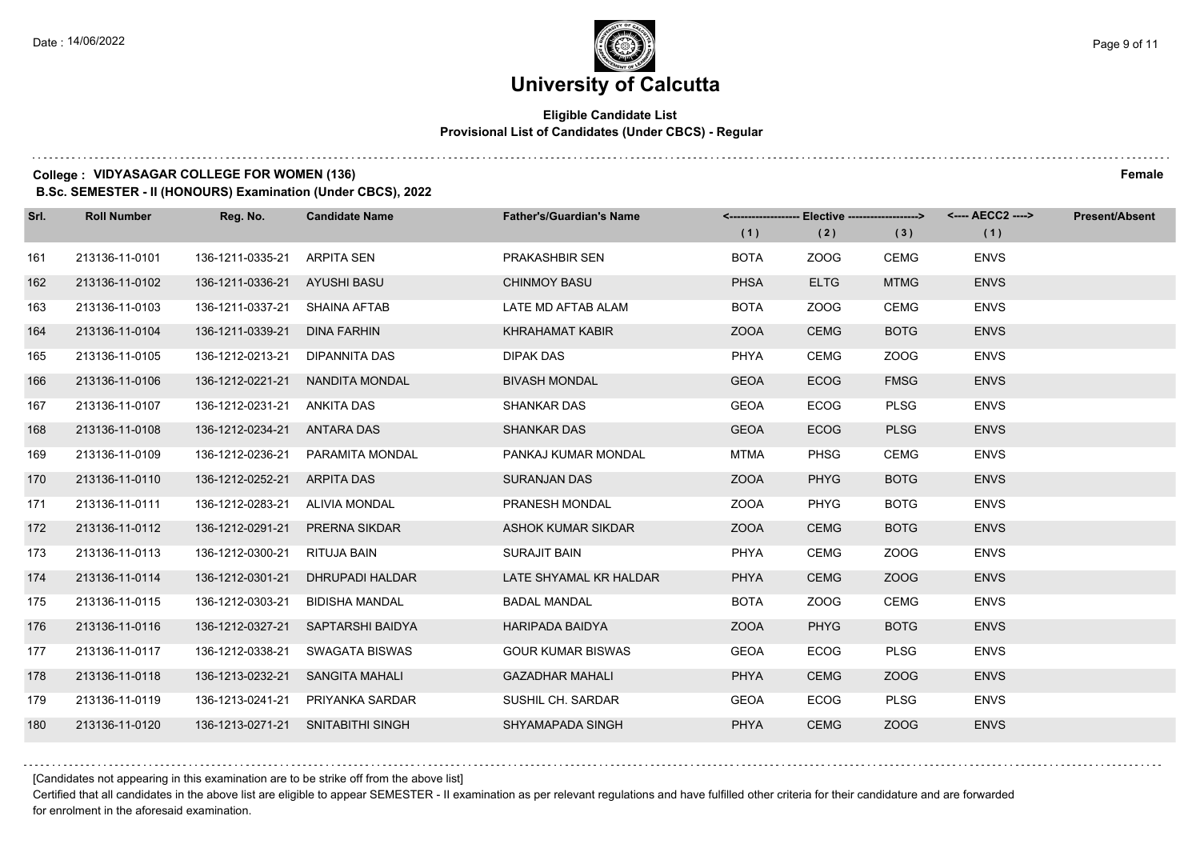## **Eligible Candidate List Provisional List of Candidates (Under CBCS) - Regular**

## **College : VIDYASAGAR COLLEGE FOR WOMEN (136) Female**

**B.Sc. SEMESTER - II (HONOURS) Examination (Under CBCS), 2022**

| Srl. | <b>Roll Number</b> | Reg. No.                      | <b>Candidate Name</b>             | <b>Father's/Guardian's Name</b> |             | <-------------------- Elective ------------------> |             | <---- AECC2 ----> | <b>Present/Absent</b> |
|------|--------------------|-------------------------------|-----------------------------------|---------------------------------|-------------|----------------------------------------------------|-------------|-------------------|-----------------------|
|      |                    |                               |                                   |                                 | (1)         | (2)                                                | (3)         | (1)               |                       |
| 161  | 213136-11-0101     | 136-1211-0335-21              | <b>ARPITA SEN</b>                 | PRAKASHBIR SEN                  | <b>BOTA</b> | ZOOG                                               | CEMG        | <b>ENVS</b>       |                       |
| 162  | 213136-11-0102     | 136-1211-0336-21              | <b>AYUSHI BASU</b>                | <b>CHINMOY BASU</b>             | <b>PHSA</b> | <b>ELTG</b>                                        | <b>MTMG</b> | <b>ENVS</b>       |                       |
| 163  | 213136-11-0103     | 136-1211-0337-21 SHAINA AFTAB |                                   | LATE MD AFTAB ALAM              | <b>BOTA</b> | ZOOG                                               | <b>CEMG</b> | <b>ENVS</b>       |                       |
| 164  | 213136-11-0104     | 136-1211-0339-21              | <b>DINA FARHIN</b>                | <b>KHRAHAMAT KABIR</b>          | <b>ZOOA</b> | <b>CEMG</b>                                        | <b>BOTG</b> | <b>ENVS</b>       |                       |
| 165  | 213136-11-0105     | 136-1212-0213-21              | DIPANNITA DAS                     | <b>DIPAK DAS</b>                | <b>PHYA</b> | CEMG                                               | ZOOG        | <b>ENVS</b>       |                       |
| 166  | 213136-11-0106     | 136-1212-0221-21              | NANDITA MONDAL                    | <b>BIVASH MONDAL</b>            | <b>GEOA</b> | <b>ECOG</b>                                        | <b>FMSG</b> | <b>ENVS</b>       |                       |
| 167  | 213136-11-0107     | 136-1212-0231-21              | ANKITA DAS                        | <b>SHANKAR DAS</b>              | <b>GEOA</b> | <b>ECOG</b>                                        | <b>PLSG</b> | <b>ENVS</b>       |                       |
| 168  | 213136-11-0108     | 136-1212-0234-21              | ANTARA DAS                        | <b>SHANKAR DAS</b>              | <b>GEOA</b> | <b>ECOG</b>                                        | <b>PLSG</b> | <b>ENVS</b>       |                       |
| 169  | 213136-11-0109     | 136-1212-0236-21              | PARAMITA MONDAL                   | PANKAJ KUMAR MONDAL             | <b>MTMA</b> | <b>PHSG</b>                                        | <b>CEMG</b> | <b>ENVS</b>       |                       |
| 170  | 213136-11-0110     | 136-1212-0252-21              | ARPITA DAS                        | <b>SURANJAN DAS</b>             | <b>ZOOA</b> | <b>PHYG</b>                                        | <b>BOTG</b> | <b>ENVS</b>       |                       |
| 171  | 213136-11-0111     | 136-1212-0283-21              | ALIVIA MONDAL                     | PRANESH MONDAL                  | <b>ZOOA</b> | <b>PHYG</b>                                        | <b>BOTG</b> | <b>ENVS</b>       |                       |
| 172  | 213136-11-0112     | 136-1212-0291-21              | <b>PRERNA SIKDAR</b>              | ASHOK KUMAR SIKDAR              | <b>ZOOA</b> | <b>CEMG</b>                                        | <b>BOTG</b> | <b>ENVS</b>       |                       |
| 173  | 213136-11-0113     | 136-1212-0300-21              | RITUJA BAIN                       | <b>SURAJIT BAIN</b>             | <b>PHYA</b> | <b>CEMG</b>                                        | ZOOG        | <b>ENVS</b>       |                       |
| 174  | 213136-11-0114     | 136-1212-0301-21              | DHRUPADI HALDAR                   | LATE SHYAMAL KR HALDAR          | <b>PHYA</b> | <b>CEMG</b>                                        | ZOOG        | <b>ENVS</b>       |                       |
| 175  | 213136-11-0115     | 136-1212-0303-21              | <b>BIDISHA MANDAL</b>             | <b>BADAL MANDAL</b>             | <b>BOTA</b> | ZOOG                                               | <b>CEMG</b> | <b>ENVS</b>       |                       |
| 176  | 213136-11-0116     | 136-1212-0327-21              | SAPTARSHI BAIDYA                  | <b>HARIPADA BAIDYA</b>          | <b>ZOOA</b> | <b>PHYG</b>                                        | <b>BOTG</b> | <b>ENVS</b>       |                       |
| 177  | 213136-11-0117     | 136-1212-0338-21              | <b>SWAGATA BISWAS</b>             | <b>GOUR KUMAR BISWAS</b>        | <b>GEOA</b> | <b>ECOG</b>                                        | <b>PLSG</b> | <b>ENVS</b>       |                       |
| 178  | 213136-11-0118     | 136-1213-0232-21              | SANGITA MAHALI                    | <b>GAZADHAR MAHALI</b>          | <b>PHYA</b> | <b>CEMG</b>                                        | ZOOG        | <b>ENVS</b>       |                       |
| 179  | 213136-11-0119     | 136-1213-0241-21              | PRIYANKA SARDAR                   | SUSHIL CH. SARDAR               | <b>GEOA</b> | <b>ECOG</b>                                        | <b>PLSG</b> | <b>ENVS</b>       |                       |
| 180  | 213136-11-0120     |                               | 136-1213-0271-21 SNITABITHI SINGH | SHYAMAPADA SINGH                | <b>PHYA</b> | <b>CEMG</b>                                        | ZOOG        | <b>ENVS</b>       |                       |

[Candidates not appearing in this examination are to be strike off from the above list]

Certified that all candidates in the above list are eligible to appear SEMESTER - II examination as per relevant regulations and have fulfilled other criteria for their candidature and are forwarded for enrolment in the aforesaid examination.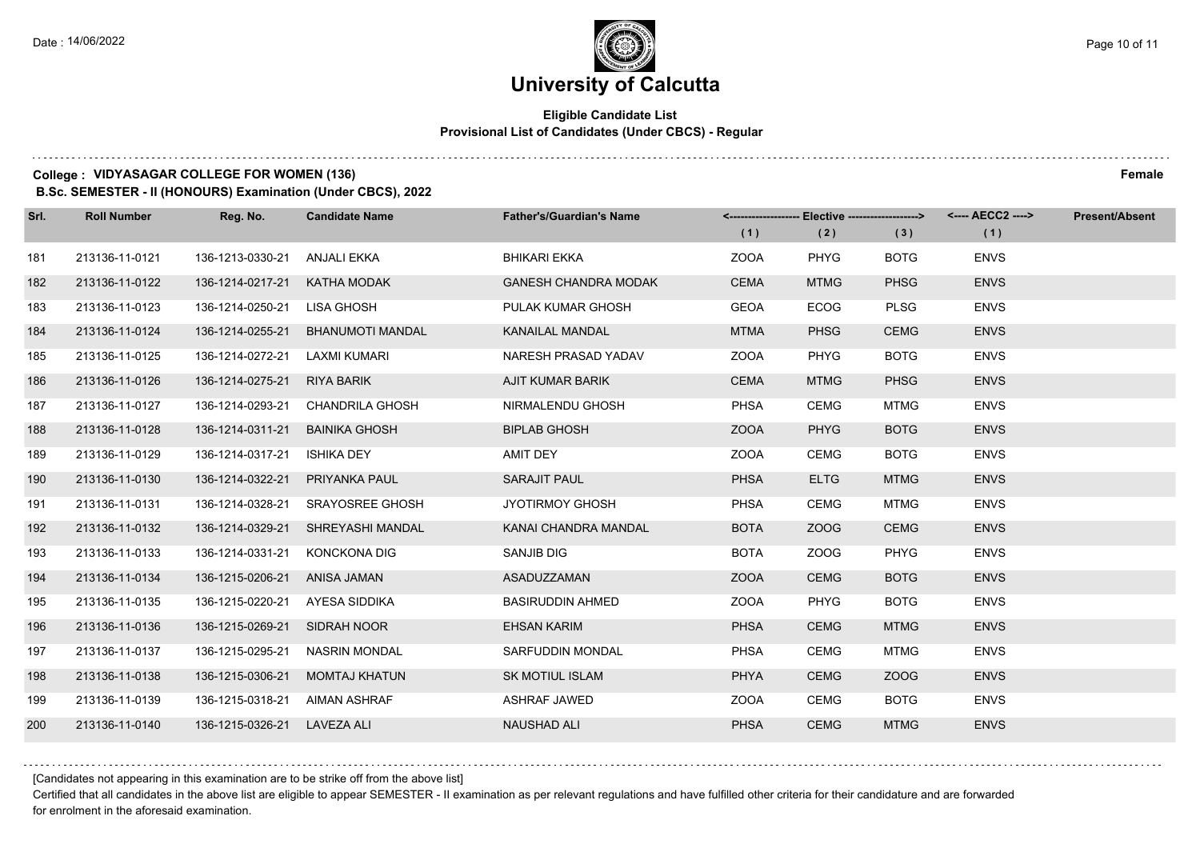## **Eligible Candidate List Provisional List of Candidates (Under CBCS) - Regular**

### **College : VIDYASAGAR COLLEGE FOR WOMEN (136) Female**

**B.Sc. SEMESTER - II (HONOURS) Examination (Under CBCS), 2022**

| Srl. | <b>Roll Number</b> | Reg. No.         | <b>Candidate Name</b>   | <b>Father's/Guardian's Name</b> |             | <-------------------- Elective ------------------> |             | <---- AECC2 ----> | <b>Present/Absent</b> |
|------|--------------------|------------------|-------------------------|---------------------------------|-------------|----------------------------------------------------|-------------|-------------------|-----------------------|
|      |                    |                  |                         |                                 | (1)         | (2)                                                | (3)         | (1)               |                       |
| 181  | 213136-11-0121     | 136-1213-0330-21 | ANJALI EKKA             | <b>BHIKARI EKKA</b>             | <b>ZOOA</b> | <b>PHYG</b>                                        | <b>BOTG</b> | <b>ENVS</b>       |                       |
| 182  | 213136-11-0122     | 136-1214-0217-21 | KATHA MODAK             | <b>GANESH CHANDRA MODAK</b>     | <b>CEMA</b> | <b>MTMG</b>                                        | <b>PHSG</b> | <b>ENVS</b>       |                       |
| 183  | 213136-11-0123     | 136-1214-0250-21 | LISA GHOSH              | PULAK KUMAR GHOSH               | <b>GEOA</b> | <b>ECOG</b>                                        | <b>PLSG</b> | <b>ENVS</b>       |                       |
| 184  | 213136-11-0124     | 136-1214-0255-21 | <b>BHANUMOTI MANDAL</b> | <b>KANAILAL MANDAL</b>          | <b>MTMA</b> | <b>PHSG</b>                                        | <b>CEMG</b> | <b>ENVS</b>       |                       |
| 185  | 213136-11-0125     | 136-1214-0272-21 | LAXMI KUMARI            | NARESH PRASAD YADAV             | <b>ZOOA</b> | <b>PHYG</b>                                        | <b>BOTG</b> | <b>ENVS</b>       |                       |
| 186  | 213136-11-0126     | 136-1214-0275-21 | RIYA BARIK              | AJIT KUMAR BARIK                | <b>CEMA</b> | <b>MTMG</b>                                        | <b>PHSG</b> | <b>ENVS</b>       |                       |
| 187  | 213136-11-0127     | 136-1214-0293-21 | CHANDRILA GHOSH         | NIRMALENDU GHOSH                | <b>PHSA</b> | <b>CEMG</b>                                        | MTMG        | <b>ENVS</b>       |                       |
| 188  | 213136-11-0128     | 136-1214-0311-21 | <b>BAINIKA GHOSH</b>    | <b>BIPLAB GHOSH</b>             | <b>ZOOA</b> | <b>PHYG</b>                                        | <b>BOTG</b> | <b>ENVS</b>       |                       |
| 189  | 213136-11-0129     | 136-1214-0317-21 | ISHIKA DEY              | AMIT DEY                        | <b>ZOOA</b> | <b>CEMG</b>                                        | <b>BOTG</b> | <b>ENVS</b>       |                       |
| 190  | 213136-11-0130     | 136-1214-0322-21 | <b>PRIYANKA PAUL</b>    | <b>SARAJIT PAUL</b>             | <b>PHSA</b> | <b>ELTG</b>                                        | <b>MTMG</b> | <b>ENVS</b>       |                       |
| 191  | 213136-11-0131     | 136-1214-0328-21 | <b>SRAYOSREE GHOSH</b>  | <b>JYOTIRMOY GHOSH</b>          | <b>PHSA</b> | <b>CEMG</b>                                        | <b>MTMG</b> | <b>ENVS</b>       |                       |
| 192  | 213136-11-0132     | 136-1214-0329-21 | SHREYASHI MANDAL        | KANAI CHANDRA MANDAL            | <b>BOTA</b> | ZOOG                                               | <b>CEMG</b> | <b>ENVS</b>       |                       |
| 193  | 213136-11-0133     | 136-1214-0331-21 | <b>KONCKONA DIG</b>     | <b>SANJIB DIG</b>               | <b>BOTA</b> | ZOOG                                               | <b>PHYG</b> | <b>ENVS</b>       |                       |
| 194  | 213136-11-0134     | 136-1215-0206-21 | ANISA JAMAN             | ASADUZZAMAN                     | <b>ZOOA</b> | <b>CEMG</b>                                        | <b>BOTG</b> | <b>ENVS</b>       |                       |
| 195  | 213136-11-0135     | 136-1215-0220-21 | AYESA SIDDIKA           | <b>BASIRUDDIN AHMED</b>         | <b>ZOOA</b> | <b>PHYG</b>                                        | <b>BOTG</b> | <b>ENVS</b>       |                       |
| 196  | 213136-11-0136     | 136-1215-0269-21 | SIDRAH NOOR             | <b>EHSAN KARIM</b>              | <b>PHSA</b> | <b>CEMG</b>                                        | <b>MTMG</b> | <b>ENVS</b>       |                       |
| 197  | 213136-11-0137     | 136-1215-0295-21 | <b>NASRIN MONDAL</b>    | SARFUDDIN MONDAL                | <b>PHSA</b> | <b>CEMG</b>                                        | <b>MTMG</b> | <b>ENVS</b>       |                       |
| 198  | 213136-11-0138     | 136-1215-0306-21 | <b>MOMTAJ KHATUN</b>    | <b>SK MOTIUL ISLAM</b>          | <b>PHYA</b> | <b>CEMG</b>                                        | ZOOG        | <b>ENVS</b>       |                       |
| 199  | 213136-11-0139     | 136-1215-0318-21 | AIMAN ASHRAF            | <b>ASHRAF JAWED</b>             | <b>ZOOA</b> | <b>CEMG</b>                                        | <b>BOTG</b> | <b>ENVS</b>       |                       |
| 200  | 213136-11-0140     | 136-1215-0326-21 | LAVEZA ALI              | <b>NAUSHAD ALI</b>              | <b>PHSA</b> | <b>CEMG</b>                                        | <b>MTMG</b> | <b>ENVS</b>       |                       |

[Candidates not appearing in this examination are to be strike off from the above list]

Certified that all candidates in the above list are eligible to appear SEMESTER - II examination as per relevant regulations and have fulfilled other criteria for their candidature and are forwarded for enrolment in the aforesaid examination.